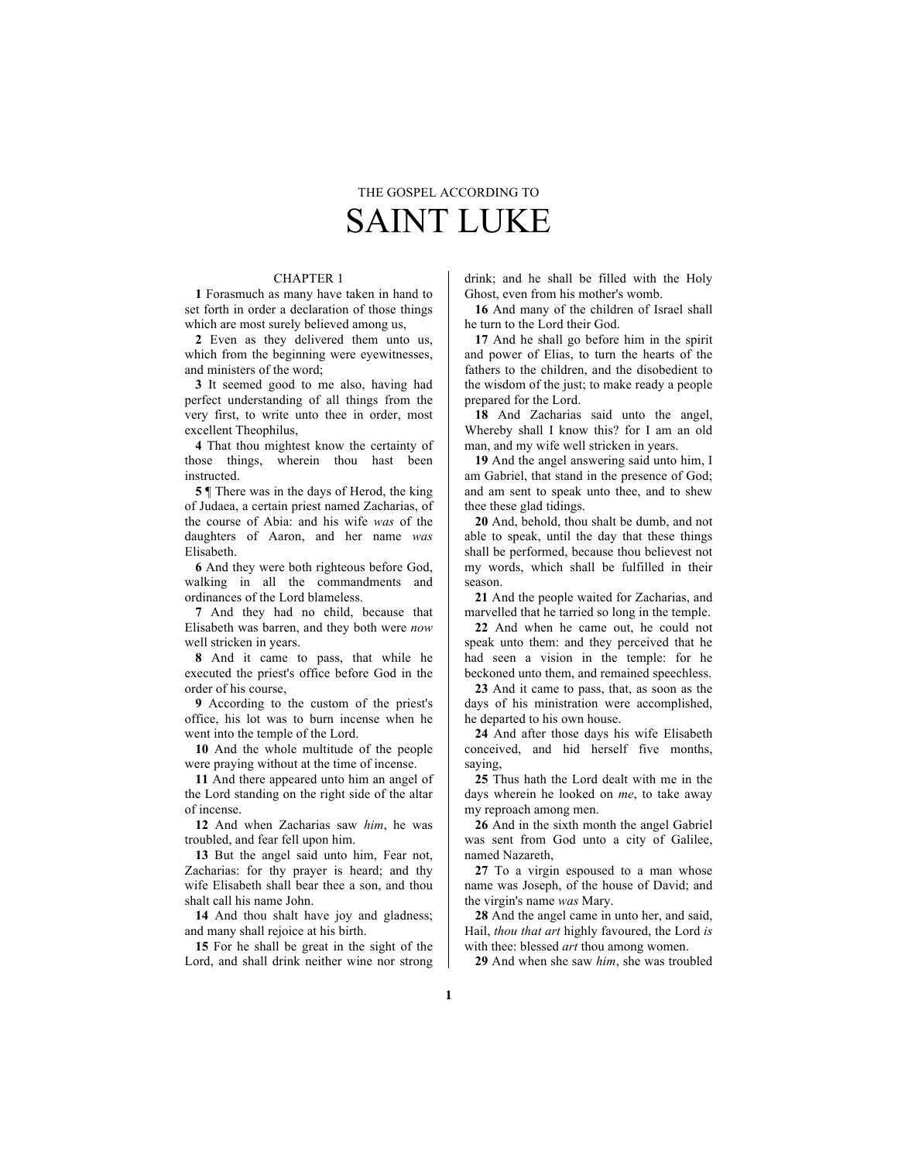# THE GOSPEL ACCORDING TO SAINT LUKE

# CHAPTER 1

**1** Forasmuch as many have taken in hand to set forth in order a declaration of those things which are most surely believed among us,

**2** Even as they delivered them unto us, which from the beginning were eyewitnesses, and ministers of the word;

**3** It seemed good to me also, having had perfect understanding of all things from the very first, to write unto thee in order, most excellent Theophilus,

**4** That thou mightest know the certainty of those things, wherein thou hast been instructed.

**5** ¶ There was in the days of Herod, the king of Judaea, a certain priest named Zacharias, of the course of Abia: and his wife *was* of the daughters of Aaron, and her name *was* Elisabeth.

**6** And they were both righteous before God, walking in all the commandments and ordinances of the Lord blameless.

**7** And they had no child, because that Elisabeth was barren, and they both were *now* well stricken in years.

**8** And it came to pass, that while he executed the priest's office before God in the order of his course,

**9** According to the custom of the priest's office, his lot was to burn incense when he went into the temple of the Lord.

**10** And the whole multitude of the people were praying without at the time of incense.

**11** And there appeared unto him an angel of the Lord standing on the right side of the altar of incense.

**12** And when Zacharias saw *him*, he was troubled, and fear fell upon him.

**13** But the angel said unto him, Fear not, Zacharias: for thy prayer is heard; and thy wife Elisabeth shall bear thee a son, and thou shalt call his name John.

**14** And thou shalt have joy and gladness; and many shall rejoice at his birth.

**15** For he shall be great in the sight of the Lord, and shall drink neither wine nor strong drink; and he shall be filled with the Holy Ghost, even from his mother's womb.

**16** And many of the children of Israel shall he turn to the Lord their God.

**17** And he shall go before him in the spirit and power of Elias, to turn the hearts of the fathers to the children, and the disobedient to the wisdom of the just; to make ready a people prepared for the Lord.

**18** And Zacharias said unto the angel, Whereby shall I know this? for I am an old man, and my wife well stricken in years.

**19** And the angel answering said unto him, I am Gabriel, that stand in the presence of God; and am sent to speak unto thee, and to shew thee these glad tidings.

**20** And, behold, thou shalt be dumb, and not able to speak, until the day that these things shall be performed, because thou believest not my words, which shall be fulfilled in their season.

**21** And the people waited for Zacharias, and marvelled that he tarried so long in the temple.

**22** And when he came out, he could not speak unto them: and they perceived that he had seen a vision in the temple: for he beckoned unto them, and remained speechless.

**23** And it came to pass, that, as soon as the days of his ministration were accomplished, he departed to his own house.

**24** And after those days his wife Elisabeth conceived, and hid herself five months, saying,

**25** Thus hath the Lord dealt with me in the days wherein he looked on *me*, to take away my reproach among men.

**26** And in the sixth month the angel Gabriel was sent from God unto a city of Galilee, named Nazareth,

**27** To a virgin espoused to a man whose name was Joseph, of the house of David; and the virgin's name *was* Mary.

**28** And the angel came in unto her, and said, Hail, *thou that art* highly favoured, the Lord *is* with thee: blessed *art* thou among women.

**29** And when she saw *him*, she was troubled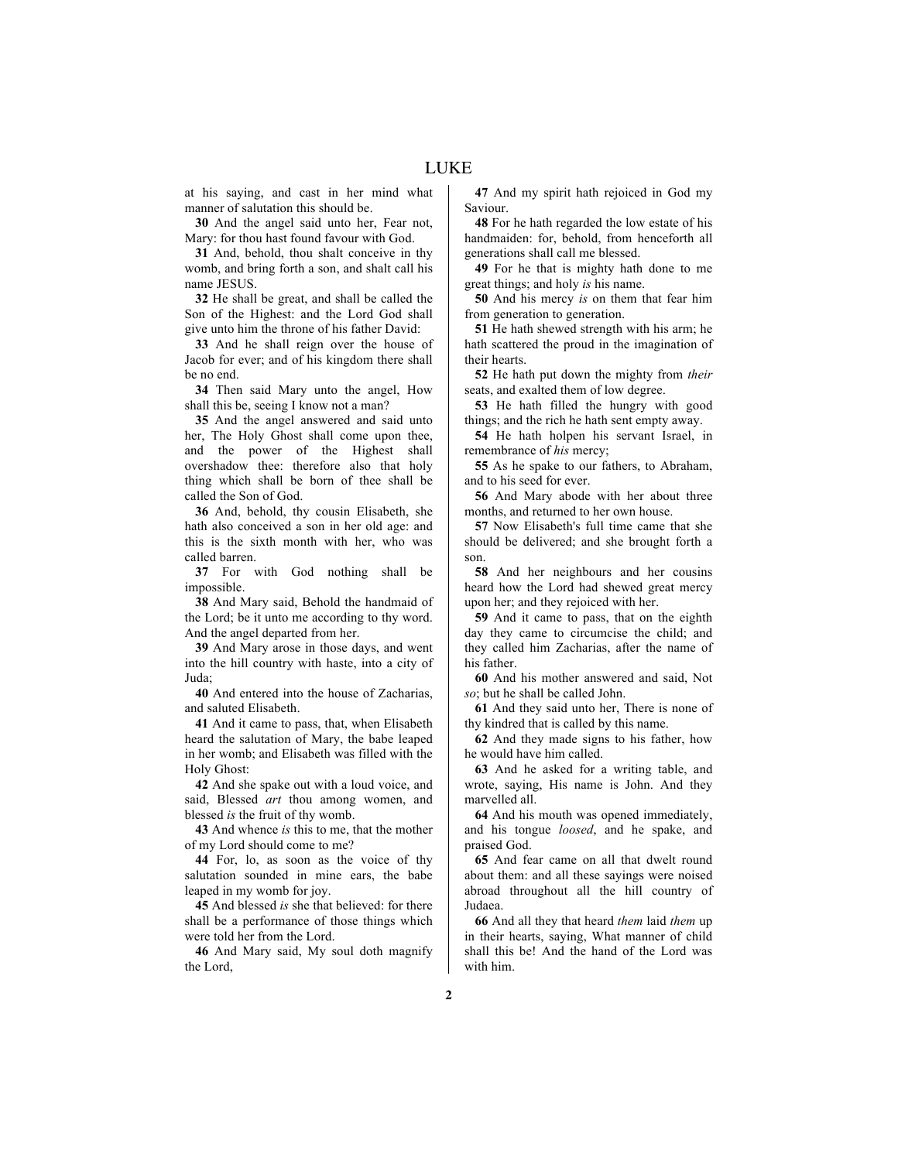at his saying, and cast in her mind what manner of salutation this should be.

**30** And the angel said unto her, Fear not, Mary: for thou hast found favour with God.

**31** And, behold, thou shalt conceive in thy womb, and bring forth a son, and shalt call his name JESUS.

**32** He shall be great, and shall be called the Son of the Highest: and the Lord God shall give unto him the throne of his father David:

**33** And he shall reign over the house of Jacob for ever; and of his kingdom there shall be no end.

**34** Then said Mary unto the angel, How shall this be, seeing I know not a man?

**35** And the angel answered and said unto her, The Holy Ghost shall come upon thee, and the power of the Highest shall overshadow thee: therefore also that holy thing which shall be born of thee shall be called the Son of God.

**36** And, behold, thy cousin Elisabeth, she hath also conceived a son in her old age: and this is the sixth month with her, who was called barren.

**37** For with God nothing shall be impossible.

**38** And Mary said, Behold the handmaid of the Lord; be it unto me according to thy word. And the angel departed from her.

**39** And Mary arose in those days, and went into the hill country with haste, into a city of Juda;

**40** And entered into the house of Zacharias, and saluted Elisabeth.

**41** And it came to pass, that, when Elisabeth heard the salutation of Mary, the babe leaped in her womb; and Elisabeth was filled with the Holy Ghost:

**42** And she spake out with a loud voice, and said, Blessed *art* thou among women, and blessed *is* the fruit of thy womb.

**43** And whence *is* this to me, that the mother of my Lord should come to me?

**44** For, lo, as soon as the voice of thy salutation sounded in mine ears, the babe leaped in my womb for joy.

**45** And blessed *is* she that believed: for there shall be a performance of those things which were told her from the Lord.

**46** And Mary said, My soul doth magnify the Lord,

**47** And my spirit hath rejoiced in God my Saviour.

**48** For he hath regarded the low estate of his handmaiden: for, behold, from henceforth all generations shall call me blessed.

**49** For he that is mighty hath done to me great things; and holy *is* his name.

**50** And his mercy *is* on them that fear him from generation to generation.

**51** He hath shewed strength with his arm; he hath scattered the proud in the imagination of their hearts.

**52** He hath put down the mighty from *their* seats, and exalted them of low degree.

**53** He hath filled the hungry with good things; and the rich he hath sent empty away.

**54** He hath holpen his servant Israel, in remembrance of *his* mercy;

**55** As he spake to our fathers, to Abraham, and to his seed for ever.

**56** And Mary abode with her about three months, and returned to her own house.

**57** Now Elisabeth's full time came that she should be delivered; and she brought forth a son.

**58** And her neighbours and her cousins heard how the Lord had shewed great mercy upon her; and they rejoiced with her.

**59** And it came to pass, that on the eighth day they came to circumcise the child; and they called him Zacharias, after the name of his father.

**60** And his mother answered and said, Not *so*; but he shall be called John.

**61** And they said unto her, There is none of thy kindred that is called by this name.

**62** And they made signs to his father, how he would have him called.

**63** And he asked for a writing table, and wrote, saying, His name is John. And they marvelled all.

**64** And his mouth was opened immediately, and his tongue *loosed*, and he spake, and praised God.

**65** And fear came on all that dwelt round about them: and all these sayings were noised abroad throughout all the hill country of Judaea.

**66** And all they that heard *them* laid *them* up in their hearts, saying, What manner of child shall this be! And the hand of the Lord was with him.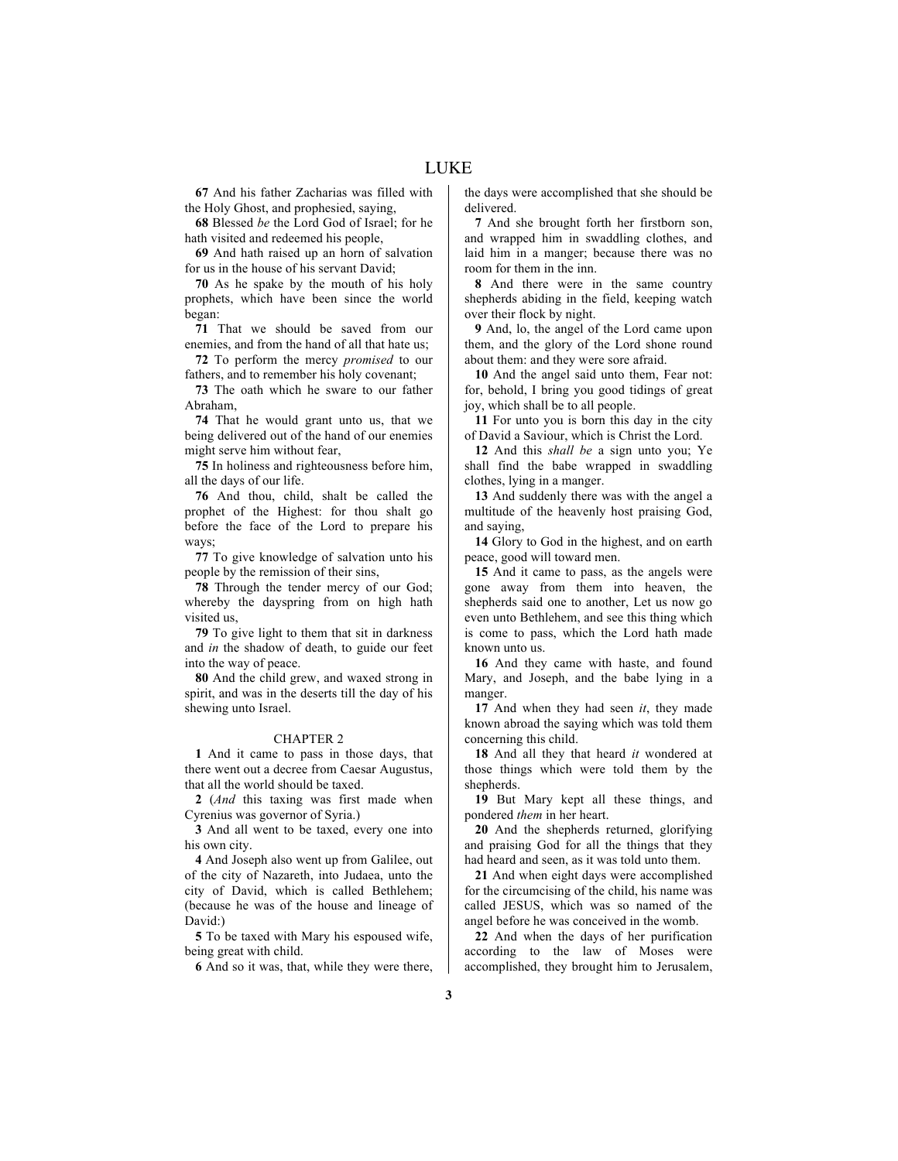**67** And his father Zacharias was filled with the Holy Ghost, and prophesied, saying,

**68** Blessed *be* the Lord God of Israel; for he hath visited and redeemed his people,

**69** And hath raised up an horn of salvation for us in the house of his servant David;

**70** As he spake by the mouth of his holy prophets, which have been since the world began:

**71** That we should be saved from our enemies, and from the hand of all that hate us;

**72** To perform the mercy *promised* to our fathers, and to remember his holy covenant;

**73** The oath which he sware to our father Abraham,

**74** That he would grant unto us, that we being delivered out of the hand of our enemies might serve him without fear,

**75** In holiness and righteousness before him, all the days of our life.

**76** And thou, child, shalt be called the prophet of the Highest: for thou shalt go before the face of the Lord to prepare his ways;

**77** To give knowledge of salvation unto his people by the remission of their sins,

**78** Through the tender mercy of our God; whereby the dayspring from on high hath visited us,

**79** To give light to them that sit in darkness and *in* the shadow of death, to guide our feet into the way of peace.

**80** And the child grew, and waxed strong in spirit, and was in the deserts till the day of his shewing unto Israel.

#### CHAPTER 2

**1** And it came to pass in those days, that there went out a decree from Caesar Augustus, that all the world should be taxed.

**2** (*And* this taxing was first made when Cyrenius was governor of Syria.)

**3** And all went to be taxed, every one into his own city.

**4** And Joseph also went up from Galilee, out of the city of Nazareth, into Judaea, unto the city of David, which is called Bethlehem; (because he was of the house and lineage of David:)

**5** To be taxed with Mary his espoused wife, being great with child.

**6** And so it was, that, while they were there,

the days were accomplished that she should be delivered.

**7** And she brought forth her firstborn son, and wrapped him in swaddling clothes, and laid him in a manger; because there was no room for them in the inn.

**8** And there were in the same country shepherds abiding in the field, keeping watch over their flock by night.

**9** And, lo, the angel of the Lord came upon them, and the glory of the Lord shone round about them: and they were sore afraid.

**10** And the angel said unto them, Fear not: for, behold, I bring you good tidings of great joy, which shall be to all people.

**11** For unto you is born this day in the city of David a Saviour, which is Christ the Lord.

**12** And this *shall be* a sign unto you; Ye shall find the babe wrapped in swaddling clothes, lying in a manger.

**13** And suddenly there was with the angel a multitude of the heavenly host praising God, and saying,

**14** Glory to God in the highest, and on earth peace, good will toward men.

**15** And it came to pass, as the angels were gone away from them into heaven, the shepherds said one to another, Let us now go even unto Bethlehem, and see this thing which is come to pass, which the Lord hath made known unto us.

**16** And they came with haste, and found Mary, and Joseph, and the babe lying in a manger.

**17** And when they had seen *it*, they made known abroad the saying which was told them concerning this child.

**18** And all they that heard *it* wondered at those things which were told them by the shepherds.

**19** But Mary kept all these things, and pondered *them* in her heart.

**20** And the shepherds returned, glorifying and praising God for all the things that they had heard and seen, as it was told unto them.

**21** And when eight days were accomplished for the circumcising of the child, his name was called JESUS, which was so named of the angel before he was conceived in the womb.

**22** And when the days of her purification according to the law of Moses were accomplished, they brought him to Jerusalem,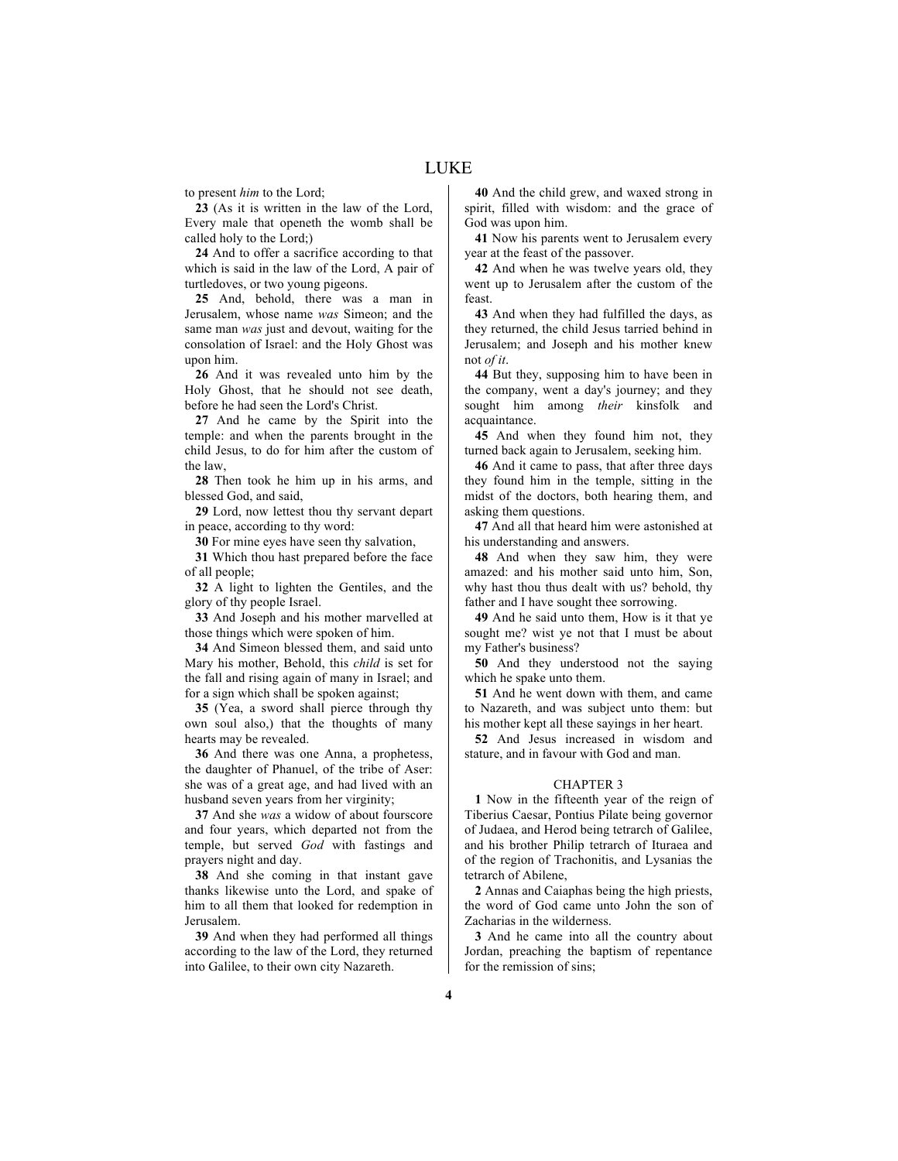to present *him* to the Lord;

**23** (As it is written in the law of the Lord, Every male that openeth the womb shall be called holy to the Lord;)

**24** And to offer a sacrifice according to that which is said in the law of the Lord, A pair of turtledoves, or two young pigeons.

**25** And, behold, there was a man in Jerusalem, whose name *was* Simeon; and the same man *was* just and devout, waiting for the consolation of Israel: and the Holy Ghost was upon him.

**26** And it was revealed unto him by the Holy Ghost, that he should not see death, before he had seen the Lord's Christ.

**27** And he came by the Spirit into the temple: and when the parents brought in the child Jesus, to do for him after the custom of the law,

**28** Then took he him up in his arms, and blessed God, and said,

**29** Lord, now lettest thou thy servant depart in peace, according to thy word:

**30** For mine eyes have seen thy salvation,

**31** Which thou hast prepared before the face of all people;

**32** A light to lighten the Gentiles, and the glory of thy people Israel.

**33** And Joseph and his mother marvelled at those things which were spoken of him.

**34** And Simeon blessed them, and said unto Mary his mother, Behold, this *child* is set for the fall and rising again of many in Israel; and for a sign which shall be spoken against;

**35** (Yea, a sword shall pierce through thy own soul also,) that the thoughts of many hearts may be revealed.

**36** And there was one Anna, a prophetess, the daughter of Phanuel, of the tribe of Aser: she was of a great age, and had lived with an husband seven years from her virginity;

**37** And she *was* a widow of about fourscore and four years, which departed not from the temple, but served *God* with fastings and prayers night and day.

**38** And she coming in that instant gave thanks likewise unto the Lord, and spake of him to all them that looked for redemption in Jerusalem.

**39** And when they had performed all things according to the law of the Lord, they returned into Galilee, to their own city Nazareth.

**40** And the child grew, and waxed strong in spirit, filled with wisdom: and the grace of God was upon him.

**41** Now his parents went to Jerusalem every year at the feast of the passover.

**42** And when he was twelve years old, they went up to Jerusalem after the custom of the feast.

**43** And when they had fulfilled the days, as they returned, the child Jesus tarried behind in Jerusalem; and Joseph and his mother knew not *of it*.

**44** But they, supposing him to have been in the company, went a day's journey; and they sought him among *their* kinsfolk and acquaintance.

**45** And when they found him not, they turned back again to Jerusalem, seeking him.

**46** And it came to pass, that after three days they found him in the temple, sitting in the midst of the doctors, both hearing them, and asking them questions.

**47** And all that heard him were astonished at his understanding and answers.

**48** And when they saw him, they were amazed: and his mother said unto him, Son, why hast thou thus dealt with us? behold, thy father and I have sought thee sorrowing.

**49** And he said unto them, How is it that ye sought me? wist ye not that I must be about my Father's business?

**50** And they understood not the saying which he spake unto them.

**51** And he went down with them, and came to Nazareth, and was subject unto them: but his mother kept all these sayings in her heart.

**52** And Jesus increased in wisdom and stature, and in favour with God and man.

# CHAPTER 3

**1** Now in the fifteenth year of the reign of Tiberius Caesar, Pontius Pilate being governor of Judaea, and Herod being tetrarch of Galilee, and his brother Philip tetrarch of Ituraea and of the region of Trachonitis, and Lysanias the tetrarch of Abilene,

**2** Annas and Caiaphas being the high priests, the word of God came unto John the son of Zacharias in the wilderness.

**3** And he came into all the country about Jordan, preaching the baptism of repentance for the remission of sins;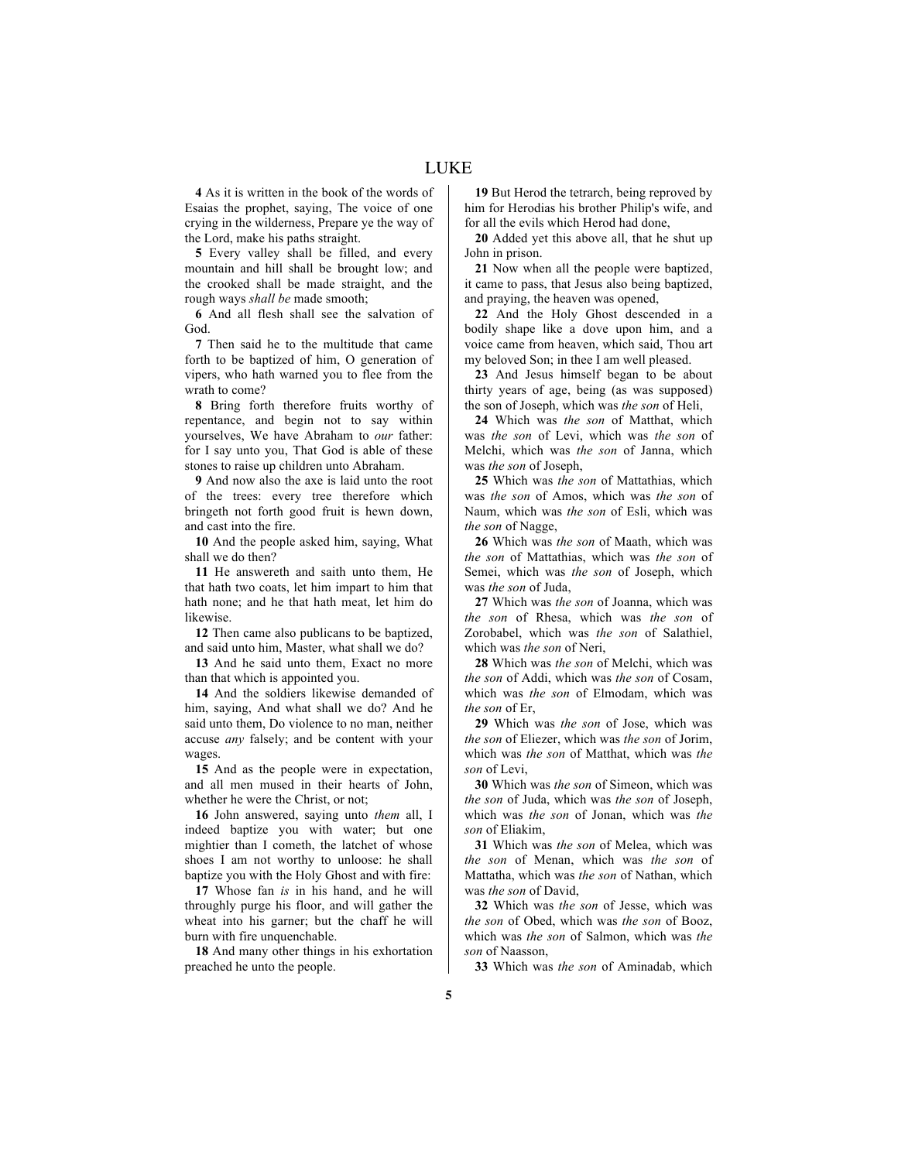**4** As it is written in the book of the words of Esaias the prophet, saying, The voice of one crying in the wilderness, Prepare ye the way of the Lord, make his paths straight.

**5** Every valley shall be filled, and every mountain and hill shall be brought low; and the crooked shall be made straight, and the rough ways *shall be* made smooth;

**6** And all flesh shall see the salvation of God.

**7** Then said he to the multitude that came forth to be baptized of him, O generation of vipers, who hath warned you to flee from the wrath to come?

**8** Bring forth therefore fruits worthy of repentance, and begin not to say within yourselves, We have Abraham to *our* father: for I say unto you, That God is able of these stones to raise up children unto Abraham.

**9** And now also the axe is laid unto the root of the trees: every tree therefore which bringeth not forth good fruit is hewn down, and cast into the fire.

**10** And the people asked him, saying, What shall we do then?

**11** He answereth and saith unto them, He that hath two coats, let him impart to him that hath none; and he that hath meat, let him do likewise.

**12** Then came also publicans to be baptized, and said unto him, Master, what shall we do?

**13** And he said unto them, Exact no more than that which is appointed you.

**14** And the soldiers likewise demanded of him, saying, And what shall we do? And he said unto them, Do violence to no man, neither accuse *any* falsely; and be content with your wages.

**15** And as the people were in expectation, and all men mused in their hearts of John, whether he were the Christ, or not;

**16** John answered, saying unto *them* all, I indeed baptize you with water; but one mightier than I cometh, the latchet of whose shoes I am not worthy to unloose: he shall baptize you with the Holy Ghost and with fire:

**17** Whose fan *is* in his hand, and he will throughly purge his floor, and will gather the wheat into his garner; but the chaff he will burn with fire unquenchable.

**18** And many other things in his exhortation preached he unto the people.

**19** But Herod the tetrarch, being reproved by him for Herodias his brother Philip's wife, and for all the evils which Herod had done,

**20** Added yet this above all, that he shut up John in prison.

**21** Now when all the people were baptized, it came to pass, that Jesus also being baptized, and praying, the heaven was opened,

**22** And the Holy Ghost descended in a bodily shape like a dove upon him, and a voice came from heaven, which said, Thou art my beloved Son; in thee I am well pleased.

**23** And Jesus himself began to be about thirty years of age, being (as was supposed) the son of Joseph, which was *the son* of Heli,

**24** Which was *the son* of Matthat, which was *the son* of Levi, which was *the son* of Melchi, which was *the son* of Janna, which was *the son* of Joseph,

**25** Which was *the son* of Mattathias, which was *the son* of Amos, which was *the son* of Naum, which was *the son* of Esli, which was *the son* of Nagge,

**26** Which was *the son* of Maath, which was *the son* of Mattathias, which was *the son* of Semei, which was *the son* of Joseph, which was *the son* of Juda,

**27** Which was *the son* of Joanna, which was *the son* of Rhesa, which was *the son* of Zorobabel, which was *the son* of Salathiel, which was *the son* of Neri,

**28** Which was *the son* of Melchi, which was *the son* of Addi, which was *the son* of Cosam, which was *the son* of Elmodam, which was *the son* of Er,

**29** Which was *the son* of Jose, which was *the son* of Eliezer, which was *the son* of Jorim, which was *the son* of Matthat, which was *the son* of Levi,

**30** Which was *the son* of Simeon, which was *the son* of Juda, which was *the son* of Joseph, which was *the son* of Jonan, which was *the son* of Eliakim,

**31** Which was *the son* of Melea, which was *the son* of Menan, which was *the son* of Mattatha, which was *the son* of Nathan, which was *the son* of David,

**32** Which was *the son* of Jesse, which was *the son* of Obed, which was *the son* of Booz, which was *the son* of Salmon, which was *the son* of Naasson,

**33** Which was *the son* of Aminadab, which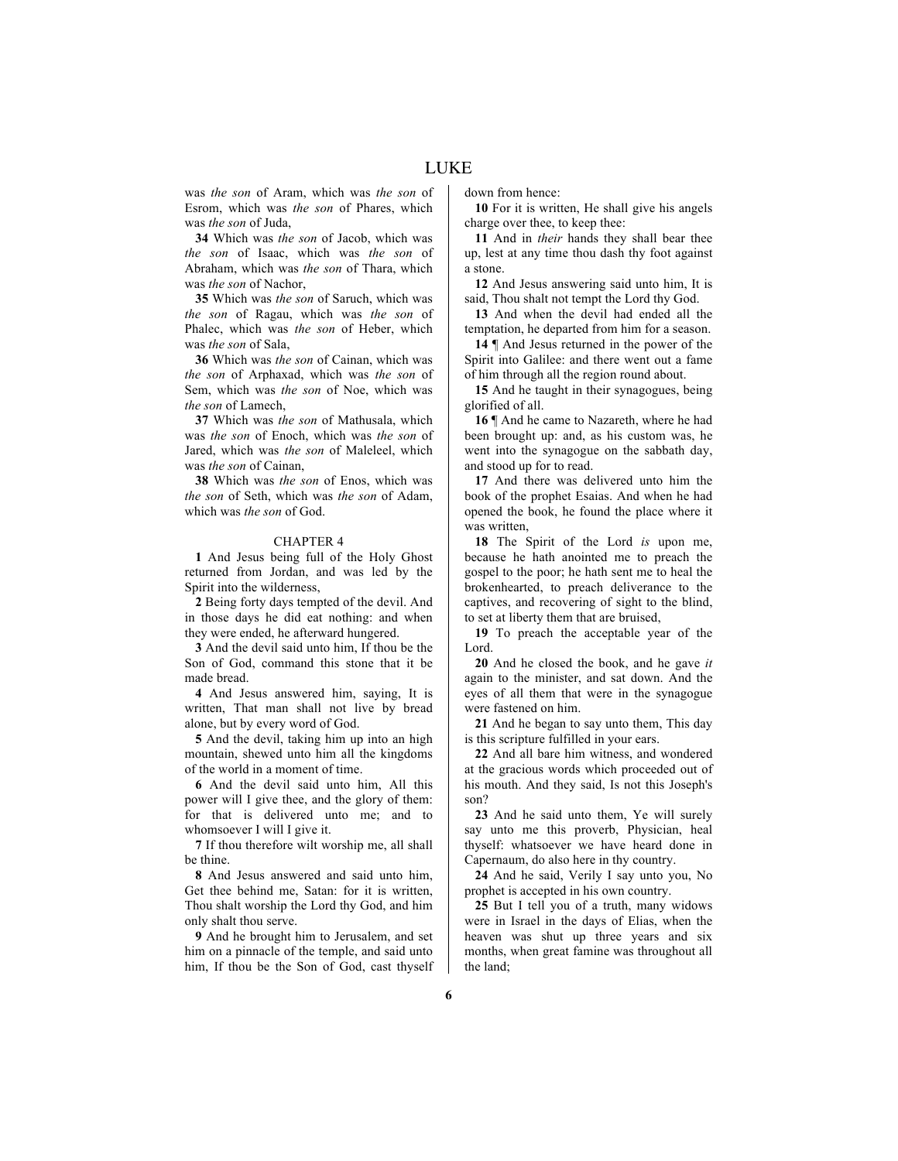was *the son* of Aram, which was *the son* of Esrom, which was *the son* of Phares, which was *the son* of Juda,

**34** Which was *the son* of Jacob, which was *the son* of Isaac, which was *the son* of Abraham, which was *the son* of Thara, which was *the son* of Nachor,

**35** Which was *the son* of Saruch, which was *the son* of Ragau, which was *the son* of Phalec, which was *the son* of Heber, which was *the son* of Sala,

**36** Which was *the son* of Cainan, which was *the son* of Arphaxad, which was *the son* of Sem, which was *the son* of Noe, which was *the son* of Lamech,

**37** Which was *the son* of Mathusala, which was *the son* of Enoch, which was *the son* of Jared, which was *the son* of Maleleel, which was *the son* of Cainan,

**38** Which was *the son* of Enos, which was *the son* of Seth, which was *the son* of Adam, which was *the son* of God.

# CHAPTER 4

**1** And Jesus being full of the Holy Ghost returned from Jordan, and was led by the Spirit into the wilderness,

**2** Being forty days tempted of the devil. And in those days he did eat nothing: and when they were ended, he afterward hungered.

**3** And the devil said unto him, If thou be the Son of God, command this stone that it be made bread.

**4** And Jesus answered him, saying, It is written, That man shall not live by bread alone, but by every word of God.

**5** And the devil, taking him up into an high mountain, shewed unto him all the kingdoms of the world in a moment of time.

**6** And the devil said unto him, All this power will I give thee, and the glory of them: for that is delivered unto me; and to whomsoever I will I give it.

**7** If thou therefore wilt worship me, all shall be thine.

**8** And Jesus answered and said unto him, Get thee behind me, Satan: for it is written, Thou shalt worship the Lord thy God, and him only shalt thou serve.

**9** And he brought him to Jerusalem, and set him on a pinnacle of the temple, and said unto him, If thou be the Son of God, cast thyself

down from hence:

**10** For it is written, He shall give his angels charge over thee, to keep thee:

**11** And in *their* hands they shall bear thee up, lest at any time thou dash thy foot against a stone.

**12** And Jesus answering said unto him, It is said, Thou shalt not tempt the Lord thy God.

**13** And when the devil had ended all the temptation, he departed from him for a season.

**14** ¶ And Jesus returned in the power of the Spirit into Galilee: and there went out a fame of him through all the region round about.

**15** And he taught in their synagogues, being glorified of all.

**16** ¶ And he came to Nazareth, where he had been brought up: and, as his custom was, he went into the synagogue on the sabbath day, and stood up for to read.

**17** And there was delivered unto him the book of the prophet Esaias. And when he had opened the book, he found the place where it was written,

**18** The Spirit of the Lord *is* upon me, because he hath anointed me to preach the gospel to the poor; he hath sent me to heal the brokenhearted, to preach deliverance to the captives, and recovering of sight to the blind, to set at liberty them that are bruised,

**19** To preach the acceptable year of the Lord.

**20** And he closed the book, and he gave *it* again to the minister, and sat down. And the eyes of all them that were in the synagogue were fastened on him.

**21** And he began to say unto them, This day is this scripture fulfilled in your ears.

**22** And all bare him witness, and wondered at the gracious words which proceeded out of his mouth. And they said, Is not this Joseph's son?

**23** And he said unto them, Ye will surely say unto me this proverb, Physician, heal thyself: whatsoever we have heard done in Capernaum, do also here in thy country.

**24** And he said, Verily I say unto you, No prophet is accepted in his own country.

**25** But I tell you of a truth, many widows were in Israel in the days of Elias, when the heaven was shut up three years and six months, when great famine was throughout all the land;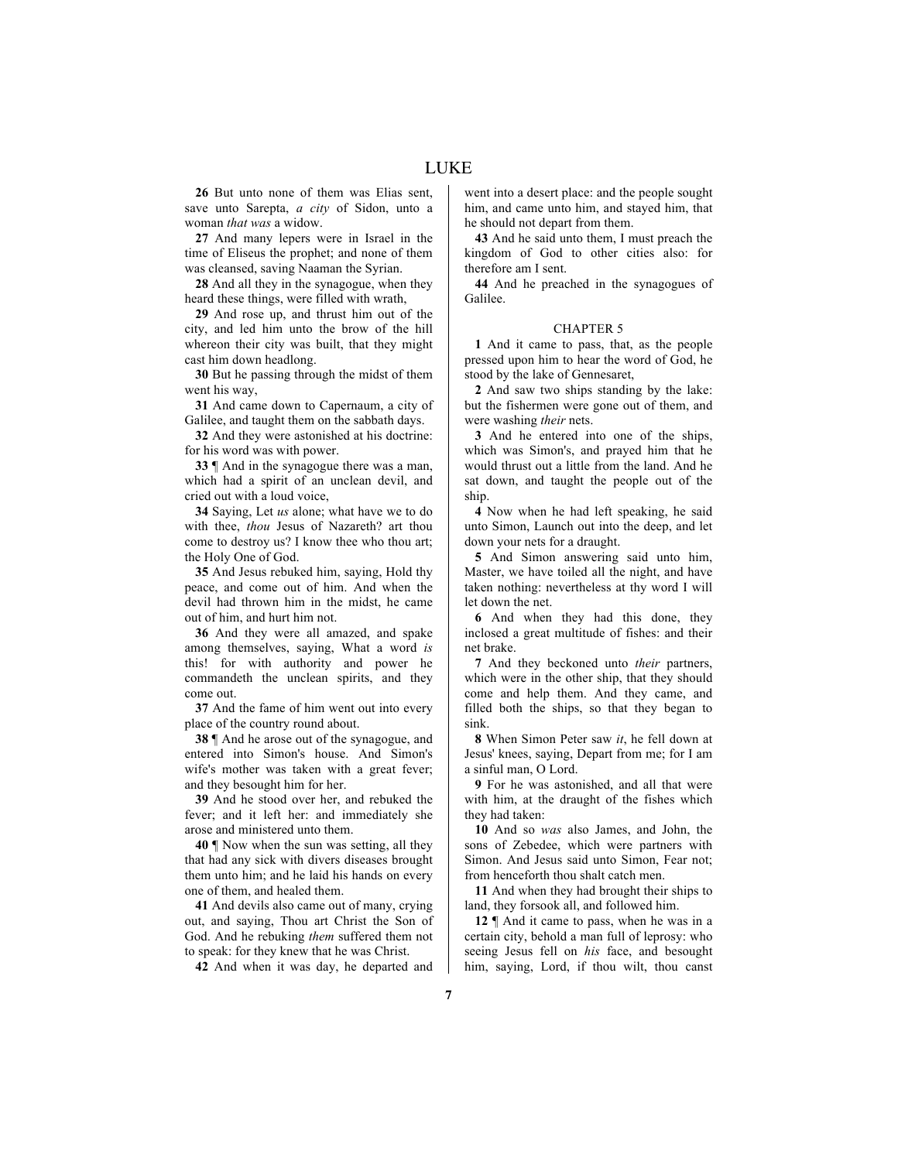LUKE

**26** But unto none of them was Elias sent, save unto Sarepta, *a city* of Sidon, unto a woman *that was* a widow.

**27** And many lepers were in Israel in the time of Eliseus the prophet; and none of them was cleansed, saving Naaman the Syrian.

**28** And all they in the synagogue, when they heard these things, were filled with wrath,

**29** And rose up, and thrust him out of the city, and led him unto the brow of the hill whereon their city was built, that they might cast him down headlong.

**30** But he passing through the midst of them went his way,

**31** And came down to Capernaum, a city of Galilee, and taught them on the sabbath days.

**32** And they were astonished at his doctrine: for his word was with power.

**33** ¶ And in the synagogue there was a man, which had a spirit of an unclean devil, and cried out with a loud voice,

**34** Saying, Let *us* alone; what have we to do with thee, *thou* Jesus of Nazareth? art thou come to destroy us? I know thee who thou art; the Holy One of God.

**35** And Jesus rebuked him, saying, Hold thy peace, and come out of him. And when the devil had thrown him in the midst, he came out of him, and hurt him not.

**36** And they were all amazed, and spake among themselves, saying, What a word *is* this! for with authority and power he commandeth the unclean spirits, and they come out.

**37** And the fame of him went out into every place of the country round about.

**38** ¶ And he arose out of the synagogue, and entered into Simon's house. And Simon's wife's mother was taken with a great fever; and they besought him for her.

**39** And he stood over her, and rebuked the fever; and it left her: and immediately she arose and ministered unto them.

**40** ¶ Now when the sun was setting, all they that had any sick with divers diseases brought them unto him; and he laid his hands on every one of them, and healed them.

**41** And devils also came out of many, crying out, and saying, Thou art Christ the Son of God. And he rebuking *them* suffered them not to speak: for they knew that he was Christ.

**42** And when it was day, he departed and

went into a desert place: and the people sought him, and came unto him, and stayed him, that he should not depart from them.

**43** And he said unto them, I must preach the kingdom of God to other cities also: for therefore am I sent.

**44** And he preached in the synagogues of Galilee.

## CHAPTER 5

**1** And it came to pass, that, as the people pressed upon him to hear the word of God, he stood by the lake of Gennesaret,

**2** And saw two ships standing by the lake: but the fishermen were gone out of them, and were washing *their* nets.

**3** And he entered into one of the ships, which was Simon's, and prayed him that he would thrust out a little from the land. And he sat down, and taught the people out of the ship.

**4** Now when he had left speaking, he said unto Simon, Launch out into the deep, and let down your nets for a draught.

**5** And Simon answering said unto him, Master, we have toiled all the night, and have taken nothing: nevertheless at thy word I will let down the net.

**6** And when they had this done, they inclosed a great multitude of fishes: and their net brake.

**7** And they beckoned unto *their* partners, which were in the other ship, that they should come and help them. And they came, and filled both the ships, so that they began to sink.

**8** When Simon Peter saw *it*, he fell down at Jesus' knees, saying, Depart from me; for I am a sinful man, O Lord.

**9** For he was astonished, and all that were with him, at the draught of the fishes which they had taken:

**10** And so *was* also James, and John, the sons of Zebedee, which were partners with Simon. And Jesus said unto Simon, Fear not; from henceforth thou shalt catch men.

**11** And when they had brought their ships to land, they forsook all, and followed him.

**12** ¶ And it came to pass, when he was in a certain city, behold a man full of leprosy: who seeing Jesus fell on *his* face, and besought him, saying, Lord, if thou wilt, thou canst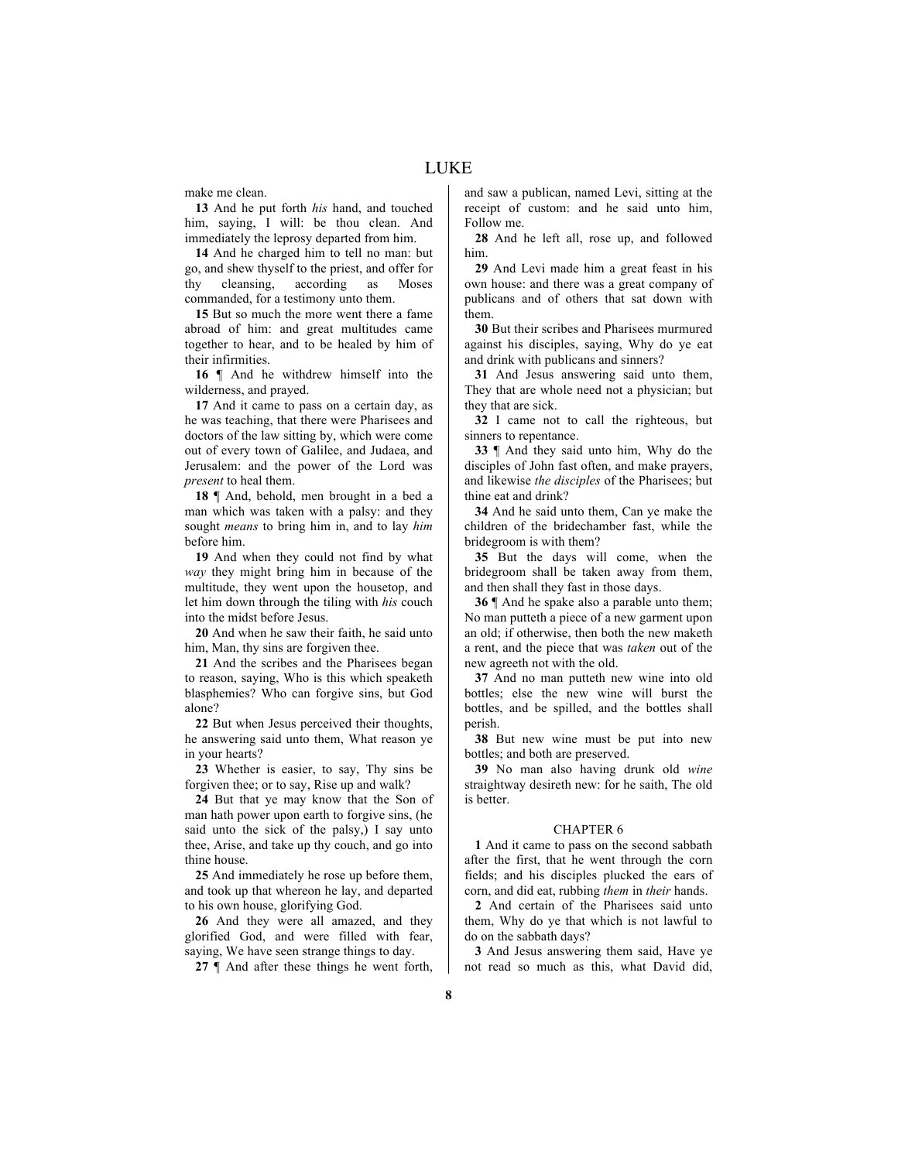make me clean.

**13** And he put forth *his* hand, and touched him, saying, I will: be thou clean. And immediately the leprosy departed from him.

**14** And he charged him to tell no man: but go, and shew thyself to the priest, and offer for thy cleansing, according as Moses commanded, for a testimony unto them.

**15** But so much the more went there a fame abroad of him: and great multitudes came together to hear, and to be healed by him of their infirmities.

**16** ¶ And he withdrew himself into the wilderness, and prayed.

**17** And it came to pass on a certain day, as he was teaching, that there were Pharisees and doctors of the law sitting by, which were come out of every town of Galilee, and Judaea, and Jerusalem: and the power of the Lord was *present* to heal them.

**18** ¶ And, behold, men brought in a bed a man which was taken with a palsy: and they sought *means* to bring him in, and to lay *him* before him.

**19** And when they could not find by what *way* they might bring him in because of the multitude, they went upon the housetop, and let him down through the tiling with *his* couch into the midst before Jesus.

**20** And when he saw their faith, he said unto him, Man, thy sins are forgiven thee.

**21** And the scribes and the Pharisees began to reason, saying, Who is this which speaketh blasphemies? Who can forgive sins, but God alone?

**22** But when Jesus perceived their thoughts, he answering said unto them, What reason ye in your hearts?

**23** Whether is easier, to say, Thy sins be forgiven thee; or to say, Rise up and walk?

**24** But that ye may know that the Son of man hath power upon earth to forgive sins, (he said unto the sick of the palsy,) I say unto thee, Arise, and take up thy couch, and go into thine house.

**25** And immediately he rose up before them, and took up that whereon he lay, and departed to his own house, glorifying God.

**26** And they were all amazed, and they glorified God, and were filled with fear, saying, We have seen strange things to day.

**27** ¶ And after these things he went forth,

and saw a publican, named Levi, sitting at the receipt of custom: and he said unto him, Follow me.

**28** And he left all, rose up, and followed him.

**29** And Levi made him a great feast in his own house: and there was a great company of publicans and of others that sat down with them.

**30** But their scribes and Pharisees murmured against his disciples, saying, Why do ye eat and drink with publicans and sinners?

**31** And Jesus answering said unto them, They that are whole need not a physician; but they that are sick.

**32** I came not to call the righteous, but sinners to repentance.

**33** ¶ And they said unto him, Why do the disciples of John fast often, and make prayers, and likewise *the disciples* of the Pharisees; but thine eat and drink?

**34** And he said unto them, Can ye make the children of the bridechamber fast, while the bridegroom is with them?

**35** But the days will come, when the bridegroom shall be taken away from them, and then shall they fast in those days.

**36** ¶ And he spake also a parable unto them; No man putteth a piece of a new garment upon an old; if otherwise, then both the new maketh a rent, and the piece that was *taken* out of the new agreeth not with the old.

**37** And no man putteth new wine into old bottles; else the new wine will burst the bottles, and be spilled, and the bottles shall perish.

**38** But new wine must be put into new bottles; and both are preserved.

**39** No man also having drunk old *wine* straightway desireth new: for he saith, The old is better.

# CHAPTER 6

**1** And it came to pass on the second sabbath after the first, that he went through the corn fields; and his disciples plucked the ears of corn, and did eat, rubbing *them* in *their* hands.

**2** And certain of the Pharisees said unto them, Why do ye that which is not lawful to do on the sabbath days?

**3** And Jesus answering them said, Have ye not read so much as this, what David did,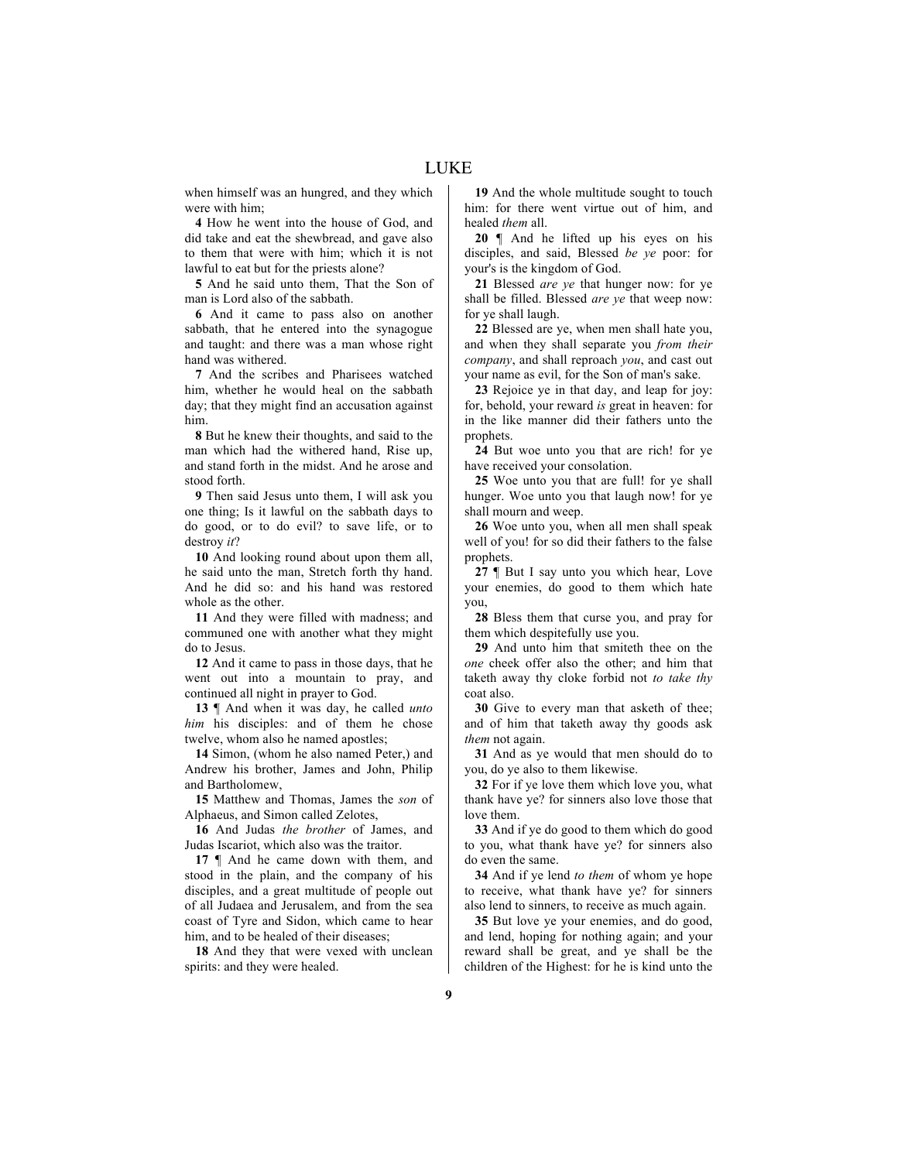when himself was an hungred, and they which were with him;

**4** How he went into the house of God, and did take and eat the shewbread, and gave also to them that were with him; which it is not lawful to eat but for the priests alone?

**5** And he said unto them, That the Son of man is Lord also of the sabbath.

**6** And it came to pass also on another sabbath, that he entered into the synagogue and taught: and there was a man whose right hand was withered.

**7** And the scribes and Pharisees watched him, whether he would heal on the sabbath day; that they might find an accusation against him.

**8** But he knew their thoughts, and said to the man which had the withered hand, Rise up, and stand forth in the midst. And he arose and stood forth.

**9** Then said Jesus unto them, I will ask you one thing; Is it lawful on the sabbath days to do good, or to do evil? to save life, or to destroy *it*?

**10** And looking round about upon them all, he said unto the man, Stretch forth thy hand. And he did so: and his hand was restored whole as the other.

**11** And they were filled with madness; and communed one with another what they might do to Jesus.

**12** And it came to pass in those days, that he went out into a mountain to pray, and continued all night in prayer to God.

**13** ¶ And when it was day, he called *unto him* his disciples: and of them he chose twelve, whom also he named apostles;

**14** Simon, (whom he also named Peter,) and Andrew his brother, James and John, Philip and Bartholomew,

**15** Matthew and Thomas, James the *son* of Alphaeus, and Simon called Zelotes,

**16** And Judas *the brother* of James, and Judas Iscariot, which also was the traitor.

**17** ¶ And he came down with them, and stood in the plain, and the company of his disciples, and a great multitude of people out of all Judaea and Jerusalem, and from the sea coast of Tyre and Sidon, which came to hear him, and to be healed of their diseases;

**18** And they that were vexed with unclean spirits: and they were healed.

**19** And the whole multitude sought to touch him: for there went virtue out of him, and healed *them* all.

**20** ¶ And he lifted up his eyes on his disciples, and said, Blessed *be ye* poor: for your's is the kingdom of God.

**21** Blessed *are ye* that hunger now: for ye shall be filled. Blessed *are ye* that weep now: for ye shall laugh.

**22** Blessed are ye, when men shall hate you, and when they shall separate you *from their company*, and shall reproach *you*, and cast out your name as evil, for the Son of man's sake.

**23** Rejoice ye in that day, and leap for joy: for, behold, your reward *is* great in heaven: for in the like manner did their fathers unto the prophets.

**24** But woe unto you that are rich! for ye have received your consolation.

**25** Woe unto you that are full! for ye shall hunger. Woe unto you that laugh now! for ye shall mourn and weep.

**26** Woe unto you, when all men shall speak well of you! for so did their fathers to the false prophets.

**27** ¶ But I say unto you which hear, Love your enemies, do good to them which hate you,

**28** Bless them that curse you, and pray for them which despitefully use you.

**29** And unto him that smiteth thee on the *one* cheek offer also the other; and him that taketh away thy cloke forbid not *to take thy* coat also.

**30** Give to every man that asketh of thee; and of him that taketh away thy goods ask *them* not again.

**31** And as ye would that men should do to you, do ye also to them likewise.

**32** For if ye love them which love you, what thank have ye? for sinners also love those that love them.

**33** And if ye do good to them which do good to you, what thank have ye? for sinners also do even the same.

**34** And if ye lend *to them* of whom ye hope to receive, what thank have ye? for sinners also lend to sinners, to receive as much again.

**35** But love ye your enemies, and do good, and lend, hoping for nothing again; and your reward shall be great, and ye shall be the children of the Highest: for he is kind unto the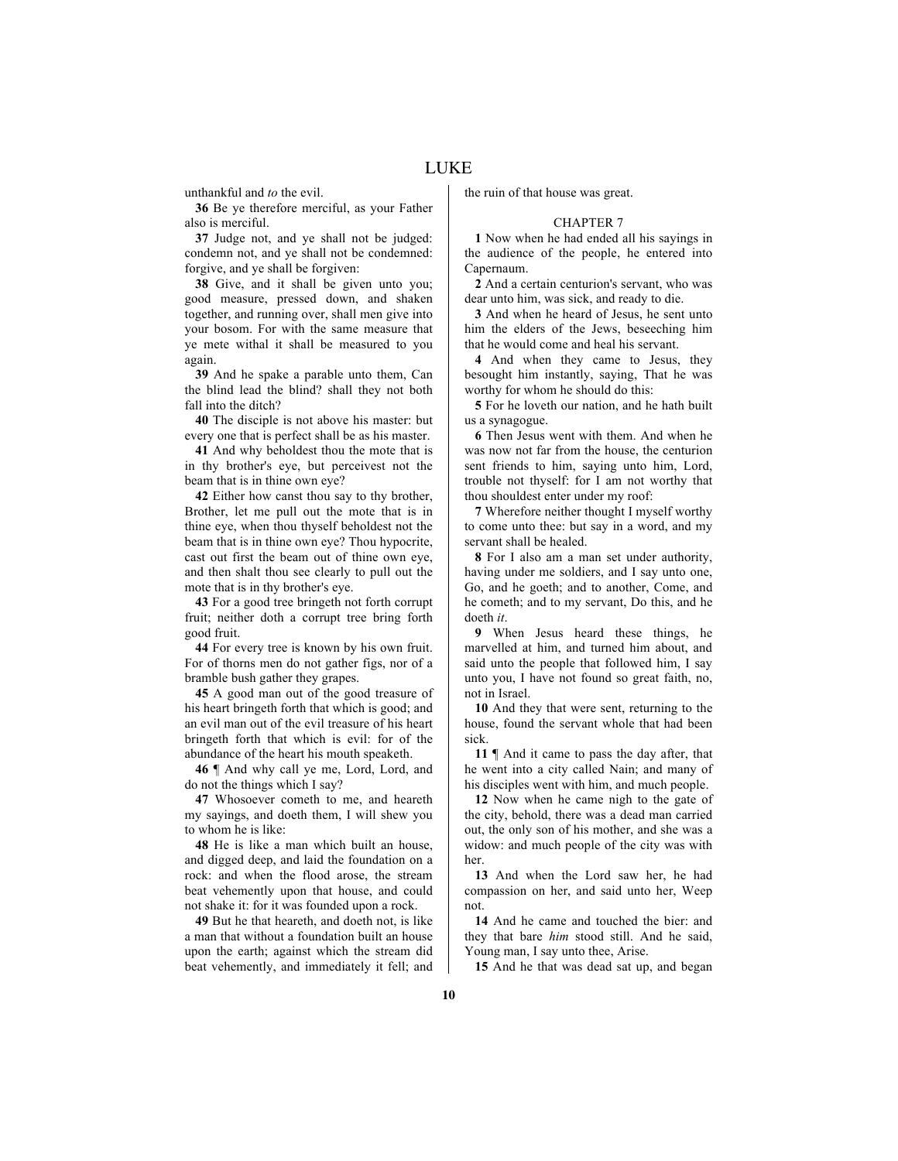unthankful and *to* the evil.

**36** Be ye therefore merciful, as your Father also is merciful.

**37** Judge not, and ye shall not be judged: condemn not, and ye shall not be condemned: forgive, and ye shall be forgiven:

**38** Give, and it shall be given unto you; good measure, pressed down, and shaken together, and running over, shall men give into your bosom. For with the same measure that ye mete withal it shall be measured to you again.

**39** And he spake a parable unto them, Can the blind lead the blind? shall they not both fall into the ditch?

**40** The disciple is not above his master: but every one that is perfect shall be as his master.

**41** And why beholdest thou the mote that is in thy brother's eye, but perceivest not the beam that is in thine own eye?

**42** Either how canst thou say to thy brother, Brother, let me pull out the mote that is in thine eye, when thou thyself beholdest not the beam that is in thine own eye? Thou hypocrite, cast out first the beam out of thine own eye, and then shalt thou see clearly to pull out the mote that is in thy brother's eye.

**43** For a good tree bringeth not forth corrupt fruit; neither doth a corrupt tree bring forth good fruit.

**44** For every tree is known by his own fruit. For of thorns men do not gather figs, nor of a bramble bush gather they grapes.

**45** A good man out of the good treasure of his heart bringeth forth that which is good; and an evil man out of the evil treasure of his heart bringeth forth that which is evil: for of the abundance of the heart his mouth speaketh.

**46** ¶ And why call ye me, Lord, Lord, and do not the things which I say?

**47** Whosoever cometh to me, and heareth my sayings, and doeth them, I will shew you to whom he is like:

**48** He is like a man which built an house, and digged deep, and laid the foundation on a rock: and when the flood arose, the stream beat vehemently upon that house, and could not shake it: for it was founded upon a rock.

**49** But he that heareth, and doeth not, is like a man that without a foundation built an house upon the earth; against which the stream did beat vehemently, and immediately it fell; and the ruin of that house was great.

#### CHAPTER 7

**1** Now when he had ended all his sayings in the audience of the people, he entered into Capernaum

**2** And a certain centurion's servant, who was dear unto him, was sick, and ready to die.

**3** And when he heard of Jesus, he sent unto him the elders of the Jews, beseeching him that he would come and heal his servant.

**4** And when they came to Jesus, they besought him instantly, saying, That he was worthy for whom he should do this:

**5** For he loveth our nation, and he hath built us a synagogue.

**6** Then Jesus went with them. And when he was now not far from the house, the centurion sent friends to him, saying unto him, Lord, trouble not thyself: for I am not worthy that thou shouldest enter under my roof:

**7** Wherefore neither thought I myself worthy to come unto thee: but say in a word, and my servant shall be healed.

**8** For I also am a man set under authority, having under me soldiers, and I say unto one, Go, and he goeth; and to another, Come, and he cometh; and to my servant, Do this, and he doeth *it*.

**9** When Jesus heard these things, he marvelled at him, and turned him about, and said unto the people that followed him, I say unto you, I have not found so great faith, no, not in Israel.

**10** And they that were sent, returning to the house, found the servant whole that had been sick.

**11** ¶ And it came to pass the day after, that he went into a city called Nain; and many of his disciples went with him, and much people.

**12** Now when he came nigh to the gate of the city, behold, there was a dead man carried out, the only son of his mother, and she was a widow: and much people of the city was with her.

**13** And when the Lord saw her, he had compassion on her, and said unto her, Weep not.

**14** And he came and touched the bier: and they that bare *him* stood still. And he said, Young man, I say unto thee, Arise.

**15** And he that was dead sat up, and began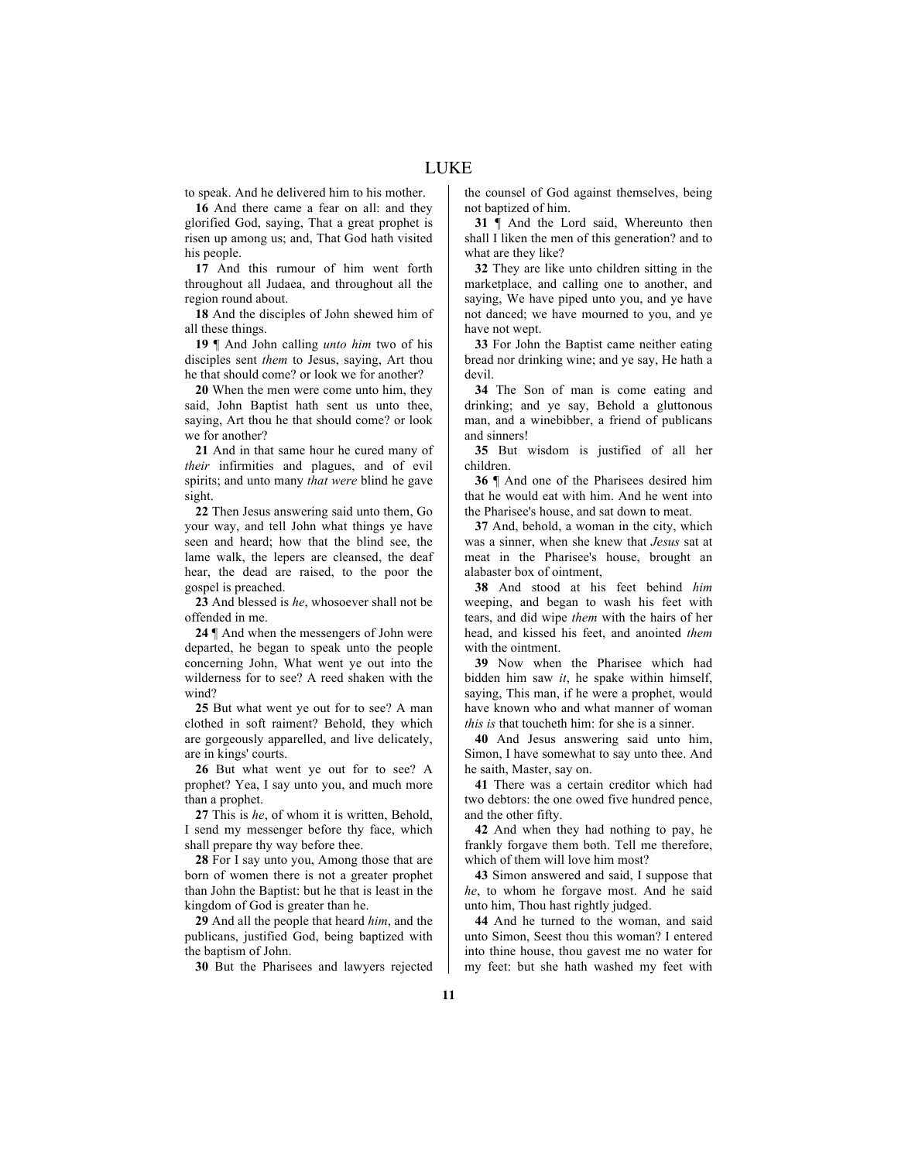to speak. And he delivered him to his mother.

**16** And there came a fear on all: and they glorified God, saying, That a great prophet is risen up among us; and, That God hath visited his people.

**17** And this rumour of him went forth throughout all Judaea, and throughout all the region round about.

**18** And the disciples of John shewed him of all these things.

**19** ¶ And John calling *unto him* two of his disciples sent *them* to Jesus, saying, Art thou he that should come? or look we for another?

**20** When the men were come unto him, they said, John Baptist hath sent us unto thee, saying, Art thou he that should come? or look we for another?

**21** And in that same hour he cured many of *their* infirmities and plagues, and of evil spirits; and unto many *that were* blind he gave sight.

**22** Then Jesus answering said unto them, Go your way, and tell John what things ye have seen and heard; how that the blind see, the lame walk, the lepers are cleansed, the deaf hear, the dead are raised, to the poor the gospel is preached.

**23** And blessed is *he*, whosoever shall not be offended in me.

**24** ¶ And when the messengers of John were departed, he began to speak unto the people concerning John, What went ye out into the wilderness for to see? A reed shaken with the wind?

**25** But what went ye out for to see? A man clothed in soft raiment? Behold, they which are gorgeously apparelled, and live delicately, are in kings' courts.

**26** But what went ye out for to see? A prophet? Yea, I say unto you, and much more than a prophet.

**27** This is *he*, of whom it is written, Behold, I send my messenger before thy face, which shall prepare thy way before thee.

**28** For I say unto you, Among those that are born of women there is not a greater prophet than John the Baptist: but he that is least in the kingdom of God is greater than he.

**29** And all the people that heard *him*, and the publicans, justified God, being baptized with the baptism of John.

**30** But the Pharisees and lawyers rejected

the counsel of God against themselves, being not baptized of him.

**31** ¶ And the Lord said, Whereunto then shall I liken the men of this generation? and to what are they like?

**32** They are like unto children sitting in the marketplace, and calling one to another, and saying, We have piped unto you, and ye have not danced; we have mourned to you, and ye have not wept.

**33** For John the Baptist came neither eating bread nor drinking wine; and ye say, He hath a devil.

**34** The Son of man is come eating and drinking; and ye say, Behold a gluttonous man, and a winebibber, a friend of publicans and sinners!

**35** But wisdom is justified of all her children.

**36** ¶ And one of the Pharisees desired him that he would eat with him. And he went into the Pharisee's house, and sat down to meat.

**37** And, behold, a woman in the city, which was a sinner, when she knew that *Jesus* sat at meat in the Pharisee's house, brought an alabaster box of ointment,

**38** And stood at his feet behind *him* weeping, and began to wash his feet with tears, and did wipe *them* with the hairs of her head, and kissed his feet, and anointed *them* with the ointment.

**39** Now when the Pharisee which had bidden him saw *it*, he spake within himself, saying, This man, if he were a prophet, would have known who and what manner of woman *this is* that toucheth him: for she is a sinner.

**40** And Jesus answering said unto him, Simon, I have somewhat to say unto thee. And he saith, Master, say on.

**41** There was a certain creditor which had two debtors: the one owed five hundred pence, and the other fifty.

**42** And when they had nothing to pay, he frankly forgave them both. Tell me therefore, which of them will love him most?

**43** Simon answered and said, I suppose that *he*, to whom he forgave most. And he said unto him, Thou hast rightly judged.

**44** And he turned to the woman, and said unto Simon, Seest thou this woman? I entered into thine house, thou gavest me no water for my feet: but she hath washed my feet with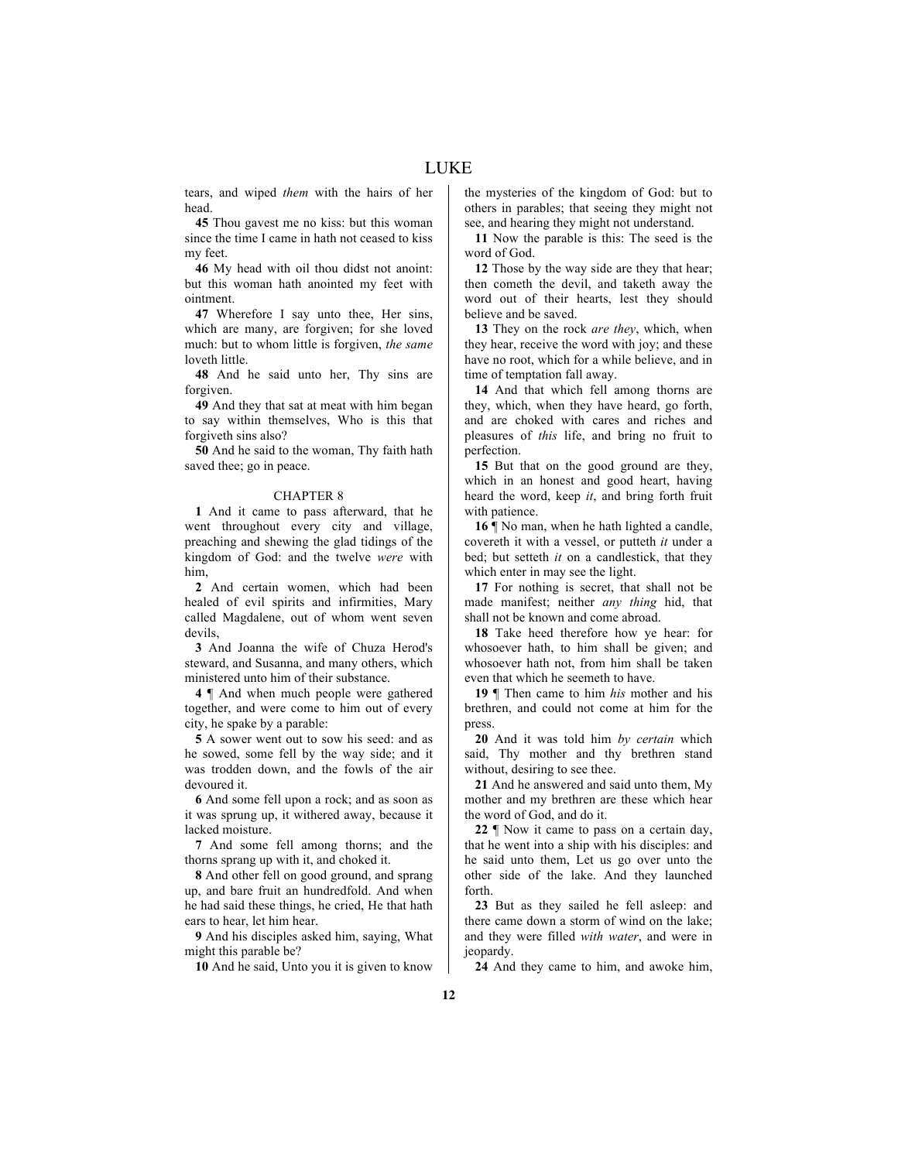tears, and wiped *them* with the hairs of her head.

**45** Thou gavest me no kiss: but this woman since the time I came in hath not ceased to kiss my feet.

**46** My head with oil thou didst not anoint: but this woman hath anointed my feet with ointment.

**47** Wherefore I say unto thee, Her sins, which are many, are forgiven; for she loved much: but to whom little is forgiven, *the same* loveth little.

**48** And he said unto her, Thy sins are forgiven.

**49** And they that sat at meat with him began to say within themselves, Who is this that forgiveth sins also?

**50** And he said to the woman, Thy faith hath saved thee; go in peace.

## CHAPTER 8

**1** And it came to pass afterward, that he went throughout every city and village, preaching and shewing the glad tidings of the kingdom of God: and the twelve *were* with him,

**2** And certain women, which had been healed of evil spirits and infirmities, Mary called Magdalene, out of whom went seven devils,

**3** And Joanna the wife of Chuza Herod's steward, and Susanna, and many others, which ministered unto him of their substance.

**4** ¶ And when much people were gathered together, and were come to him out of every city, he spake by a parable:

**5** A sower went out to sow his seed: and as he sowed, some fell by the way side; and it was trodden down, and the fowls of the air devoured it.

**6** And some fell upon a rock; and as soon as it was sprung up, it withered away, because it lacked moisture.

**7** And some fell among thorns; and the thorns sprang up with it, and choked it.

**8** And other fell on good ground, and sprang up, and bare fruit an hundredfold. And when he had said these things, he cried, He that hath ears to hear, let him hear.

**9** And his disciples asked him, saying, What might this parable be?

**10** And he said, Unto you it is given to know

the mysteries of the kingdom of God: but to others in parables; that seeing they might not see, and hearing they might not understand.

**11** Now the parable is this: The seed is the word of God.

**12** Those by the way side are they that hear; then cometh the devil, and taketh away the word out of their hearts, lest they should believe and be saved.

**13** They on the rock *are they*, which, when they hear, receive the word with joy; and these have no root, which for a while believe, and in time of temptation fall away.

**14** And that which fell among thorns are they, which, when they have heard, go forth, and are choked with cares and riches and pleasures of *this* life, and bring no fruit to perfection.

**15** But that on the good ground are they, which in an honest and good heart, having heard the word, keep *it*, and bring forth fruit with patience.

**16** ¶ No man, when he hath lighted a candle, covereth it with a vessel, or putteth *it* under a bed; but setteth *it* on a candlestick, that they which enter in may see the light.

**17** For nothing is secret, that shall not be made manifest; neither *any thing* hid, that shall not be known and come abroad.

**18** Take heed therefore how ye hear: for whosoever hath, to him shall be given; and whosoever hath not, from him shall be taken even that which he seemeth to have.

**19** ¶ Then came to him *his* mother and his brethren, and could not come at him for the press.

**20** And it was told him *by certain* which said, Thy mother and thy brethren stand without, desiring to see thee.

**21** And he answered and said unto them, My mother and my brethren are these which hear the word of God, and do it.

**22** ¶ Now it came to pass on a certain day, that he went into a ship with his disciples: and he said unto them, Let us go over unto the other side of the lake. And they launched forth.

**23** But as they sailed he fell asleep: and there came down a storm of wind on the lake; and they were filled *with water*, and were in jeopardy.

**24** And they came to him, and awoke him,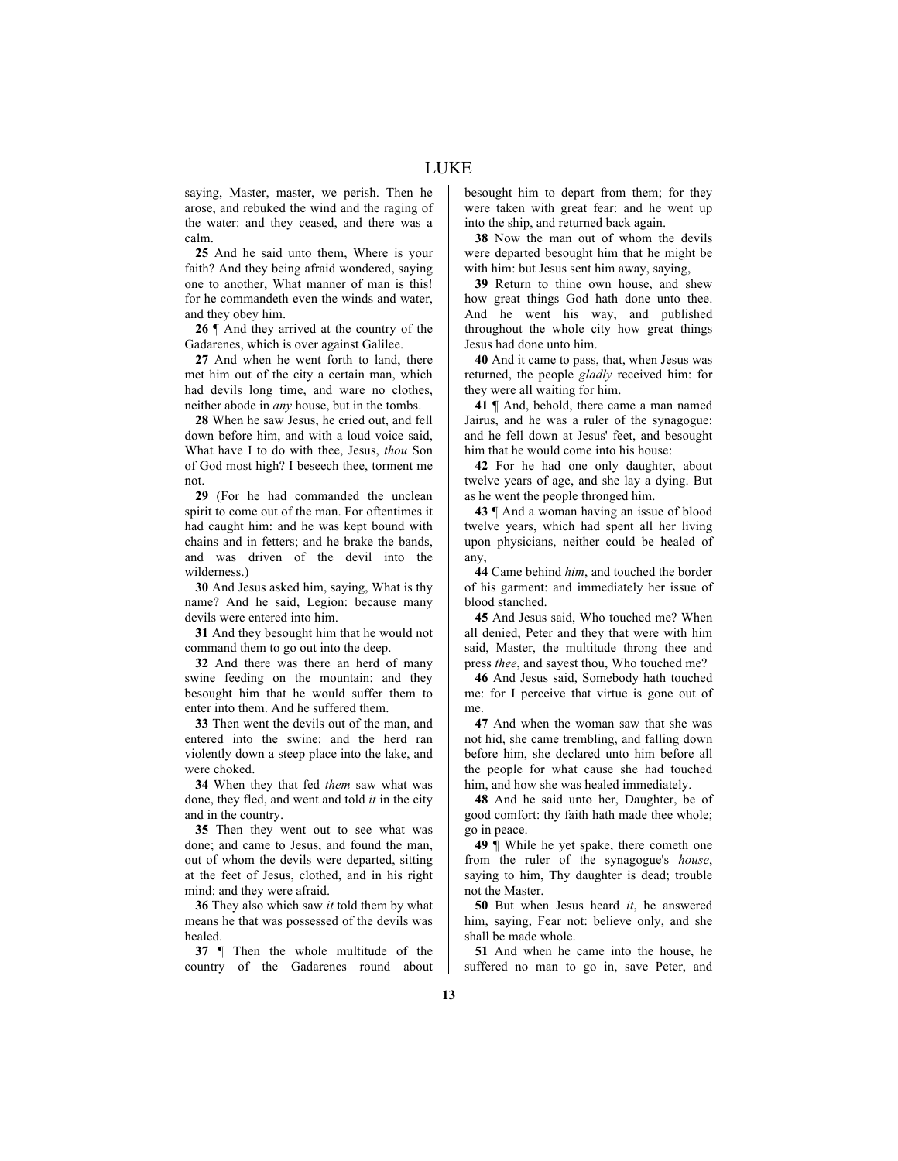saying, Master, master, we perish. Then he arose, and rebuked the wind and the raging of the water: and they ceased, and there was a calm.

**25** And he said unto them, Where is your faith? And they being afraid wondered, saying one to another, What manner of man is this! for he commandeth even the winds and water, and they obey him.

**26** ¶ And they arrived at the country of the Gadarenes, which is over against Galilee.

**27** And when he went forth to land, there met him out of the city a certain man, which had devils long time, and ware no clothes, neither abode in *any* house, but in the tombs.

**28** When he saw Jesus, he cried out, and fell down before him, and with a loud voice said, What have I to do with thee, Jesus, *thou* Son of God most high? I beseech thee, torment me not.

**29** (For he had commanded the unclean spirit to come out of the man. For oftentimes it had caught him: and he was kept bound with chains and in fetters; and he brake the bands, and was driven of the devil into the wilderness.)

**30** And Jesus asked him, saying, What is thy name? And he said, Legion: because many devils were entered into him.

**31** And they besought him that he would not command them to go out into the deep.

**32** And there was there an herd of many swine feeding on the mountain: and they besought him that he would suffer them to enter into them. And he suffered them.

**33** Then went the devils out of the man, and entered into the swine: and the herd ran violently down a steep place into the lake, and were choked.

**34** When they that fed *them* saw what was done, they fled, and went and told *it* in the city and in the country.

**35** Then they went out to see what was done; and came to Jesus, and found the man, out of whom the devils were departed, sitting at the feet of Jesus, clothed, and in his right mind: and they were afraid.

**36** They also which saw *it* told them by what means he that was possessed of the devils was healed.

**37** ¶ Then the whole multitude of the country of the Gadarenes round about besought him to depart from them; for they were taken with great fear: and he went up into the ship, and returned back again.

**38** Now the man out of whom the devils were departed besought him that he might be with him: but Jesus sent him away, saying,

**39** Return to thine own house, and shew how great things God hath done unto thee. And he went his way, and published throughout the whole city how great things Jesus had done unto him.

**40** And it came to pass, that, when Jesus was returned, the people *gladly* received him: for they were all waiting for him.

**41** ¶ And, behold, there came a man named Jairus, and he was a ruler of the synagogue: and he fell down at Jesus' feet, and besought him that he would come into his house:

**42** For he had one only daughter, about twelve years of age, and she lay a dying. But as he went the people thronged him.

**43** ¶ And a woman having an issue of blood twelve years, which had spent all her living upon physicians, neither could be healed of any,

**44** Came behind *him*, and touched the border of his garment: and immediately her issue of blood stanched.

**45** And Jesus said, Who touched me? When all denied, Peter and they that were with him said, Master, the multitude throng thee and press *thee*, and sayest thou, Who touched me?

**46** And Jesus said, Somebody hath touched me: for I perceive that virtue is gone out of me.

**47** And when the woman saw that she was not hid, she came trembling, and falling down before him, she declared unto him before all the people for what cause she had touched him, and how she was healed immediately.

**48** And he said unto her, Daughter, be of good comfort: thy faith hath made thee whole; go in peace.

**49** ¶ While he yet spake, there cometh one from the ruler of the synagogue's *house*, saying to him, Thy daughter is dead; trouble not the Master.

**50** But when Jesus heard *it*, he answered him, saying, Fear not: believe only, and she shall be made whole.

**51** And when he came into the house, he suffered no man to go in, save Peter, and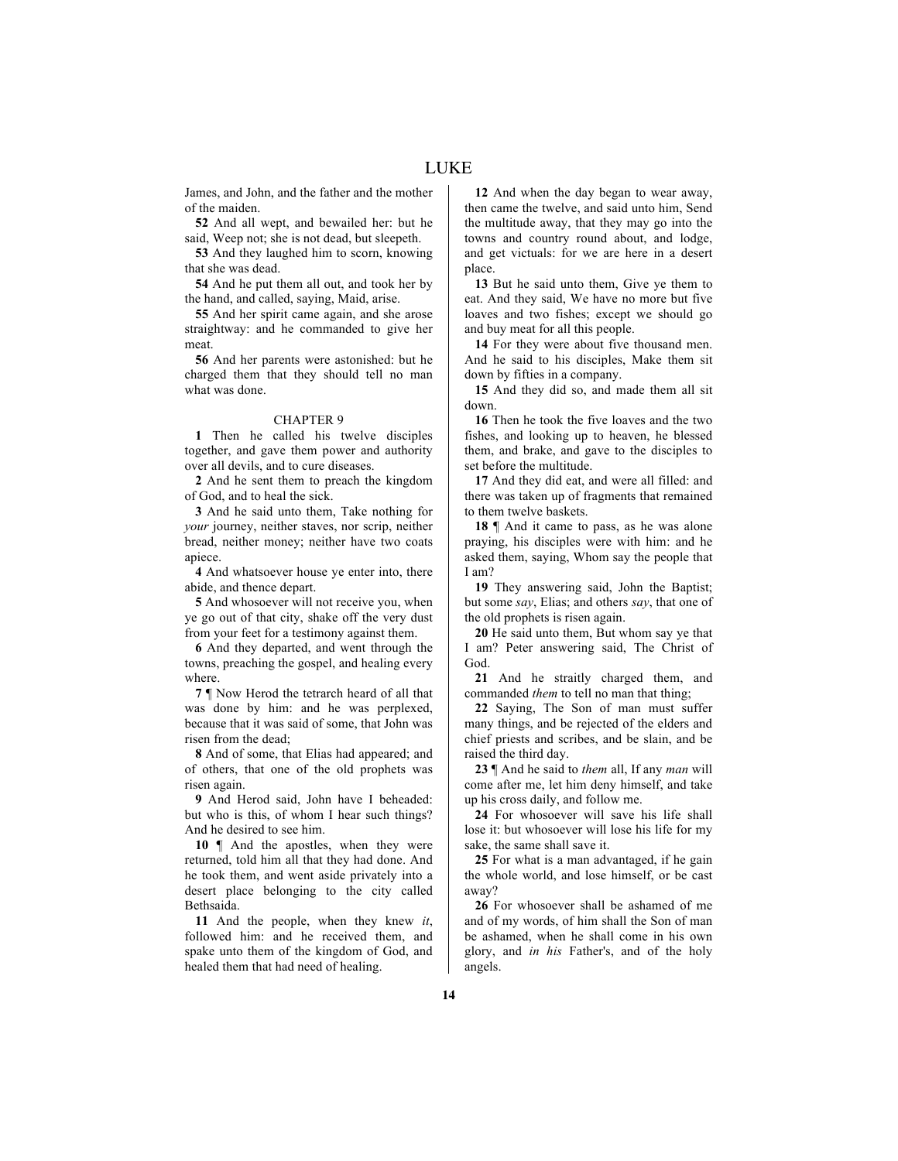James, and John, and the father and the mother of the maiden.

**52** And all wept, and bewailed her: but he said, Weep not; she is not dead, but sleepeth.

**53** And they laughed him to scorn, knowing that she was dead.

**54** And he put them all out, and took her by the hand, and called, saying, Maid, arise.

**55** And her spirit came again, and she arose straightway: and he commanded to give her meat.

**56** And her parents were astonished: but he charged them that they should tell no man what was done.

# CHAPTER 9

**1** Then he called his twelve disciples together, and gave them power and authority over all devils, and to cure diseases.

**2** And he sent them to preach the kingdom of God, and to heal the sick.

**3** And he said unto them, Take nothing for *your* journey, neither staves, nor scrip, neither bread, neither money; neither have two coats apiece.

**4** And whatsoever house ye enter into, there abide, and thence depart.

**5** And whosoever will not receive you, when ye go out of that city, shake off the very dust from your feet for a testimony against them.

**6** And they departed, and went through the towns, preaching the gospel, and healing every where.

**7** ¶ Now Herod the tetrarch heard of all that was done by him: and he was perplexed, because that it was said of some, that John was risen from the dead;

**8** And of some, that Elias had appeared; and of others, that one of the old prophets was risen again.

**9** And Herod said, John have I beheaded: but who is this, of whom I hear such things? And he desired to see him.

10  $\parallel$  And the apostles, when they were returned, told him all that they had done. And he took them, and went aside privately into a desert place belonging to the city called Bethsaida.

**11** And the people, when they knew *it*, followed him: and he received them, and spake unto them of the kingdom of God, and healed them that had need of healing.

**12** And when the day began to wear away, then came the twelve, and said unto him, Send the multitude away, that they may go into the towns and country round about, and lodge, and get victuals: for we are here in a desert place.

**13** But he said unto them, Give ye them to eat. And they said, We have no more but five loaves and two fishes; except we should go and buy meat for all this people.

**14** For they were about five thousand men. And he said to his disciples, Make them sit down by fifties in a company.

**15** And they did so, and made them all sit down.

**16** Then he took the five loaves and the two fishes, and looking up to heaven, he blessed them, and brake, and gave to the disciples to set before the multitude.

**17** And they did eat, and were all filled: and there was taken up of fragments that remained to them twelve baskets.

**18** ¶ And it came to pass, as he was alone praying, his disciples were with him: and he asked them, saying, Whom say the people that I am?

**19** They answering said, John the Baptist; but some *say*, Elias; and others *say*, that one of the old prophets is risen again.

**20** He said unto them, But whom say ye that I am? Peter answering said, The Christ of God.

**21** And he straitly charged them, and commanded *them* to tell no man that thing;

**22** Saying, The Son of man must suffer many things, and be rejected of the elders and chief priests and scribes, and be slain, and be raised the third day.

**23** ¶ And he said to *them* all, If any *man* will come after me, let him deny himself, and take up his cross daily, and follow me.

**24** For whosoever will save his life shall lose it: but whosoever will lose his life for my sake, the same shall save it.

**25** For what is a man advantaged, if he gain the whole world, and lose himself, or be cast away?

**26** For whosoever shall be ashamed of me and of my words, of him shall the Son of man be ashamed, when he shall come in his own glory, and *in his* Father's, and of the holy angels.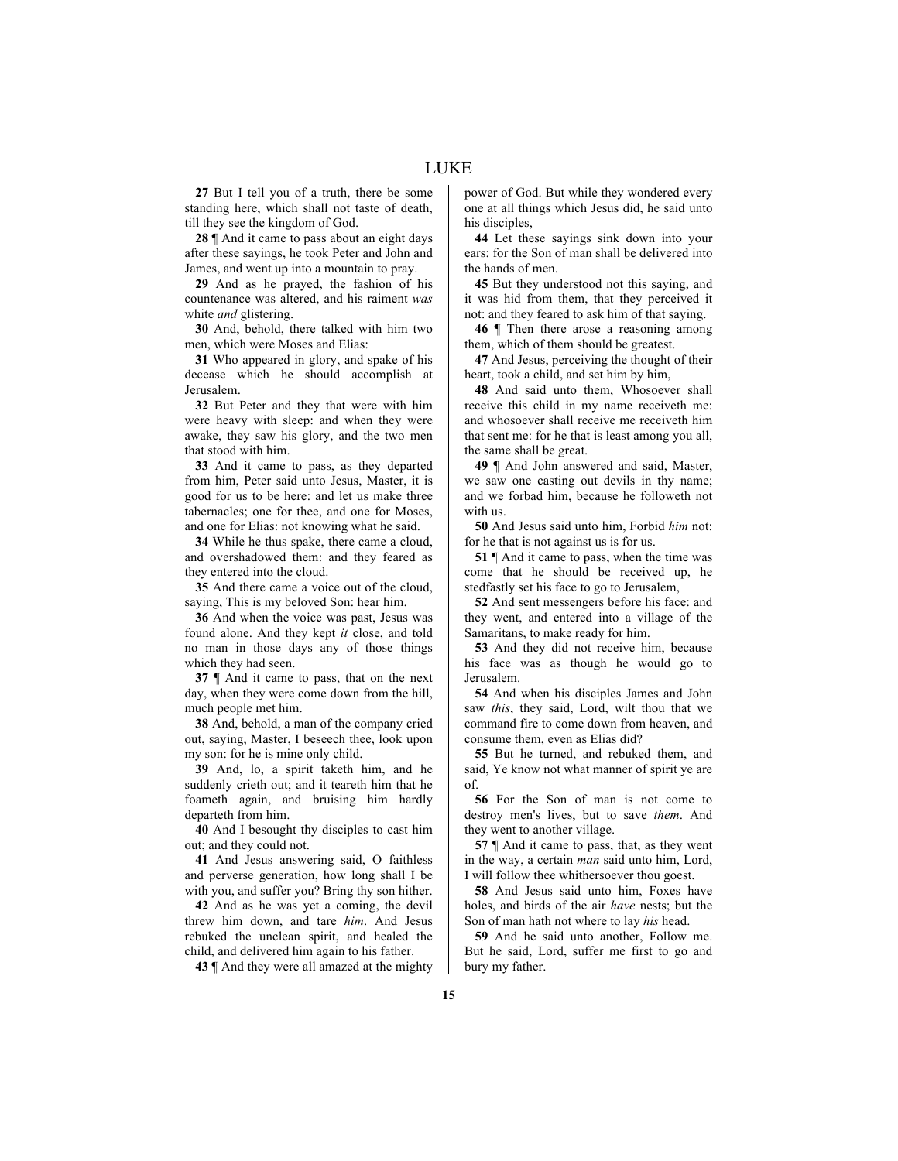**27** But I tell you of a truth, there be some standing here, which shall not taste of death, till they see the kingdom of God.

**28** ¶ And it came to pass about an eight days after these sayings, he took Peter and John and James, and went up into a mountain to pray.

**29** And as he prayed, the fashion of his countenance was altered, and his raiment *was* white *and* glistering.

**30** And, behold, there talked with him two men, which were Moses and Elias:

**31** Who appeared in glory, and spake of his decease which he should accomplish at Jerusalem.

**32** But Peter and they that were with him were heavy with sleep: and when they were awake, they saw his glory, and the two men that stood with him.

**33** And it came to pass, as they departed from him, Peter said unto Jesus, Master, it is good for us to be here: and let us make three tabernacles; one for thee, and one for Moses, and one for Elias: not knowing what he said.

**34** While he thus spake, there came a cloud, and overshadowed them: and they feared as they entered into the cloud.

**35** And there came a voice out of the cloud, saying, This is my beloved Son: hear him.

**36** And when the voice was past, Jesus was found alone. And they kept *it* close, and told no man in those days any of those things which they had seen.

**37** ¶ And it came to pass, that on the next day, when they were come down from the hill, much people met him.

**38** And, behold, a man of the company cried out, saying, Master, I beseech thee, look upon my son: for he is mine only child.

**39** And, lo, a spirit taketh him, and he suddenly crieth out; and it teareth him that he foameth again, and bruising him hardly departeth from him.

**40** And I besought thy disciples to cast him out; and they could not.

**41** And Jesus answering said, O faithless and perverse generation, how long shall I be with you, and suffer you? Bring thy son hither.

**42** And as he was yet a coming, the devil threw him down, and tare *him*. And Jesus rebuked the unclean spirit, and healed the child, and delivered him again to his father.

**43** ¶ And they were all amazed at the mighty

power of God. But while they wondered every one at all things which Jesus did, he said unto his disciples,

**44** Let these sayings sink down into your ears: for the Son of man shall be delivered into the hands of men.

**45** But they understood not this saying, and it was hid from them, that they perceived it not: and they feared to ask him of that saying.

**46** ¶ Then there arose a reasoning among them, which of them should be greatest.

**47** And Jesus, perceiving the thought of their heart, took a child, and set him by him,

**48** And said unto them, Whosoever shall receive this child in my name receiveth me: and whosoever shall receive me receiveth him that sent me: for he that is least among you all, the same shall be great.

**49** ¶ And John answered and said, Master, we saw one casting out devils in thy name; and we forbad him, because he followeth not with us.

**50** And Jesus said unto him, Forbid *him* not: for he that is not against us is for us.

**51** ¶ And it came to pass, when the time was come that he should be received up, he stedfastly set his face to go to Jerusalem,

**52** And sent messengers before his face: and they went, and entered into a village of the Samaritans, to make ready for him.

**53** And they did not receive him, because his face was as though he would go to Jerusalem.

**54** And when his disciples James and John saw *this*, they said, Lord, wilt thou that we command fire to come down from heaven, and consume them, even as Elias did?

**55** But he turned, and rebuked them, and said, Ye know not what manner of spirit ye are of.

**56** For the Son of man is not come to destroy men's lives, but to save *them*. And they went to another village.

**57** ¶ And it came to pass, that, as they went in the way, a certain *man* said unto him, Lord, I will follow thee whithersoever thou goest.

**58** And Jesus said unto him, Foxes have holes, and birds of the air *have* nests; but the Son of man hath not where to lay *his* head.

**59** And he said unto another, Follow me. But he said, Lord, suffer me first to go and bury my father.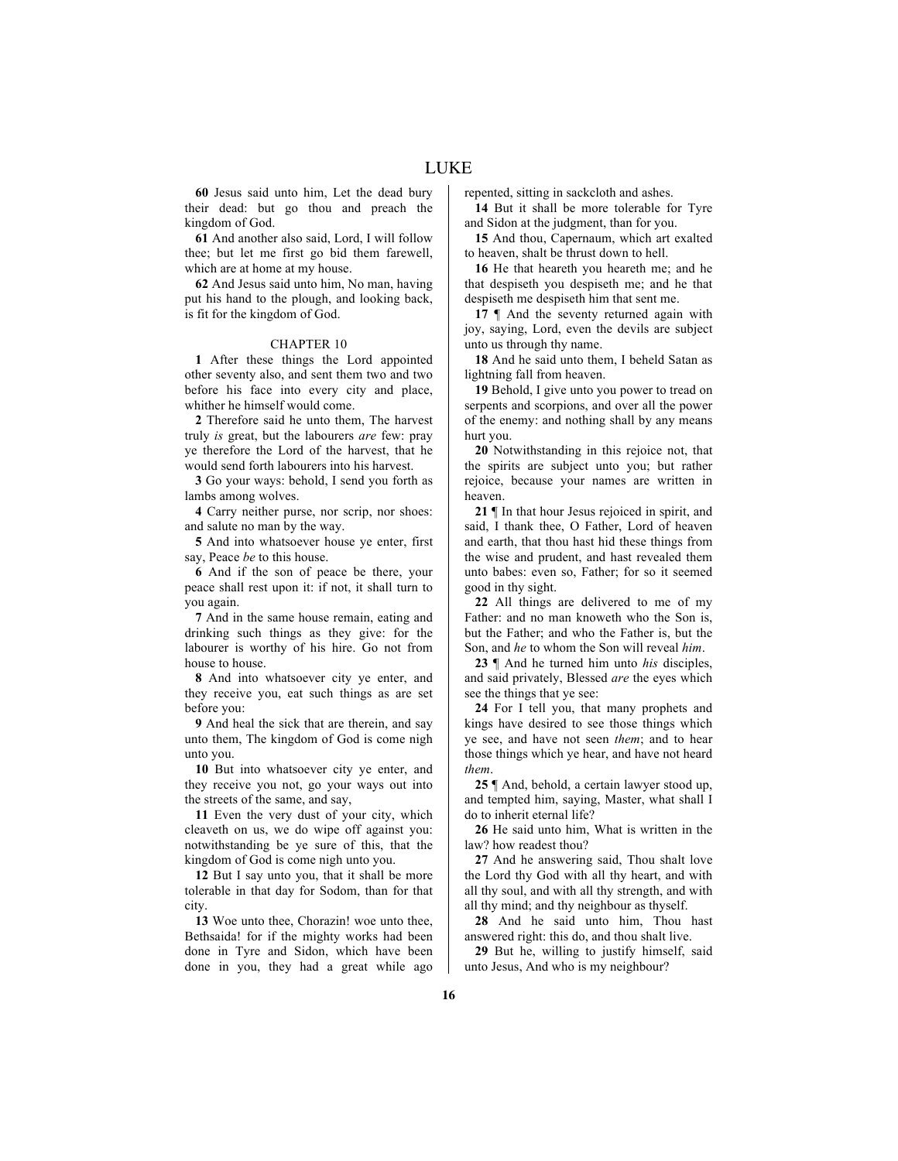LUKE

**60** Jesus said unto him, Let the dead bury their dead: but go thou and preach the kingdom of God.

**61** And another also said, Lord, I will follow thee; but let me first go bid them farewell, which are at home at my house.

**62** And Jesus said unto him, No man, having put his hand to the plough, and looking back, is fit for the kingdom of God.

#### CHAPTER 10

**1** After these things the Lord appointed other seventy also, and sent them two and two before his face into every city and place, whither he himself would come.

**2** Therefore said he unto them, The harvest truly *is* great, but the labourers *are* few: pray ye therefore the Lord of the harvest, that he would send forth labourers into his harvest.

**3** Go your ways: behold, I send you forth as lambs among wolves.

**4** Carry neither purse, nor scrip, nor shoes: and salute no man by the way.

**5** And into whatsoever house ye enter, first say, Peace *be* to this house.

**6** And if the son of peace be there, your peace shall rest upon it: if not, it shall turn to you again.

**7** And in the same house remain, eating and drinking such things as they give: for the labourer is worthy of his hire. Go not from house to house.

**8** And into whatsoever city ye enter, and they receive you, eat such things as are set before you:

**9** And heal the sick that are therein, and say unto them, The kingdom of God is come nigh unto you.

**10** But into whatsoever city ye enter, and they receive you not, go your ways out into the streets of the same, and say,

**11** Even the very dust of your city, which cleaveth on us, we do wipe off against you: notwithstanding be ye sure of this, that the kingdom of God is come nigh unto you.

**12** But I say unto you, that it shall be more tolerable in that day for Sodom, than for that city.

**13** Woe unto thee, Chorazin! woe unto thee, Bethsaida! for if the mighty works had been done in Tyre and Sidon, which have been done in you, they had a great while ago repented, sitting in sackcloth and ashes.

**14** But it shall be more tolerable for Tyre and Sidon at the judgment, than for you.

**15** And thou, Capernaum, which art exalted to heaven, shalt be thrust down to hell.

**16** He that heareth you heareth me; and he that despiseth you despiseth me; and he that despiseth me despiseth him that sent me.

17  $\parallel$  And the seventy returned again with joy, saying, Lord, even the devils are subject unto us through thy name.

**18** And he said unto them, I beheld Satan as lightning fall from heaven.

**19** Behold, I give unto you power to tread on serpents and scorpions, and over all the power of the enemy: and nothing shall by any means hurt you.

**20** Notwithstanding in this rejoice not, that the spirits are subject unto you; but rather rejoice, because your names are written in heaven.

**21** ¶ In that hour Jesus rejoiced in spirit, and said, I thank thee, O Father, Lord of heaven and earth, that thou hast hid these things from the wise and prudent, and hast revealed them unto babes: even so, Father; for so it seemed good in thy sight.

**22** All things are delivered to me of my Father: and no man knoweth who the Son is, but the Father; and who the Father is, but the Son, and *he* to whom the Son will reveal *him*.

**23** ¶ And he turned him unto *his* disciples, and said privately, Blessed *are* the eyes which see the things that ye see:

**24** For I tell you, that many prophets and kings have desired to see those things which ye see, and have not seen *them*; and to hear those things which ye hear, and have not heard *them*.

**25** ¶ And, behold, a certain lawyer stood up, and tempted him, saying, Master, what shall I do to inherit eternal life?

**26** He said unto him, What is written in the law? how readest thou?

**27** And he answering said, Thou shalt love the Lord thy God with all thy heart, and with all thy soul, and with all thy strength, and with all thy mind; and thy neighbour as thyself.

**28** And he said unto him, Thou hast answered right: this do, and thou shalt live.

**29** But he, willing to justify himself, said unto Jesus, And who is my neighbour?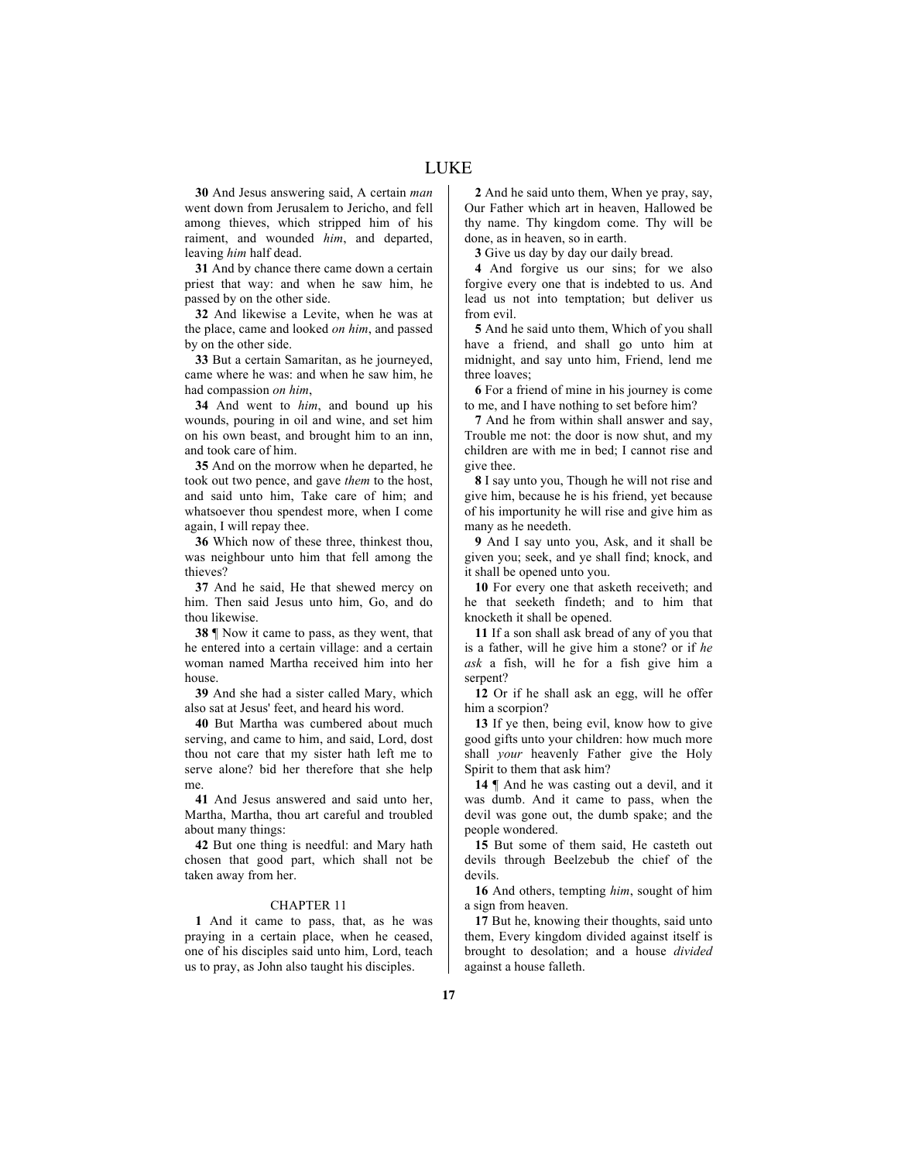LUKE

**30** And Jesus answering said, A certain *man* went down from Jerusalem to Jericho, and fell among thieves, which stripped him of his raiment, and wounded *him*, and departed, leaving *him* half dead.

**31** And by chance there came down a certain priest that way: and when he saw him, he passed by on the other side.

**32** And likewise a Levite, when he was at the place, came and looked *on him*, and passed by on the other side.

**33** But a certain Samaritan, as he journeyed, came where he was: and when he saw him, he had compassion *on him*,

**34** And went to *him*, and bound up his wounds, pouring in oil and wine, and set him on his own beast, and brought him to an inn, and took care of him.

**35** And on the morrow when he departed, he took out two pence, and gave *them* to the host, and said unto him, Take care of him; and whatsoever thou spendest more, when I come again, I will repay thee.

**36** Which now of these three, thinkest thou, was neighbour unto him that fell among the thieves?

**37** And he said, He that shewed mercy on him. Then said Jesus unto him, Go, and do thou likewise.

**38** ¶ Now it came to pass, as they went, that he entered into a certain village: and a certain woman named Martha received him into her house.

**39** And she had a sister called Mary, which also sat at Jesus' feet, and heard his word.

**40** But Martha was cumbered about much serving, and came to him, and said, Lord, dost thou not care that my sister hath left me to serve alone? bid her therefore that she help me.

**41** And Jesus answered and said unto her, Martha, Martha, thou art careful and troubled about many things:

**42** But one thing is needful: and Mary hath chosen that good part, which shall not be taken away from her.

# CHAPTER 11

**1** And it came to pass, that, as he was praying in a certain place, when he ceased, one of his disciples said unto him, Lord, teach us to pray, as John also taught his disciples.

**2** And he said unto them, When ye pray, say, Our Father which art in heaven, Hallowed be thy name. Thy kingdom come. Thy will be done, as in heaven, so in earth.

**3** Give us day by day our daily bread.

**4** And forgive us our sins; for we also forgive every one that is indebted to us. And lead us not into temptation; but deliver us from evil.

**5** And he said unto them, Which of you shall have a friend, and shall go unto him at midnight, and say unto him, Friend, lend me three loaves;

**6** For a friend of mine in his journey is come to me, and I have nothing to set before him?

**7** And he from within shall answer and say, Trouble me not: the door is now shut, and my children are with me in bed; I cannot rise and give thee.

**8** I say unto you, Though he will not rise and give him, because he is his friend, yet because of his importunity he will rise and give him as many as he needeth.

**9** And I say unto you, Ask, and it shall be given you; seek, and ye shall find; knock, and it shall be opened unto you.

**10** For every one that asketh receiveth; and he that seeketh findeth; and to him that knocketh it shall be opened.

**11** If a son shall ask bread of any of you that is a father, will he give him a stone? or if *he ask* a fish, will he for a fish give him a serpent?

**12** Or if he shall ask an egg, will he offer him a scorpion?

**13** If ye then, being evil, know how to give good gifts unto your children: how much more shall *your* heavenly Father give the Holy Spirit to them that ask him?

**14** ¶ And he was casting out a devil, and it was dumb. And it came to pass, when the devil was gone out, the dumb spake; and the people wondered.

**15** But some of them said, He casteth out devils through Beelzebub the chief of the devils.

**16** And others, tempting *him*, sought of him a sign from heaven.

**17** But he, knowing their thoughts, said unto them, Every kingdom divided against itself is brought to desolation; and a house *divided* against a house falleth.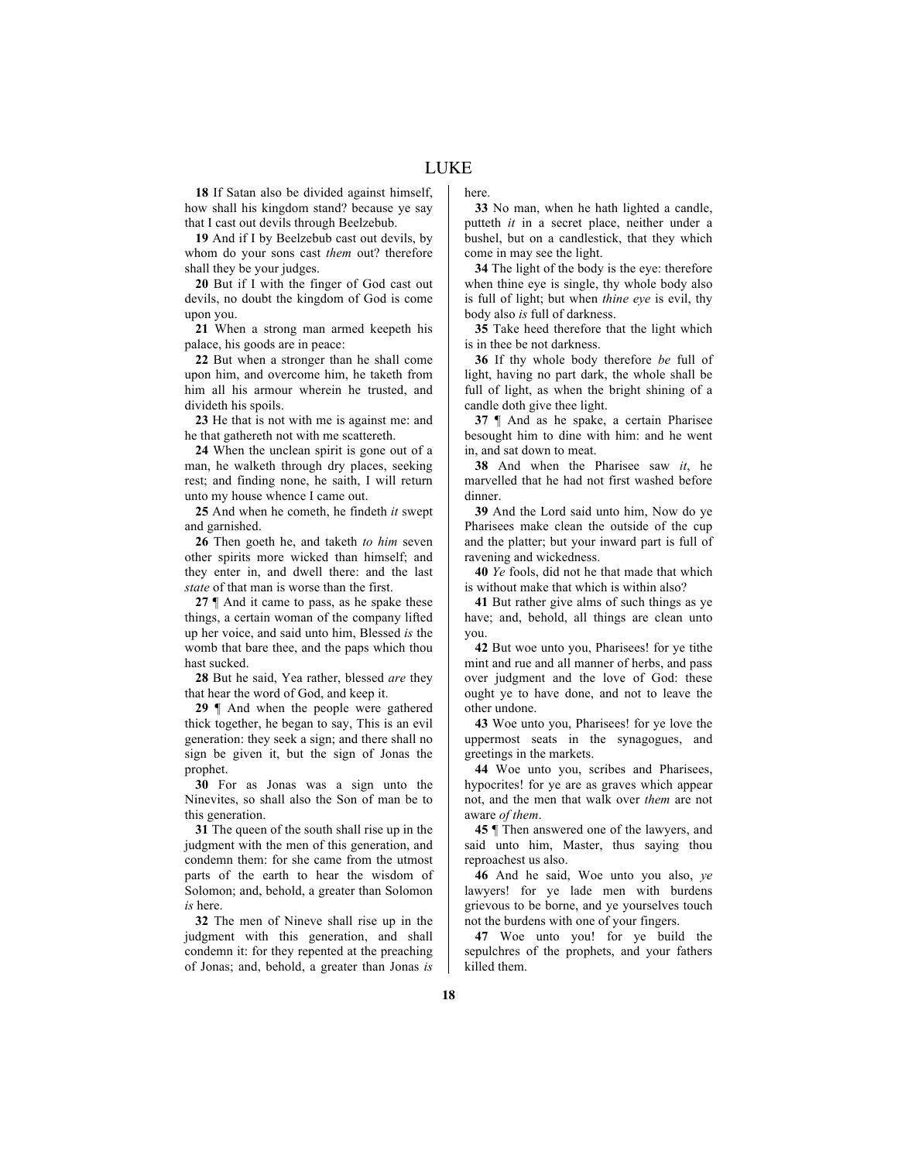**18** If Satan also be divided against himself, how shall his kingdom stand? because ye say that I cast out devils through Beelzebub.

**19** And if I by Beelzebub cast out devils, by whom do your sons cast *them* out? therefore shall they be your judges.

**20** But if I with the finger of God cast out devils, no doubt the kingdom of God is come upon you.

**21** When a strong man armed keepeth his palace, his goods are in peace:

**22** But when a stronger than he shall come upon him, and overcome him, he taketh from him all his armour wherein he trusted, and divideth his spoils.

**23** He that is not with me is against me: and he that gathereth not with me scattereth.

**24** When the unclean spirit is gone out of a man, he walketh through dry places, seeking rest; and finding none, he saith, I will return unto my house whence I came out.

**25** And when he cometh, he findeth *it* swept and garnished.

**26** Then goeth he, and taketh *to him* seven other spirits more wicked than himself; and they enter in, and dwell there: and the last *state* of that man is worse than the first.

**27** ¶ And it came to pass, as he spake these things, a certain woman of the company lifted up her voice, and said unto him, Blessed *is* the womb that bare thee, and the paps which thou hast sucked.

**28** But he said, Yea rather, blessed *are* they that hear the word of God, and keep it.

**29** ¶ And when the people were gathered thick together, he began to say, This is an evil generation: they seek a sign; and there shall no sign be given it, but the sign of Jonas the prophet.

**30** For as Jonas was a sign unto the Ninevites, so shall also the Son of man be to this generation.

**31** The queen of the south shall rise up in the judgment with the men of this generation, and condemn them: for she came from the utmost parts of the earth to hear the wisdom of Solomon; and, behold, a greater than Solomon *is* here.

**32** The men of Nineve shall rise up in the judgment with this generation, and shall condemn it: for they repented at the preaching of Jonas; and, behold, a greater than Jonas *is* here.

**33** No man, when he hath lighted a candle, putteth *it* in a secret place, neither under a bushel, but on a candlestick, that they which come in may see the light.

**34** The light of the body is the eye: therefore when thine eye is single, thy whole body also is full of light; but when *thine eye* is evil, thy body also *is* full of darkness.

**35** Take heed therefore that the light which is in thee be not darkness.

**36** If thy whole body therefore *be* full of light, having no part dark, the whole shall be full of light, as when the bright shining of a candle doth give thee light.

**37** ¶ And as he spake, a certain Pharisee besought him to dine with him: and he went in, and sat down to meat.

**38** And when the Pharisee saw *it*, he marvelled that he had not first washed before dinner.

**39** And the Lord said unto him, Now do ye Pharisees make clean the outside of the cup and the platter; but your inward part is full of ravening and wickedness.

**40** *Ye* fools, did not he that made that which is without make that which is within also?

**41** But rather give alms of such things as ye have; and, behold, all things are clean unto you.

**42** But woe unto you, Pharisees! for ye tithe mint and rue and all manner of herbs, and pass over judgment and the love of God: these ought ye to have done, and not to leave the other undone.

**43** Woe unto you, Pharisees! for ye love the uppermost seats in the synagogues, and greetings in the markets.

**44** Woe unto you, scribes and Pharisees, hypocrites! for ye are as graves which appear not, and the men that walk over *them* are not aware *of them*.

**45** ¶ Then answered one of the lawyers, and said unto him, Master, thus saying thou reproachest us also.

**46** And he said, Woe unto you also, *ye* lawyers! for ye lade men with burdens grievous to be borne, and ye yourselves touch not the burdens with one of your fingers.

**47** Woe unto you! for ye build the sepulchres of the prophets, and your fathers killed them.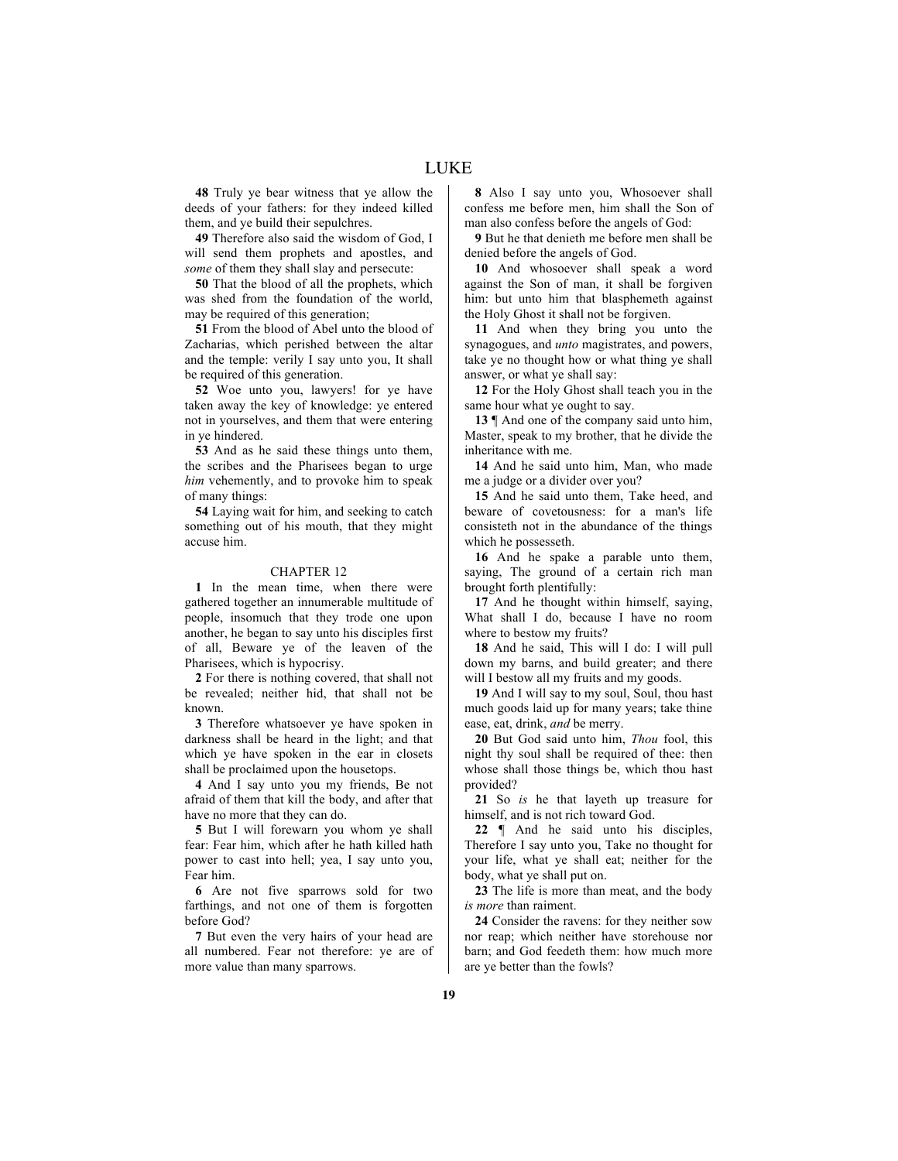**48** Truly ye bear witness that ye allow the deeds of your fathers: for they indeed killed them, and ye build their sepulchres.

**49** Therefore also said the wisdom of God, I will send them prophets and apostles, and *some* of them they shall slay and persecute:

**50** That the blood of all the prophets, which was shed from the foundation of the world, may be required of this generation;

**51** From the blood of Abel unto the blood of Zacharias, which perished between the altar and the temple: verily I say unto you, It shall be required of this generation.

**52** Woe unto you, lawyers! for ye have taken away the key of knowledge: ye entered not in yourselves, and them that were entering in ye hindered.

**53** And as he said these things unto them, the scribes and the Pharisees began to urge *him* vehemently, and to provoke him to speak of many things:

**54** Laying wait for him, and seeking to catch something out of his mouth, that they might accuse him.

#### CHAPTER 12

**1** In the mean time, when there were gathered together an innumerable multitude of people, insomuch that they trode one upon another, he began to say unto his disciples first of all, Beware ye of the leaven of the Pharisees, which is hypocrisy.

**2** For there is nothing covered, that shall not be revealed; neither hid, that shall not be known.

**3** Therefore whatsoever ye have spoken in darkness shall be heard in the light; and that which ye have spoken in the ear in closets shall be proclaimed upon the housetops.

**4** And I say unto you my friends, Be not afraid of them that kill the body, and after that have no more that they can do.

**5** But I will forewarn you whom ye shall fear: Fear him, which after he hath killed hath power to cast into hell; yea, I say unto you, Fear him.

**6** Are not five sparrows sold for two farthings, and not one of them is forgotten before God?

**7** But even the very hairs of your head are all numbered. Fear not therefore: ye are of more value than many sparrows.

**8** Also I say unto you, Whosoever shall confess me before men, him shall the Son of man also confess before the angels of God:

**9** But he that denieth me before men shall be denied before the angels of God.

**10** And whosoever shall speak a word against the Son of man, it shall be forgiven him: but unto him that blasphemeth against the Holy Ghost it shall not be forgiven.

**11** And when they bring you unto the synagogues, and *unto* magistrates, and powers, take ye no thought how or what thing ye shall answer, or what ye shall say:

**12** For the Holy Ghost shall teach you in the same hour what ye ought to say.

**13** ¶ And one of the company said unto him, Master, speak to my brother, that he divide the inheritance with me.

**14** And he said unto him, Man, who made me a judge or a divider over you?

**15** And he said unto them, Take heed, and beware of covetousness: for a man's life consisteth not in the abundance of the things which he possesseth.

**16** And he spake a parable unto them, saying, The ground of a certain rich man brought forth plentifully:

**17** And he thought within himself, saying, What shall I do, because I have no room where to bestow my fruits?

**18** And he said, This will I do: I will pull down my barns, and build greater; and there will I bestow all my fruits and my goods.

**19** And I will say to my soul, Soul, thou hast much goods laid up for many years; take thine ease, eat, drink, *and* be merry.

**20** But God said unto him, *Thou* fool, this night thy soul shall be required of thee: then whose shall those things be, which thou hast provided?

**21** So *is* he that layeth up treasure for himself, and is not rich toward God.

**22** ¶ And he said unto his disciples, Therefore I say unto you, Take no thought for your life, what ye shall eat; neither for the body, what ye shall put on.

**23** The life is more than meat, and the body *is more* than raiment.

**24** Consider the ravens: for they neither sow nor reap; which neither have storehouse nor barn; and God feedeth them: how much more are ye better than the fowls?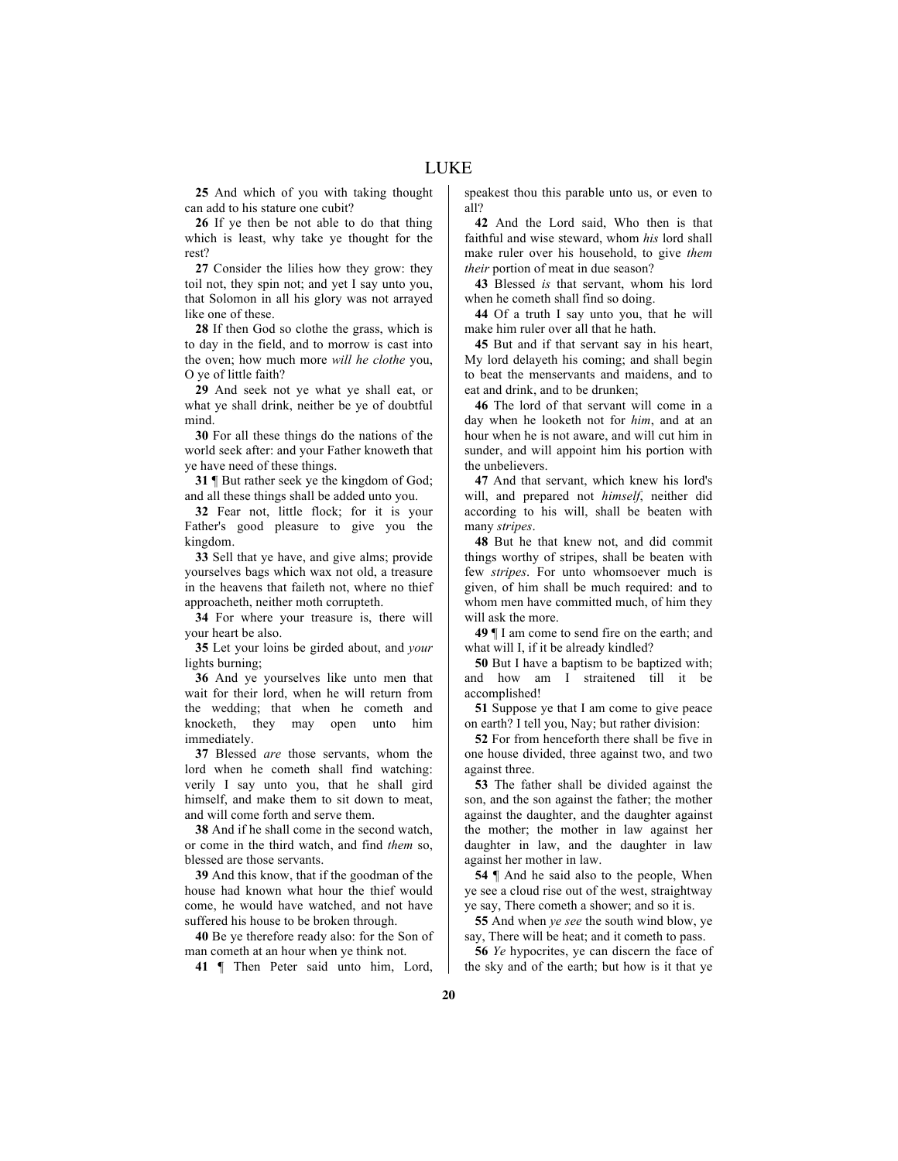**25** And which of you with taking thought can add to his stature one cubit?

**26** If ye then be not able to do that thing which is least, why take ye thought for the rest?

**27** Consider the lilies how they grow: they toil not, they spin not; and yet I say unto you, that Solomon in all his glory was not arrayed like one of these.

**28** If then God so clothe the grass, which is to day in the field, and to morrow is cast into the oven; how much more *will he clothe* you, O ye of little faith?

**29** And seek not ye what ye shall eat, or what ye shall drink, neither be ye of doubtful mind.

**30** For all these things do the nations of the world seek after: and your Father knoweth that ye have need of these things.

**31** ¶ But rather seek ye the kingdom of God; and all these things shall be added unto you.

**32** Fear not, little flock; for it is your Father's good pleasure to give you the kingdom.

**33** Sell that ye have, and give alms; provide yourselves bags which wax not old, a treasure in the heavens that faileth not, where no thief approacheth, neither moth corrupteth.

**34** For where your treasure is, there will your heart be also.

**35** Let your loins be girded about, and *your* lights burning;

**36** And ye yourselves like unto men that wait for their lord, when he will return from the wedding; that when he cometh and knocketh, they may open unto him immediately.

**37** Blessed *are* those servants, whom the lord when he cometh shall find watching: verily I say unto you, that he shall gird himself, and make them to sit down to meat, and will come forth and serve them.

**38** And if he shall come in the second watch, or come in the third watch, and find *them* so, blessed are those servants.

**39** And this know, that if the goodman of the house had known what hour the thief would come, he would have watched, and not have suffered his house to be broken through.

**40** Be ye therefore ready also: for the Son of man cometh at an hour when ye think not.

**41** ¶ Then Peter said unto him, Lord,

speakest thou this parable unto us, or even to all?

**42** And the Lord said, Who then is that faithful and wise steward, whom *his* lord shall make ruler over his household, to give *them their* portion of meat in due season?

**43** Blessed *is* that servant, whom his lord when he cometh shall find so doing.

**44** Of a truth I say unto you, that he will make him ruler over all that he hath.

**45** But and if that servant say in his heart, My lord delayeth his coming; and shall begin to beat the menservants and maidens, and to eat and drink, and to be drunken;

**46** The lord of that servant will come in a day when he looketh not for *him*, and at an hour when he is not aware, and will cut him in sunder, and will appoint him his portion with the unbelievers.

**47** And that servant, which knew his lord's will, and prepared not *himself*, neither did according to his will, shall be beaten with many *stripes*.

**48** But he that knew not, and did commit things worthy of stripes, shall be beaten with few *stripes*. For unto whomsoever much is given, of him shall be much required: and to whom men have committed much, of him they will ask the more.

**49** ¶ I am come to send fire on the earth; and what will I, if it be already kindled?

**50** But I have a baptism to be baptized with; and how am I straitened till it be accomplished!

**51** Suppose ye that I am come to give peace on earth? I tell you, Nay; but rather division:

**52** For from henceforth there shall be five in one house divided, three against two, and two against three.

**53** The father shall be divided against the son, and the son against the father; the mother against the daughter, and the daughter against the mother; the mother in law against her daughter in law, and the daughter in law against her mother in law.

**54** ¶ And he said also to the people, When ye see a cloud rise out of the west, straightway ye say, There cometh a shower; and so it is.

**55** And when *ye see* the south wind blow, ye say, There will be heat; and it cometh to pass.

**56** *Ye* hypocrites, ye can discern the face of the sky and of the earth; but how is it that ye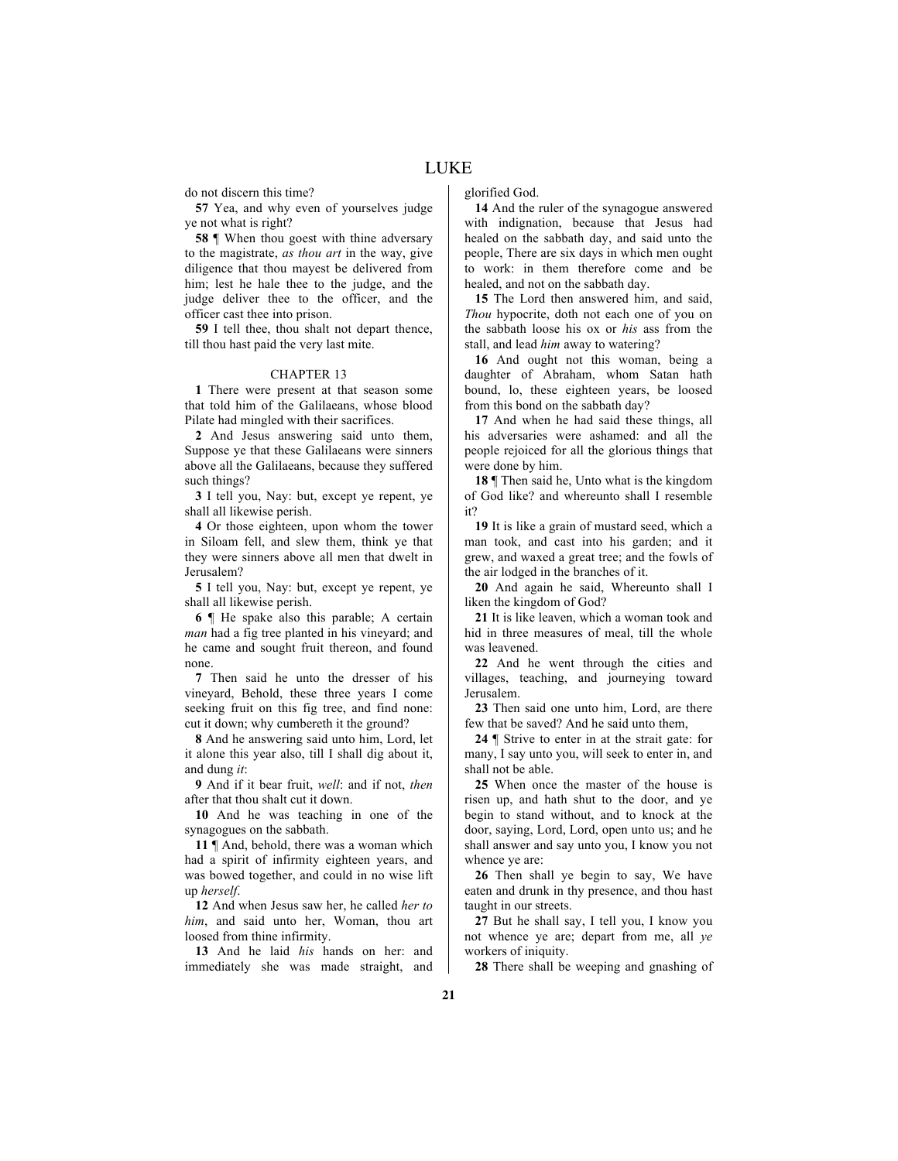do not discern this time?

**57** Yea, and why even of yourselves judge ye not what is right?

**58** ¶ When thou goest with thine adversary to the magistrate, *as thou art* in the way, give diligence that thou mayest be delivered from him; lest he hale thee to the judge, and the judge deliver thee to the officer, and the officer cast thee into prison.

**59** I tell thee, thou shalt not depart thence, till thou hast paid the very last mite.

#### CHAPTER 13

**1** There were present at that season some that told him of the Galilaeans, whose blood Pilate had mingled with their sacrifices.

**2** And Jesus answering said unto them, Suppose ye that these Galilaeans were sinners above all the Galilaeans, because they suffered such things?

**3** I tell you, Nay: but, except ye repent, ye shall all likewise perish.

**4** Or those eighteen, upon whom the tower in Siloam fell, and slew them, think ye that they were sinners above all men that dwelt in Jerusalem?

**5** I tell you, Nay: but, except ye repent, ye shall all likewise perish.

**6** ¶ He spake also this parable; A certain *man* had a fig tree planted in his vineyard; and he came and sought fruit thereon, and found none.

**7** Then said he unto the dresser of his vineyard, Behold, these three years I come seeking fruit on this fig tree, and find none: cut it down; why cumbereth it the ground?

**8** And he answering said unto him, Lord, let it alone this year also, till I shall dig about it, and dung *it*:

**9** And if it bear fruit, *well*: and if not, *then* after that thou shalt cut it down.

**10** And he was teaching in one of the synagogues on the sabbath.

**11** ¶ And, behold, there was a woman which had a spirit of infirmity eighteen years, and was bowed together, and could in no wise lift up *herself*.

**12** And when Jesus saw her, he called *her to him*, and said unto her, Woman, thou art loosed from thine infirmity.

**13** And he laid *his* hands on her: and immediately she was made straight, and glorified God.

**14** And the ruler of the synagogue answered with indignation, because that Jesus had healed on the sabbath day, and said unto the people, There are six days in which men ought to work: in them therefore come and be healed, and not on the sabbath day.

**15** The Lord then answered him, and said, *Thou* hypocrite, doth not each one of you on the sabbath loose his ox or *his* ass from the stall, and lead *him* away to watering?

**16** And ought not this woman, being a daughter of Abraham, whom Satan hath bound, lo, these eighteen years, be loosed from this bond on the sabbath day?

**17** And when he had said these things, all his adversaries were ashamed: and all the people rejoiced for all the glorious things that were done by him.

**18** ¶ Then said he, Unto what is the kingdom of God like? and whereunto shall I resemble it?

**19** It is like a grain of mustard seed, which a man took, and cast into his garden; and it grew, and waxed a great tree; and the fowls of the air lodged in the branches of it.

**20** And again he said, Whereunto shall I liken the kingdom of God?

**21** It is like leaven, which a woman took and hid in three measures of meal, till the whole was leavened.

**22** And he went through the cities and villages, teaching, and journeying toward Jerusalem.

**23** Then said one unto him, Lord, are there few that be saved? And he said unto them,

**24** ¶ Strive to enter in at the strait gate: for many, I say unto you, will seek to enter in, and shall not be able.

**25** When once the master of the house is risen up, and hath shut to the door, and ye begin to stand without, and to knock at the door, saying, Lord, Lord, open unto us; and he shall answer and say unto you, I know you not whence ye are:

**26** Then shall ye begin to say, We have eaten and drunk in thy presence, and thou hast taught in our streets.

**27** But he shall say, I tell you, I know you not whence ye are; depart from me, all *ye* workers of iniquity.

**28** There shall be weeping and gnashing of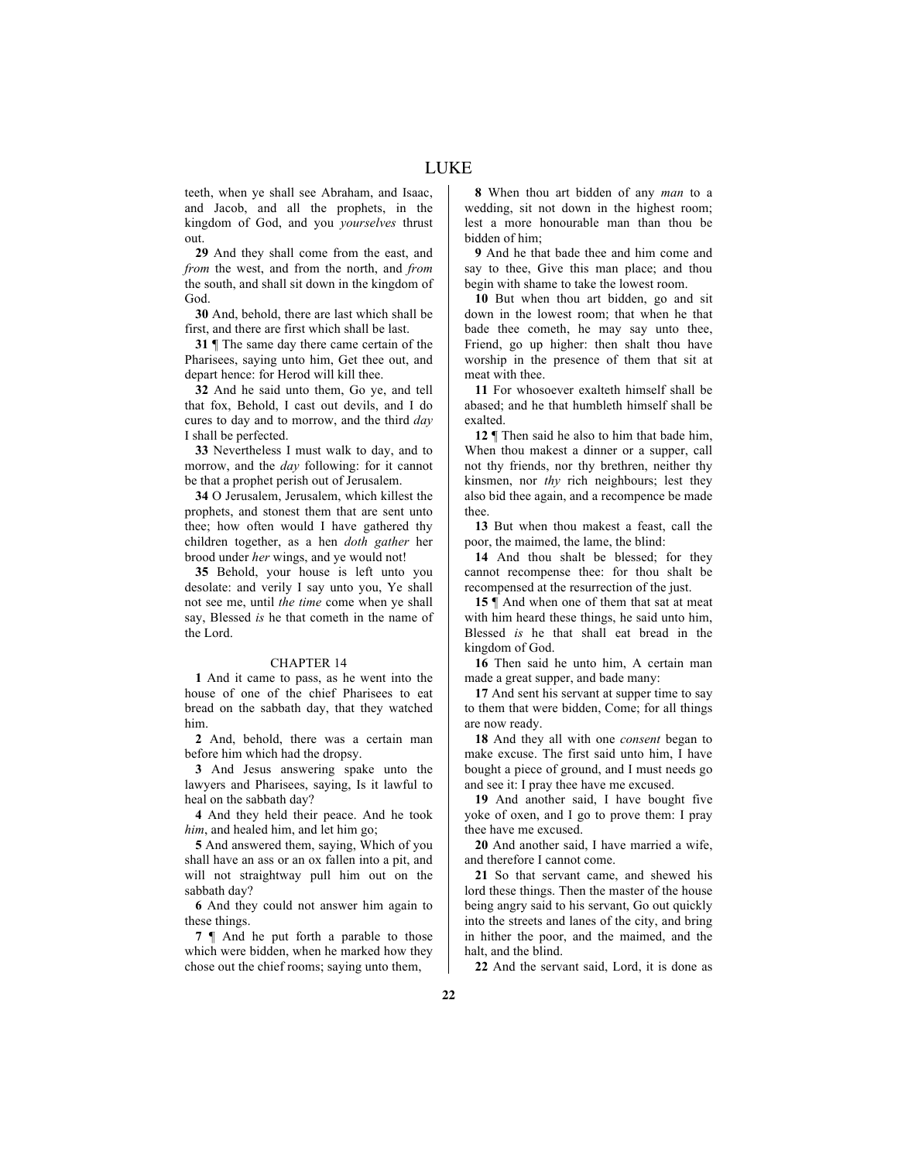teeth, when ye shall see Abraham, and Isaac, and Jacob, and all the prophets, in the kingdom of God, and you *yourselves* thrust out.

**29** And they shall come from the east, and *from* the west, and from the north, and *from* the south, and shall sit down in the kingdom of God.

**30** And, behold, there are last which shall be first, and there are first which shall be last.

**31** ¶ The same day there came certain of the Pharisees, saying unto him, Get thee out, and depart hence: for Herod will kill thee.

**32** And he said unto them, Go ye, and tell that fox, Behold, I cast out devils, and I do cures to day and to morrow, and the third *day* I shall be perfected.

**33** Nevertheless I must walk to day, and to morrow, and the *day* following: for it cannot be that a prophet perish out of Jerusalem.

**34** O Jerusalem, Jerusalem, which killest the prophets, and stonest them that are sent unto thee; how often would I have gathered thy children together, as a hen *doth gather* her brood under *her* wings, and ye would not!

**35** Behold, your house is left unto you desolate: and verily I say unto you, Ye shall not see me, until *the time* come when ye shall say, Blessed *is* he that cometh in the name of the Lord.

## CHAPTER 14

**1** And it came to pass, as he went into the house of one of the chief Pharisees to eat bread on the sabbath day, that they watched him.

**2** And, behold, there was a certain man before him which had the dropsy.

**3** And Jesus answering spake unto the lawyers and Pharisees, saying, Is it lawful to heal on the sabbath day?

**4** And they held their peace. And he took *him*, and healed him, and let him go;

**5** And answered them, saying, Which of you shall have an ass or an ox fallen into a pit, and will not straightway pull him out on the sabbath day?

**6** And they could not answer him again to these things.

**7** ¶ And he put forth a parable to those which were bidden, when he marked how they chose out the chief rooms; saying unto them,

**8** When thou art bidden of any *man* to a wedding, sit not down in the highest room; lest a more honourable man than thou be bidden of him;

**9** And he that bade thee and him come and say to thee, Give this man place; and thou begin with shame to take the lowest room.

**10** But when thou art bidden, go and sit down in the lowest room; that when he that bade thee cometh, he may say unto thee, Friend, go up higher: then shalt thou have worship in the presence of them that sit at meat with thee.

**11** For whosoever exalteth himself shall be abased; and he that humbleth himself shall be exalted.

**12** ¶ Then said he also to him that bade him, When thou makest a dinner or a supper, call not thy friends, nor thy brethren, neither thy kinsmen, nor *thy* rich neighbours; lest they also bid thee again, and a recompence be made thee.

**13** But when thou makest a feast, call the poor, the maimed, the lame, the blind:

**14** And thou shalt be blessed; for they cannot recompense thee: for thou shalt be recompensed at the resurrection of the just.

**15** ¶ And when one of them that sat at meat with him heard these things, he said unto him, Blessed *is* he that shall eat bread in the kingdom of God.

**16** Then said he unto him, A certain man made a great supper, and bade many:

**17** And sent his servant at supper time to say to them that were bidden, Come; for all things are now ready.

**18** And they all with one *consent* began to make excuse. The first said unto him, I have bought a piece of ground, and I must needs go and see it: I pray thee have me excused.

**19** And another said, I have bought five yoke of oxen, and I go to prove them: I pray thee have me excused.

**20** And another said, I have married a wife, and therefore I cannot come.

**21** So that servant came, and shewed his lord these things. Then the master of the house being angry said to his servant, Go out quickly into the streets and lanes of the city, and bring in hither the poor, and the maimed, and the halt, and the blind.

**22** And the servant said, Lord, it is done as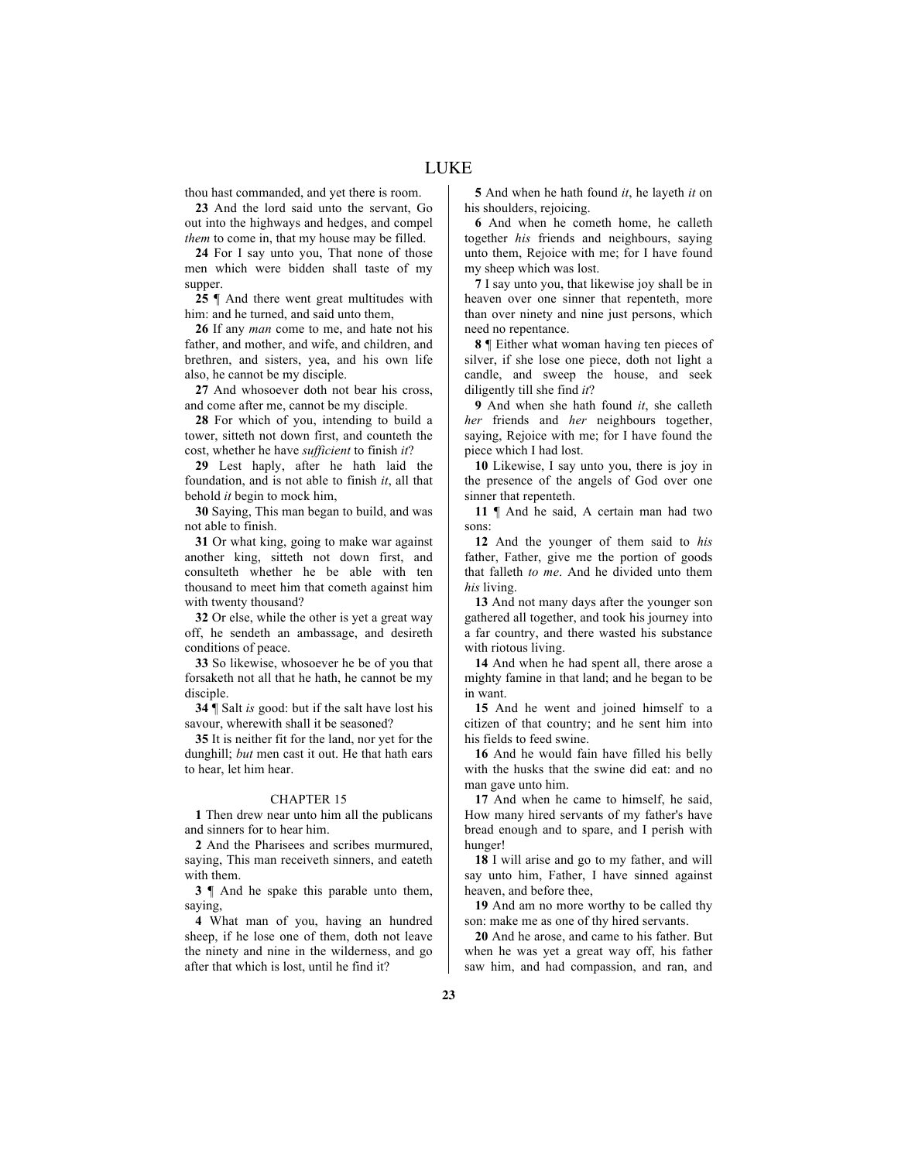thou hast commanded, and yet there is room.

**23** And the lord said unto the servant, Go out into the highways and hedges, and compel *them* to come in, that my house may be filled.

**24** For I say unto you, That none of those men which were bidden shall taste of my supper.

**25** ¶ And there went great multitudes with him: and he turned, and said unto them,

**26** If any *man* come to me, and hate not his father, and mother, and wife, and children, and brethren, and sisters, yea, and his own life also, he cannot be my disciple.

**27** And whosoever doth not bear his cross, and come after me, cannot be my disciple.

**28** For which of you, intending to build a tower, sitteth not down first, and counteth the cost, whether he have *sufficient* to finish *it*?

**29** Lest haply, after he hath laid the foundation, and is not able to finish *it*, all that behold *it* begin to mock him,

**30** Saying, This man began to build, and was not able to finish.

**31** Or what king, going to make war against another king, sitteth not down first, and consulteth whether he be able with ten thousand to meet him that cometh against him with twenty thousand?

**32** Or else, while the other is yet a great way off, he sendeth an ambassage, and desireth conditions of peace.

**33** So likewise, whosoever he be of you that forsaketh not all that he hath, he cannot be my disciple.

**34** ¶ Salt *is* good: but if the salt have lost his savour, wherewith shall it be seasoned?

**35** It is neither fit for the land, nor yet for the dunghill; *but* men cast it out. He that hath ears to hear, let him hear.

# CHAPTER 15

**1** Then drew near unto him all the publicans and sinners for to hear him.

**2** And the Pharisees and scribes murmured, saying, This man receiveth sinners, and eateth with them.

**3** ¶ And he spake this parable unto them, saying,

**4** What man of you, having an hundred sheep, if he lose one of them, doth not leave the ninety and nine in the wilderness, and go after that which is lost, until he find it?

**5** And when he hath found *it*, he layeth *it* on his shoulders, rejoicing.

**6** And when he cometh home, he calleth together *his* friends and neighbours, saying unto them, Rejoice with me; for I have found my sheep which was lost.

**7** I say unto you, that likewise joy shall be in heaven over one sinner that repenteth, more than over ninety and nine just persons, which need no repentance.

**8** ¶ Either what woman having ten pieces of silver, if she lose one piece, doth not light a candle, and sweep the house, and seek diligently till she find *it*?

**9** And when she hath found *it*, she calleth *her* friends and *her* neighbours together, saying, Rejoice with me; for I have found the piece which I had lost.

**10** Likewise, I say unto you, there is joy in the presence of the angels of God over one sinner that repenteth.

**11** ¶ And he said, A certain man had two sons:

**12** And the younger of them said to *his* father, Father, give me the portion of goods that falleth *to me*. And he divided unto them *his* living.

**13** And not many days after the younger son gathered all together, and took his journey into a far country, and there wasted his substance with riotous living.

**14** And when he had spent all, there arose a mighty famine in that land; and he began to be in want.

**15** And he went and joined himself to a citizen of that country; and he sent him into his fields to feed swine.

**16** And he would fain have filled his belly with the husks that the swine did eat: and no man gave unto him.

**17** And when he came to himself, he said, How many hired servants of my father's have bread enough and to spare, and I perish with hunger!

**18** I will arise and go to my father, and will say unto him, Father, I have sinned against heaven, and before thee,

**19** And am no more worthy to be called thy son: make me as one of thy hired servants.

**20** And he arose, and came to his father. But when he was yet a great way off, his father saw him, and had compassion, and ran, and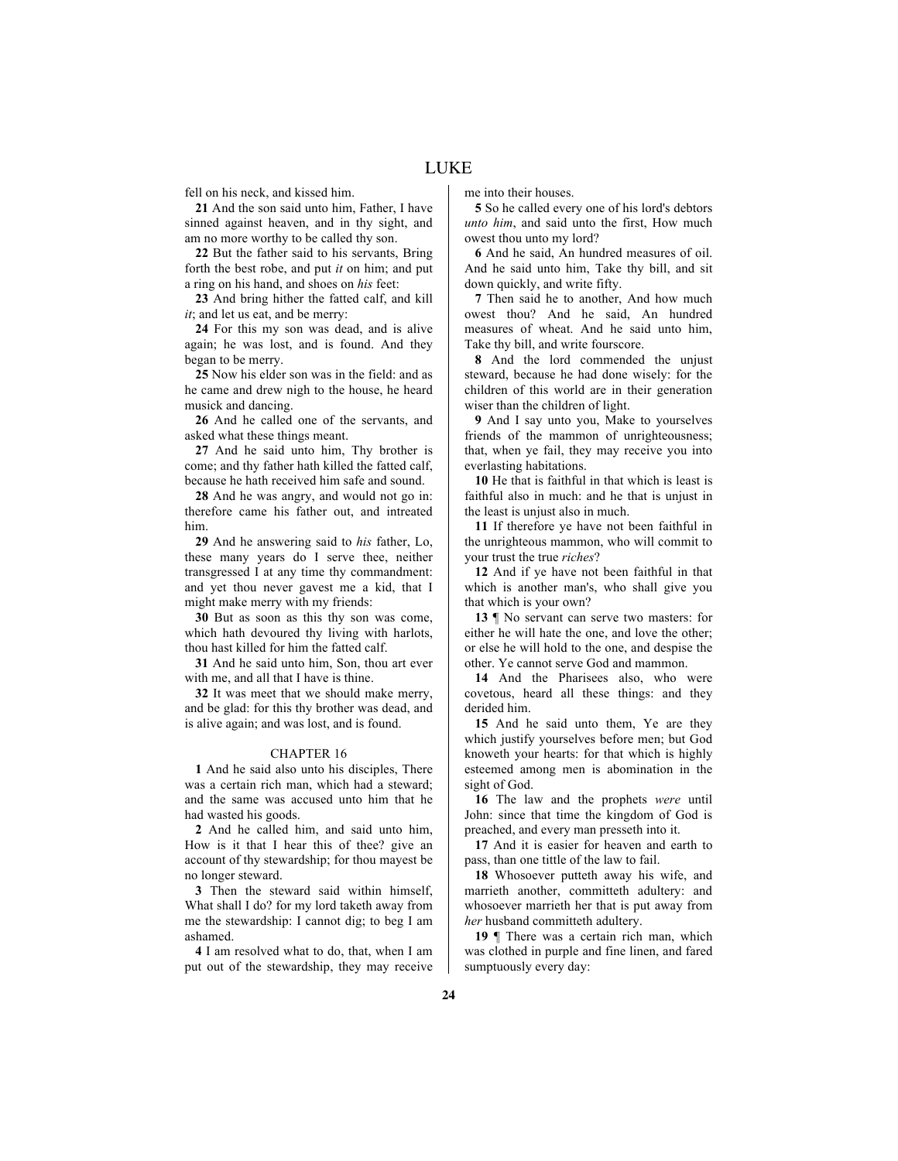fell on his neck, and kissed him.

**21** And the son said unto him, Father, I have sinned against heaven, and in thy sight, and am no more worthy to be called thy son.

**22** But the father said to his servants, Bring forth the best robe, and put *it* on him; and put a ring on his hand, and shoes on *his* feet:

**23** And bring hither the fatted calf, and kill *it*; and let us eat, and be merry:

**24** For this my son was dead, and is alive again; he was lost, and is found. And they began to be merry.

**25** Now his elder son was in the field: and as he came and drew nigh to the house, he heard musick and dancing.

**26** And he called one of the servants, and asked what these things meant.

**27** And he said unto him, Thy brother is come; and thy father hath killed the fatted calf, because he hath received him safe and sound.

**28** And he was angry, and would not go in: therefore came his father out, and intreated him.

**29** And he answering said to *his* father, Lo, these many years do I serve thee, neither transgressed I at any time thy commandment: and yet thou never gavest me a kid, that I might make merry with my friends:

**30** But as soon as this thy son was come, which hath devoured thy living with harlots, thou hast killed for him the fatted calf.

**31** And he said unto him, Son, thou art ever with me, and all that I have is thine.

**32** It was meet that we should make merry, and be glad: for this thy brother was dead, and is alive again; and was lost, and is found.

# CHAPTER 16

**1** And he said also unto his disciples, There was a certain rich man, which had a steward; and the same was accused unto him that he had wasted his goods.

**2** And he called him, and said unto him, How is it that I hear this of thee? give an account of thy stewardship; for thou mayest be no longer steward.

**3** Then the steward said within himself, What shall I do? for my lord taketh away from me the stewardship: I cannot dig; to beg I am ashamed.

**4** I am resolved what to do, that, when I am put out of the stewardship, they may receive me into their houses.

**5** So he called every one of his lord's debtors *unto him*, and said unto the first, How much owest thou unto my lord?

**6** And he said, An hundred measures of oil. And he said unto him, Take thy bill, and sit down quickly, and write fifty.

**7** Then said he to another, And how much owest thou? And he said, An hundred measures of wheat. And he said unto him, Take thy bill, and write fourscore.

**8** And the lord commended the unjust steward, because he had done wisely: for the children of this world are in their generation wiser than the children of light.

**9** And I say unto you, Make to yourselves friends of the mammon of unrighteousness; that, when ye fail, they may receive you into everlasting habitations.

**10** He that is faithful in that which is least is faithful also in much: and he that is unjust in the least is unjust also in much.

**11** If therefore ye have not been faithful in the unrighteous mammon, who will commit to your trust the true *riches*?

**12** And if ye have not been faithful in that which is another man's, who shall give you that which is your own?

**13** ¶ No servant can serve two masters: for either he will hate the one, and love the other; or else he will hold to the one, and despise the other. Ye cannot serve God and mammon.

**14** And the Pharisees also, who were covetous, heard all these things: and they derided him.

**15** And he said unto them, Ye are they which justify yourselves before men; but God knoweth your hearts: for that which is highly esteemed among men is abomination in the sight of God.

**16** The law and the prophets *were* until John: since that time the kingdom of God is preached, and every man presseth into it.

**17** And it is easier for heaven and earth to pass, than one tittle of the law to fail.

**18** Whosoever putteth away his wife, and marrieth another, committeth adultery: and whosoever marrieth her that is put away from *her* husband committeth adultery.

19  $\parallel$  There was a certain rich man, which was clothed in purple and fine linen, and fared sumptuously every day: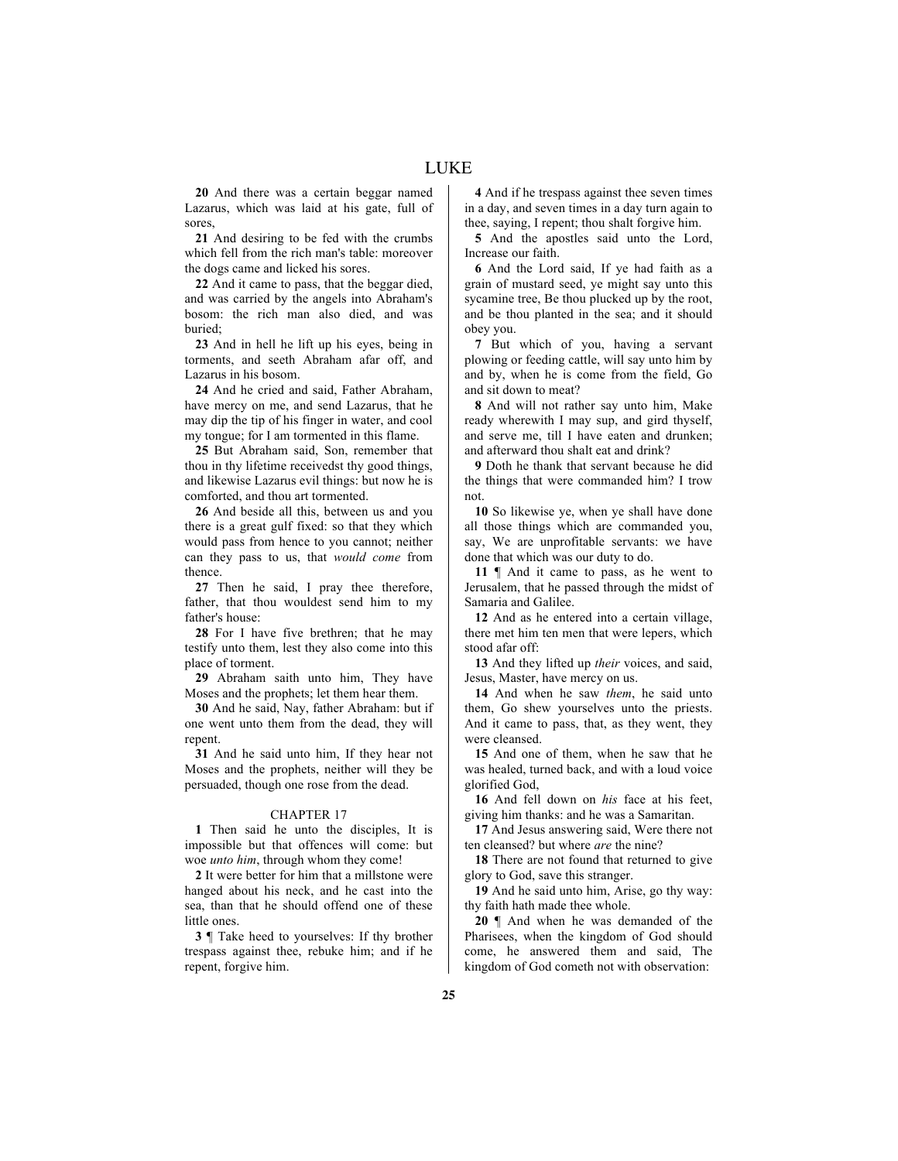**20** And there was a certain beggar named Lazarus, which was laid at his gate, full of sores,

**21** And desiring to be fed with the crumbs which fell from the rich man's table: moreover the dogs came and licked his sores.

**22** And it came to pass, that the beggar died, and was carried by the angels into Abraham's bosom: the rich man also died, and was buried;

**23** And in hell he lift up his eyes, being in torments, and seeth Abraham afar off, and Lazarus in his bosom.

**24** And he cried and said, Father Abraham, have mercy on me, and send Lazarus, that he may dip the tip of his finger in water, and cool my tongue; for I am tormented in this flame.

**25** But Abraham said, Son, remember that thou in thy lifetime receivedst thy good things, and likewise Lazarus evil things: but now he is comforted, and thou art tormented.

**26** And beside all this, between us and you there is a great gulf fixed: so that they which would pass from hence to you cannot; neither can they pass to us, that *would come* from thence.

**27** Then he said, I pray thee therefore, father, that thou wouldest send him to my father's house:

**28** For I have five brethren; that he may testify unto them, lest they also come into this place of torment.

**29** Abraham saith unto him, They have Moses and the prophets; let them hear them.

**30** And he said, Nay, father Abraham: but if one went unto them from the dead, they will repent.

**31** And he said unto him, If they hear not Moses and the prophets, neither will they be persuaded, though one rose from the dead.

# CHAPTER 17

**1** Then said he unto the disciples, It is impossible but that offences will come: but woe *unto him*, through whom they come!

**2** It were better for him that a millstone were hanged about his neck, and he cast into the sea, than that he should offend one of these little ones.

**3** ¶ Take heed to yourselves: If thy brother trespass against thee, rebuke him; and if he repent, forgive him.

**4** And if he trespass against thee seven times in a day, and seven times in a day turn again to thee, saying, I repent; thou shalt forgive him.

**5** And the apostles said unto the Lord, Increase our faith.

**6** And the Lord said, If ye had faith as a grain of mustard seed, ye might say unto this sycamine tree, Be thou plucked up by the root, and be thou planted in the sea; and it should obey you.

**7** But which of you, having a servant plowing or feeding cattle, will say unto him by and by, when he is come from the field, Go and sit down to meat?

**8** And will not rather say unto him, Make ready wherewith I may sup, and gird thyself, and serve me, till I have eaten and drunken; and afterward thou shalt eat and drink?

**9** Doth he thank that servant because he did the things that were commanded him? I trow not.

**10** So likewise ye, when ye shall have done all those things which are commanded you, say, We are unprofitable servants: we have done that which was our duty to do.

**11** ¶ And it came to pass, as he went to Jerusalem, that he passed through the midst of Samaria and Galilee.

**12** And as he entered into a certain village, there met him ten men that were lepers, which stood afar off:

**13** And they lifted up *their* voices, and said, Jesus, Master, have mercy on us.

**14** And when he saw *them*, he said unto them, Go shew yourselves unto the priests. And it came to pass, that, as they went, they were cleansed.

**15** And one of them, when he saw that he was healed, turned back, and with a loud voice glorified God,

**16** And fell down on *his* face at his feet, giving him thanks: and he was a Samaritan.

**17** And Jesus answering said, Were there not ten cleansed? but where *are* the nine?

**18** There are not found that returned to give glory to God, save this stranger.

**19** And he said unto him, Arise, go thy way: thy faith hath made thee whole.

**20** ¶ And when he was demanded of the Pharisees, when the kingdom of God should come, he answered them and said, The kingdom of God cometh not with observation: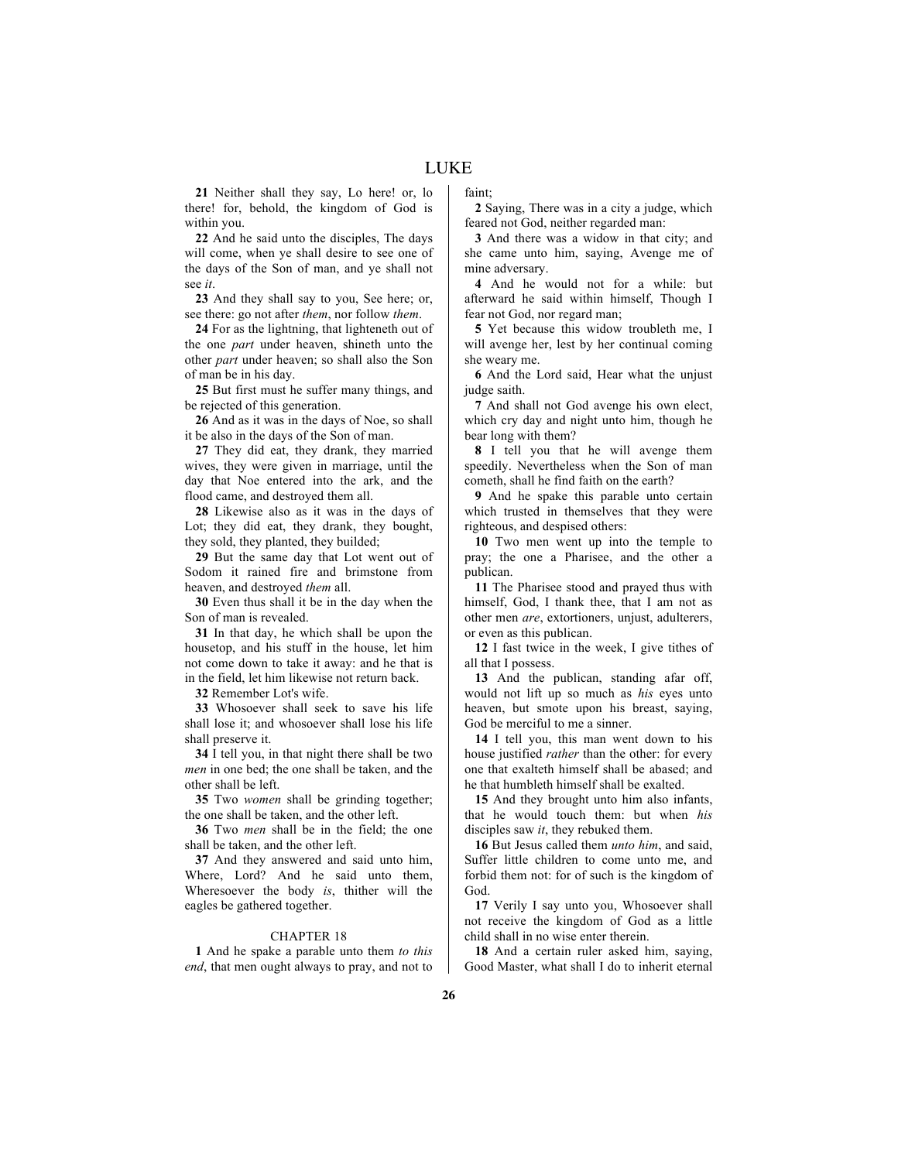**21** Neither shall they say, Lo here! or, lo there! for, behold, the kingdom of God is within you.

**22** And he said unto the disciples, The days will come, when ye shall desire to see one of the days of the Son of man, and ye shall not see *it*.

**23** And they shall say to you, See here; or, see there: go not after *them*, nor follow *them*.

**24** For as the lightning, that lighteneth out of the one *part* under heaven, shineth unto the other *part* under heaven; so shall also the Son of man be in his day.

**25** But first must he suffer many things, and be rejected of this generation.

**26** And as it was in the days of Noe, so shall it be also in the days of the Son of man.

**27** They did eat, they drank, they married wives, they were given in marriage, until the day that Noe entered into the ark, and the flood came, and destroyed them all.

**28** Likewise also as it was in the days of Lot; they did eat, they drank, they bought, they sold, they planted, they builded;

**29** But the same day that Lot went out of Sodom it rained fire and brimstone from heaven, and destroyed *them* all.

**30** Even thus shall it be in the day when the Son of man is revealed.

**31** In that day, he which shall be upon the housetop, and his stuff in the house, let him not come down to take it away: and he that is in the field, let him likewise not return back.

**32** Remember Lot's wife.

**33** Whosoever shall seek to save his life shall lose it; and whosoever shall lose his life shall preserve it.

**34** I tell you, in that night there shall be two *men* in one bed; the one shall be taken, and the other shall be left.

**35** Two *women* shall be grinding together; the one shall be taken, and the other left.

**36** Two *men* shall be in the field; the one shall be taken, and the other left.

**37** And they answered and said unto him, Where, Lord? And he said unto them, Wheresoever the body *is*, thither will the eagles be gathered together.

# CHAPTER 18

**1** And he spake a parable unto them *to this end*, that men ought always to pray, and not to faint;

**2** Saying, There was in a city a judge, which feared not God, neither regarded man:

**3** And there was a widow in that city; and she came unto him, saying, Avenge me of mine adversary.

**4** And he would not for a while: but afterward he said within himself, Though I fear not God, nor regard man;

**5** Yet because this widow troubleth me, I will avenge her, lest by her continual coming she weary me.

**6** And the Lord said, Hear what the unjust judge saith.

**7** And shall not God avenge his own elect, which cry day and night unto him, though he bear long with them?

**8** I tell you that he will avenge them speedily. Nevertheless when the Son of man cometh, shall he find faith on the earth?

**9** And he spake this parable unto certain which trusted in themselves that they were righteous, and despised others:

**10** Two men went up into the temple to pray; the one a Pharisee, and the other a publican.

**11** The Pharisee stood and prayed thus with himself, God, I thank thee, that I am not as other men *are*, extortioners, unjust, adulterers, or even as this publican.

**12** I fast twice in the week, I give tithes of all that I possess.

**13** And the publican, standing afar off, would not lift up so much as *his* eyes unto heaven, but smote upon his breast, saying, God be merciful to me a sinner.

**14** I tell you, this man went down to his house justified *rather* than the other: for every one that exalteth himself shall be abased; and he that humbleth himself shall be exalted.

**15** And they brought unto him also infants, that he would touch them: but when *his* disciples saw *it*, they rebuked them.

**16** But Jesus called them *unto him*, and said, Suffer little children to come unto me, and forbid them not: for of such is the kingdom of God.

**17** Verily I say unto you, Whosoever shall not receive the kingdom of God as a little child shall in no wise enter therein.

**18** And a certain ruler asked him, saying, Good Master, what shall I do to inherit eternal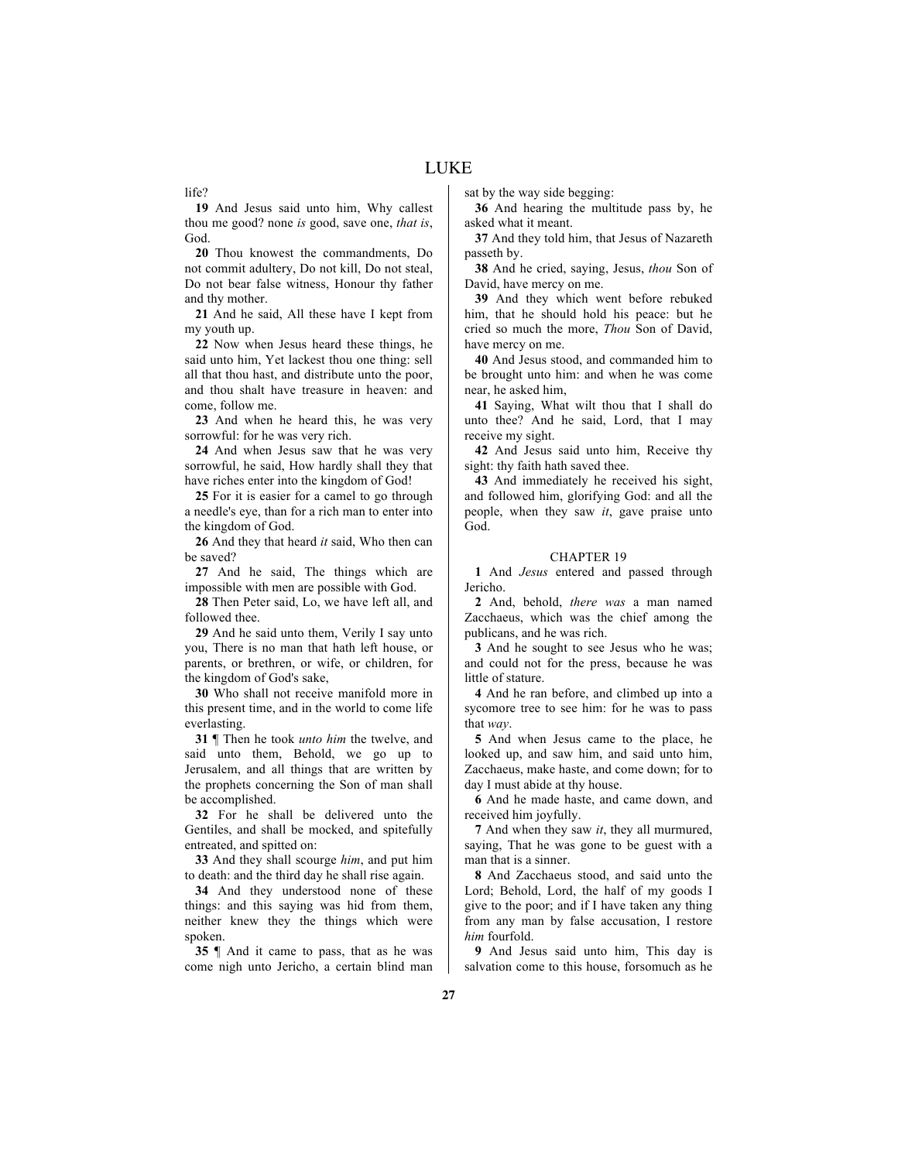life?

**19** And Jesus said unto him, Why callest thou me good? none *is* good, save one, *that is*, God.

**20** Thou knowest the commandments, Do not commit adultery, Do not kill, Do not steal, Do not bear false witness, Honour thy father and thy mother.

**21** And he said, All these have I kept from my youth up.

**22** Now when Jesus heard these things, he said unto him, Yet lackest thou one thing: sell all that thou hast, and distribute unto the poor, and thou shalt have treasure in heaven: and come, follow me.

**23** And when he heard this, he was very sorrowful: for he was very rich.

**24** And when Jesus saw that he was very sorrowful, he said, How hardly shall they that have riches enter into the kingdom of God!

**25** For it is easier for a camel to go through a needle's eye, than for a rich man to enter into the kingdom of God.

**26** And they that heard *it* said, Who then can be saved?

**27** And he said, The things which are impossible with men are possible with God.

**28** Then Peter said, Lo, we have left all, and followed thee.

**29** And he said unto them, Verily I say unto you, There is no man that hath left house, or parents, or brethren, or wife, or children, for the kingdom of God's sake,

**30** Who shall not receive manifold more in this present time, and in the world to come life everlasting.

**31** ¶ Then he took *unto him* the twelve, and said unto them, Behold, we go up to Jerusalem, and all things that are written by the prophets concerning the Son of man shall be accomplished.

**32** For he shall be delivered unto the Gentiles, and shall be mocked, and spitefully entreated, and spitted on:

**33** And they shall scourge *him*, and put him to death: and the third day he shall rise again.

**34** And they understood none of these things: and this saying was hid from them, neither knew they the things which were spoken.

**35** ¶ And it came to pass, that as he was come nigh unto Jericho, a certain blind man sat by the way side begging:

**36** And hearing the multitude pass by, he asked what it meant.

**37** And they told him, that Jesus of Nazareth passeth by.

**38** And he cried, saying, Jesus, *thou* Son of David, have mercy on me.

**39** And they which went before rebuked him, that he should hold his peace: but he cried so much the more, *Thou* Son of David, have mercy on me.

**40** And Jesus stood, and commanded him to be brought unto him: and when he was come near, he asked him,

**41** Saying, What wilt thou that I shall do unto thee? And he said, Lord, that I may receive my sight.

**42** And Jesus said unto him, Receive thy sight: thy faith hath saved thee.

**43** And immediately he received his sight, and followed him, glorifying God: and all the people, when they saw *it*, gave praise unto God.

#### CHAPTER 19

**1** And *Jesus* entered and passed through Jericho.

**2** And, behold, *there was* a man named Zacchaeus, which was the chief among the publicans, and he was rich.

**3** And he sought to see Jesus who he was; and could not for the press, because he was little of stature.

**4** And he ran before, and climbed up into a sycomore tree to see him: for he was to pass that *way*.

**5** And when Jesus came to the place, he looked up, and saw him, and said unto him, Zacchaeus, make haste, and come down; for to day I must abide at thy house.

**6** And he made haste, and came down, and received him joyfully.

**7** And when they saw *it*, they all murmured, saying, That he was gone to be guest with a man that is a sinner.

**8** And Zacchaeus stood, and said unto the Lord; Behold, Lord, the half of my goods I give to the poor; and if I have taken any thing from any man by false accusation, I restore *him* fourfold.

**9** And Jesus said unto him, This day is salvation come to this house, forsomuch as he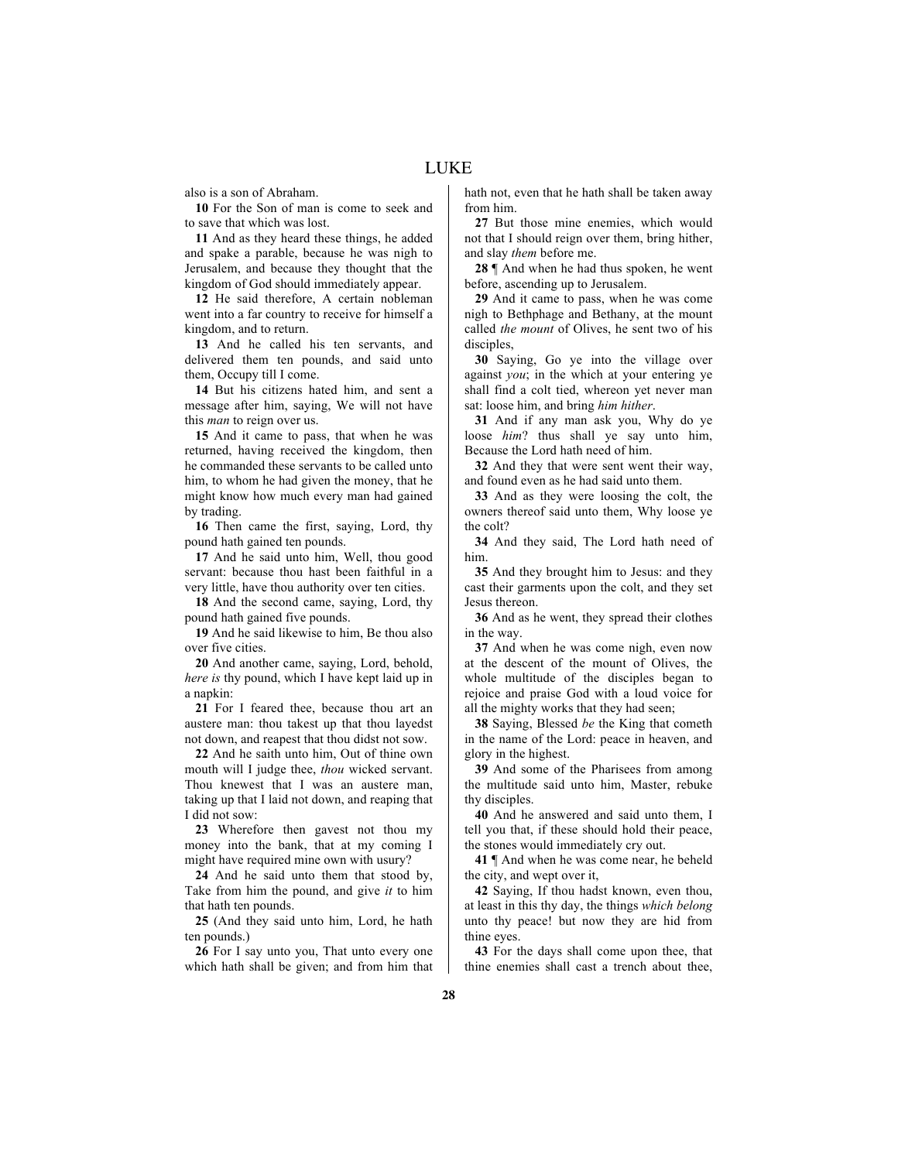also is a son of Abraham.

**10** For the Son of man is come to seek and to save that which was lost.

**11** And as they heard these things, he added and spake a parable, because he was nigh to Jerusalem, and because they thought that the kingdom of God should immediately appear.

**12** He said therefore, A certain nobleman went into a far country to receive for himself a kingdom, and to return.

**13** And he called his ten servants, and delivered them ten pounds, and said unto them, Occupy till I come.

**14** But his citizens hated him, and sent a message after him, saying, We will not have this *man* to reign over us.

**15** And it came to pass, that when he was returned, having received the kingdom, then he commanded these servants to be called unto him, to whom he had given the money, that he might know how much every man had gained by trading.

**16** Then came the first, saying, Lord, thy pound hath gained ten pounds.

**17** And he said unto him, Well, thou good servant: because thou hast been faithful in a very little, have thou authority over ten cities.

**18** And the second came, saying, Lord, thy pound hath gained five pounds.

**19** And he said likewise to him, Be thou also over five cities.

**20** And another came, saying, Lord, behold, *here is* thy pound, which I have kept laid up in a napkin:

**21** For I feared thee, because thou art an austere man: thou takest up that thou layedst not down, and reapest that thou didst not sow.

**22** And he saith unto him, Out of thine own mouth will I judge thee, *thou* wicked servant. Thou knewest that I was an austere man, taking up that I laid not down, and reaping that I did not sow:

**23** Wherefore then gavest not thou my money into the bank, that at my coming I might have required mine own with usury?

**24** And he said unto them that stood by, Take from him the pound, and give *it* to him that hath ten pounds.

**25** (And they said unto him, Lord, he hath ten pounds.)

**26** For I say unto you, That unto every one which hath shall be given; and from him that hath not, even that he hath shall be taken away from him.

**27** But those mine enemies, which would not that I should reign over them, bring hither, and slay *them* before me.

**28** ¶ And when he had thus spoken, he went before, ascending up to Jerusalem.

**29** And it came to pass, when he was come nigh to Bethphage and Bethany, at the mount called *the mount* of Olives, he sent two of his disciples,

**30** Saying, Go ye into the village over against *you*; in the which at your entering ye shall find a colt tied, whereon yet never man sat: loose him, and bring *him hither*.

**31** And if any man ask you, Why do ye loose *him*? thus shall ye say unto him, Because the Lord hath need of him.

**32** And they that were sent went their way, and found even as he had said unto them.

**33** And as they were loosing the colt, the owners thereof said unto them, Why loose ye the colt?

**34** And they said, The Lord hath need of him.

**35** And they brought him to Jesus: and they cast their garments upon the colt, and they set Jesus thereon.

**36** And as he went, they spread their clothes in the way.

**37** And when he was come nigh, even now at the descent of the mount of Olives, the whole multitude of the disciples began to rejoice and praise God with a loud voice for all the mighty works that they had seen;

**38** Saying, Blessed *be* the King that cometh in the name of the Lord: peace in heaven, and glory in the highest.

**39** And some of the Pharisees from among the multitude said unto him, Master, rebuke thy disciples.

**40** And he answered and said unto them, I tell you that, if these should hold their peace, the stones would immediately cry out.

**41** ¶ And when he was come near, he beheld the city, and wept over it,

**42** Saying, If thou hadst known, even thou, at least in this thy day, the things *which belong* unto thy peace! but now they are hid from thine eyes.

**43** For the days shall come upon thee, that thine enemies shall cast a trench about thee,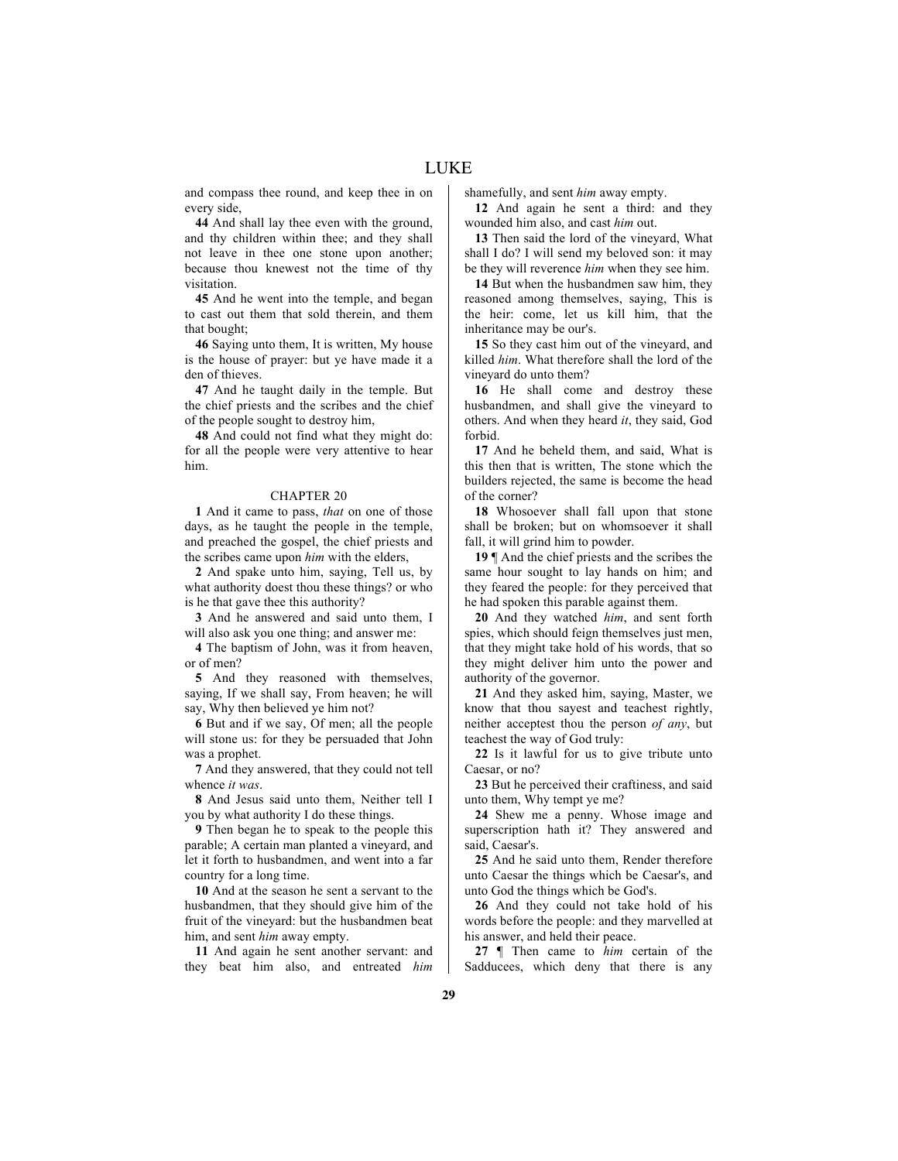and compass thee round, and keep thee in on every side,

**44** And shall lay thee even with the ground, and thy children within thee; and they shall not leave in thee one stone upon another; because thou knewest not the time of thy visitation.

**45** And he went into the temple, and began to cast out them that sold therein, and them that bought;

**46** Saying unto them, It is written, My house is the house of prayer: but ye have made it a den of thieves.

**47** And he taught daily in the temple. But the chief priests and the scribes and the chief of the people sought to destroy him,

**48** And could not find what they might do: for all the people were very attentive to hear him.

# CHAPTER 20

**1** And it came to pass, *that* on one of those days, as he taught the people in the temple, and preached the gospel, the chief priests and the scribes came upon *him* with the elders,

**2** And spake unto him, saying, Tell us, by what authority doest thou these things? or who is he that gave thee this authority?

**3** And he answered and said unto them, I will also ask you one thing; and answer me:

**4** The baptism of John, was it from heaven, or of men?

**5** And they reasoned with themselves, saying, If we shall say, From heaven; he will say, Why then believed ye him not?

**6** But and if we say, Of men; all the people will stone us: for they be persuaded that John was a prophet.

**7** And they answered, that they could not tell whence *it was*.

**8** And Jesus said unto them, Neither tell I you by what authority I do these things.

**9** Then began he to speak to the people this parable; A certain man planted a vineyard, and let it forth to husbandmen, and went into a far country for a long time.

**10** And at the season he sent a servant to the husbandmen, that they should give him of the fruit of the vineyard: but the husbandmen beat him, and sent *him* away empty.

**11** And again he sent another servant: and they beat him also, and entreated *him* shamefully, and sent *him* away empty.

**12** And again he sent a third: and they wounded him also, and cast *him* out.

**13** Then said the lord of the vineyard, What shall I do? I will send my beloved son: it may be they will reverence *him* when they see him.

**14** But when the husbandmen saw him, they reasoned among themselves, saying, This is the heir: come, let us kill him, that the inheritance may be our's.

**15** So they cast him out of the vineyard, and killed *him*. What therefore shall the lord of the vineyard do unto them?

**16** He shall come and destroy these husbandmen, and shall give the vineyard to others. And when they heard *it*, they said, God forbid.

**17** And he beheld them, and said, What is this then that is written, The stone which the builders rejected, the same is become the head of the corner?

**18** Whosoever shall fall upon that stone shall be broken; but on whomsoever it shall fall, it will grind him to powder.

**19** ¶ And the chief priests and the scribes the same hour sought to lay hands on him; and they feared the people: for they perceived that he had spoken this parable against them.

**20** And they watched *him*, and sent forth spies, which should feign themselves just men, that they might take hold of his words, that so they might deliver him unto the power and authority of the governor.

**21** And they asked him, saying, Master, we know that thou sayest and teachest rightly, neither acceptest thou the person *of any*, but teachest the way of God truly:

**22** Is it lawful for us to give tribute unto Caesar, or no?

**23** But he perceived their craftiness, and said unto them, Why tempt ye me?

**24** Shew me a penny. Whose image and superscription hath it? They answered and said, Caesar's.

**25** And he said unto them, Render therefore unto Caesar the things which be Caesar's, and unto God the things which be God's.

**26** And they could not take hold of his words before the people: and they marvelled at his answer, and held their peace.

**27** ¶ Then came to *him* certain of the Sadducees, which deny that there is any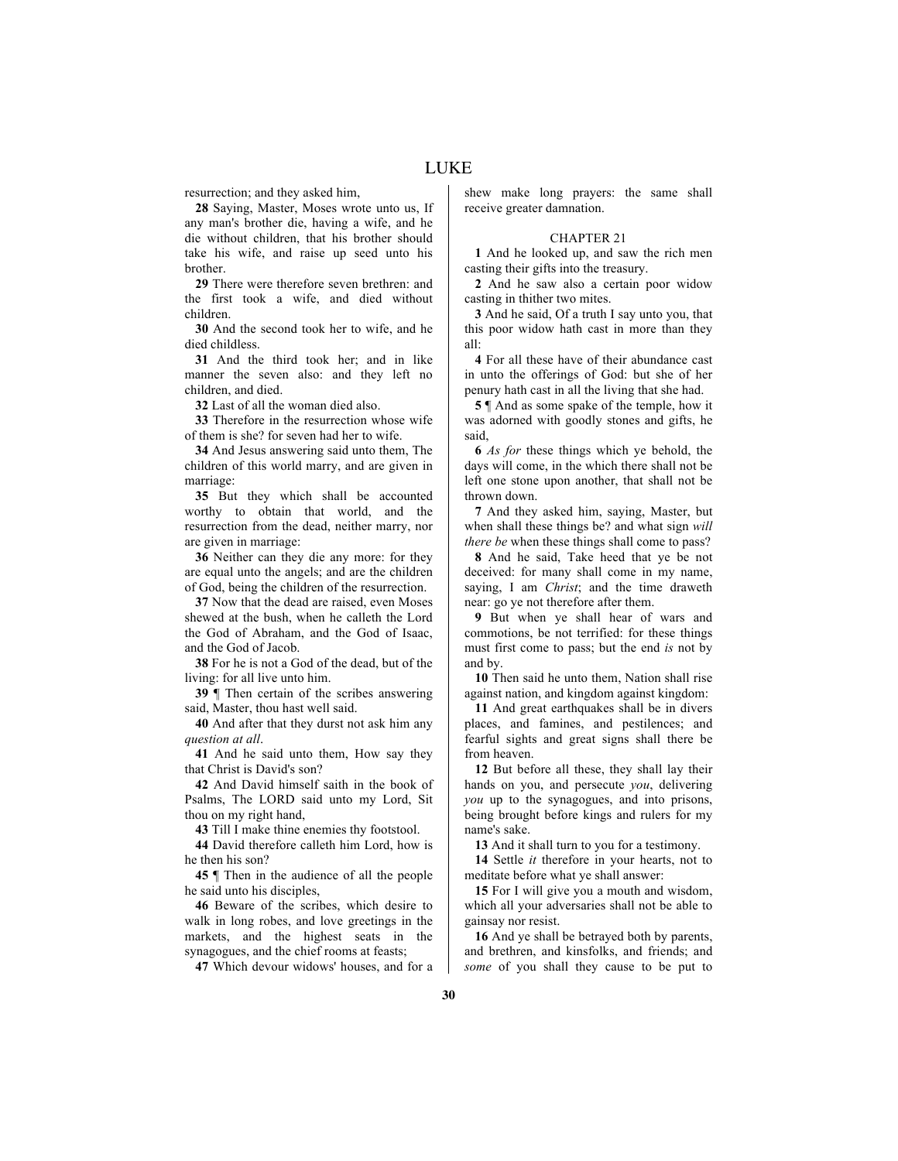resurrection; and they asked him,

**28** Saying, Master, Moses wrote unto us, If any man's brother die, having a wife, and he die without children, that his brother should take his wife, and raise up seed unto his brother.

**29** There were therefore seven brethren: and the first took a wife, and died without children.

**30** And the second took her to wife, and he died childless.

**31** And the third took her; and in like manner the seven also: and they left no children, and died.

**32** Last of all the woman died also.

**33** Therefore in the resurrection whose wife of them is she? for seven had her to wife.

**34** And Jesus answering said unto them, The children of this world marry, and are given in marriage:

**35** But they which shall be accounted worthy to obtain that world, and the resurrection from the dead, neither marry, nor are given in marriage:

**36** Neither can they die any more: for they are equal unto the angels; and are the children of God, being the children of the resurrection.

**37** Now that the dead are raised, even Moses shewed at the bush, when he calleth the Lord the God of Abraham, and the God of Isaac, and the God of Jacob.

**38** For he is not a God of the dead, but of the living: for all live unto him.

**39** ¶ Then certain of the scribes answering said, Master, thou hast well said.

**40** And after that they durst not ask him any *question at all*.

**41** And he said unto them, How say they that Christ is David's son?

**42** And David himself saith in the book of Psalms, The LORD said unto my Lord, Sit thou on my right hand,

**43** Till I make thine enemies thy footstool.

**44** David therefore calleth him Lord, how is he then his son?

**45** ¶ Then in the audience of all the people he said unto his disciples,

**46** Beware of the scribes, which desire to walk in long robes, and love greetings in the markets, and the highest seats in the synagogues, and the chief rooms at feasts;

**47** Which devour widows' houses, and for a

shew make long prayers: the same shall receive greater damnation.

#### CHAPTER 21

**1** And he looked up, and saw the rich men casting their gifts into the treasury.

**2** And he saw also a certain poor widow casting in thither two mites.

**3** And he said, Of a truth I say unto you, that this poor widow hath cast in more than they all:

**4** For all these have of their abundance cast in unto the offerings of God: but she of her penury hath cast in all the living that she had.

**5** ¶ And as some spake of the temple, how it was adorned with goodly stones and gifts, he said,

**6** *As for* these things which ye behold, the days will come, in the which there shall not be left one stone upon another, that shall not be thrown down.

**7** And they asked him, saying, Master, but when shall these things be? and what sign *will there be* when these things shall come to pass?

**8** And he said, Take heed that ye be not deceived: for many shall come in my name, saying, I am *Christ*; and the time draweth near: go ye not therefore after them.

**9** But when ye shall hear of wars and commotions, be not terrified: for these things must first come to pass; but the end *is* not by and by.

**10** Then said he unto them, Nation shall rise against nation, and kingdom against kingdom:

**11** And great earthquakes shall be in divers places, and famines, and pestilences; and fearful sights and great signs shall there be from heaven.

**12** But before all these, they shall lay their hands on you, and persecute *you*, delivering *you* up to the synagogues, and into prisons, being brought before kings and rulers for my name's sake.

**13** And it shall turn to you for a testimony.

**14** Settle *it* therefore in your hearts, not to meditate before what ye shall answer:

**15** For I will give you a mouth and wisdom, which all your adversaries shall not be able to gainsay nor resist.

**16** And ye shall be betrayed both by parents, and brethren, and kinsfolks, and friends; and *some* of you shall they cause to be put to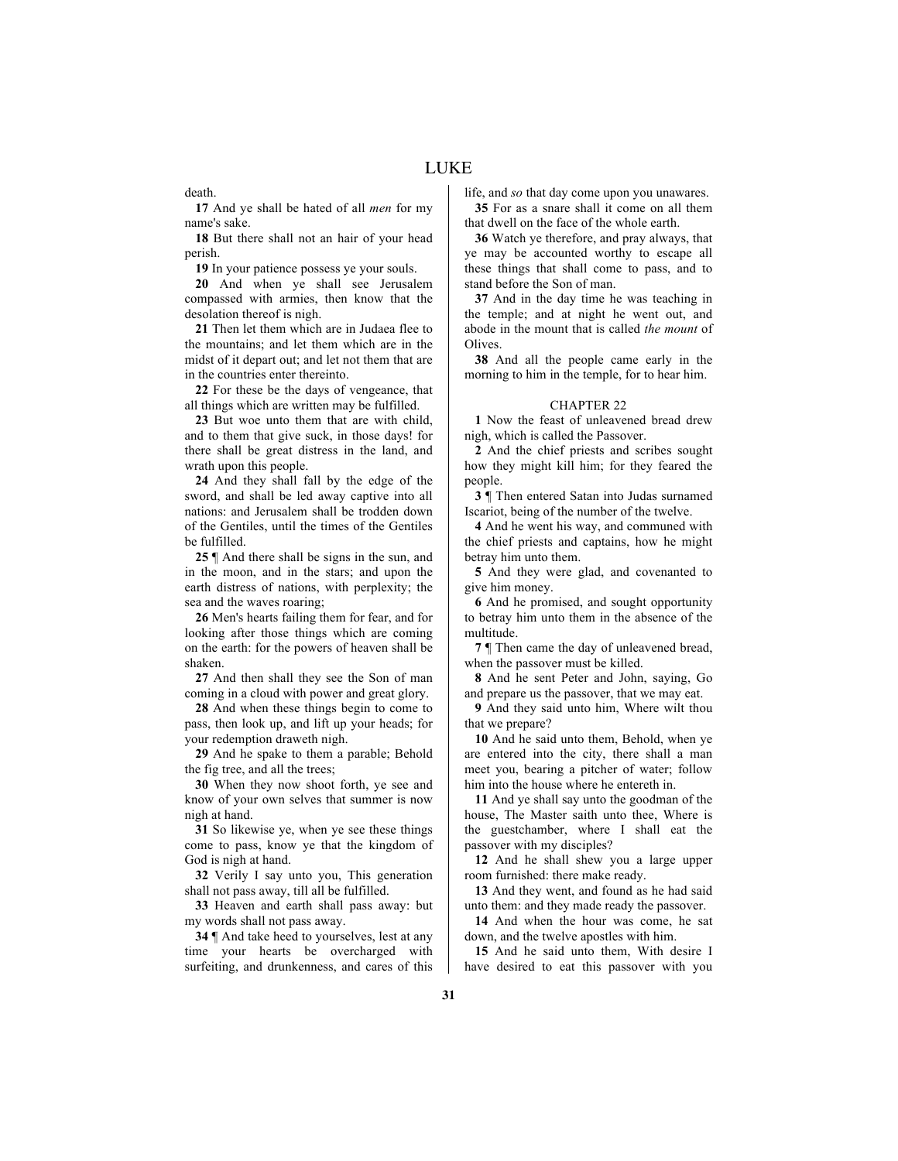death.

**17** And ye shall be hated of all *men* for my name's sake.

**18** But there shall not an hair of your head perish.

**19** In your patience possess ye your souls.

**20** And when ye shall see Jerusalem compassed with armies, then know that the desolation thereof is nigh.

**21** Then let them which are in Judaea flee to the mountains; and let them which are in the midst of it depart out; and let not them that are in the countries enter thereinto.

**22** For these be the days of vengeance, that all things which are written may be fulfilled.

**23** But woe unto them that are with child, and to them that give suck, in those days! for there shall be great distress in the land, and wrath upon this people.

**24** And they shall fall by the edge of the sword, and shall be led away captive into all nations: and Jerusalem shall be trodden down of the Gentiles, until the times of the Gentiles be fulfilled.

**25** ¶ And there shall be signs in the sun, and in the moon, and in the stars; and upon the earth distress of nations, with perplexity; the sea and the waves roaring;

**26** Men's hearts failing them for fear, and for looking after those things which are coming on the earth: for the powers of heaven shall be shaken.

**27** And then shall they see the Son of man coming in a cloud with power and great glory.

**28** And when these things begin to come to pass, then look up, and lift up your heads; for your redemption draweth nigh.

**29** And he spake to them a parable; Behold the fig tree, and all the trees;

**30** When they now shoot forth, ye see and know of your own selves that summer is now nigh at hand.

**31** So likewise ye, when ye see these things come to pass, know ye that the kingdom of God is nigh at hand.

**32** Verily I say unto you, This generation shall not pass away, till all be fulfilled.

**33** Heaven and earth shall pass away: but my words shall not pass away.

**34** ¶ And take heed to yourselves, lest at any time your hearts be overcharged with surfeiting, and drunkenness, and cares of this life, and *so* that day come upon you unawares. **35** For as a snare shall it come on all them

that dwell on the face of the whole earth. **36** Watch ye therefore, and pray always, that

ye may be accounted worthy to escape all these things that shall come to pass, and to stand before the Son of man.

**37** And in the day time he was teaching in the temple; and at night he went out, and abode in the mount that is called *the mount* of **Olives** 

**38** And all the people came early in the morning to him in the temple, for to hear him.

# CHAPTER 22

**1** Now the feast of unleavened bread drew nigh, which is called the Passover.

**2** And the chief priests and scribes sought how they might kill him; for they feared the people.

**3** ¶ Then entered Satan into Judas surnamed Iscariot, being of the number of the twelve.

**4** And he went his way, and communed with the chief priests and captains, how he might betray him unto them.

**5** And they were glad, and covenanted to give him money.

**6** And he promised, and sought opportunity to betray him unto them in the absence of the multitude.

**7** ¶ Then came the day of unleavened bread, when the passover must be killed.

**8** And he sent Peter and John, saying, Go and prepare us the passover, that we may eat.

**9** And they said unto him, Where wilt thou that we prepare?

**10** And he said unto them, Behold, when ye are entered into the city, there shall a man meet you, bearing a pitcher of water; follow him into the house where he entereth in.

**11** And ye shall say unto the goodman of the house, The Master saith unto thee, Where is the guestchamber, where I shall eat the passover with my disciples?

**12** And he shall shew you a large upper room furnished: there make ready.

**13** And they went, and found as he had said unto them: and they made ready the passover.

**14** And when the hour was come, he sat down, and the twelve apostles with him.

**15** And he said unto them, With desire I have desired to eat this passover with you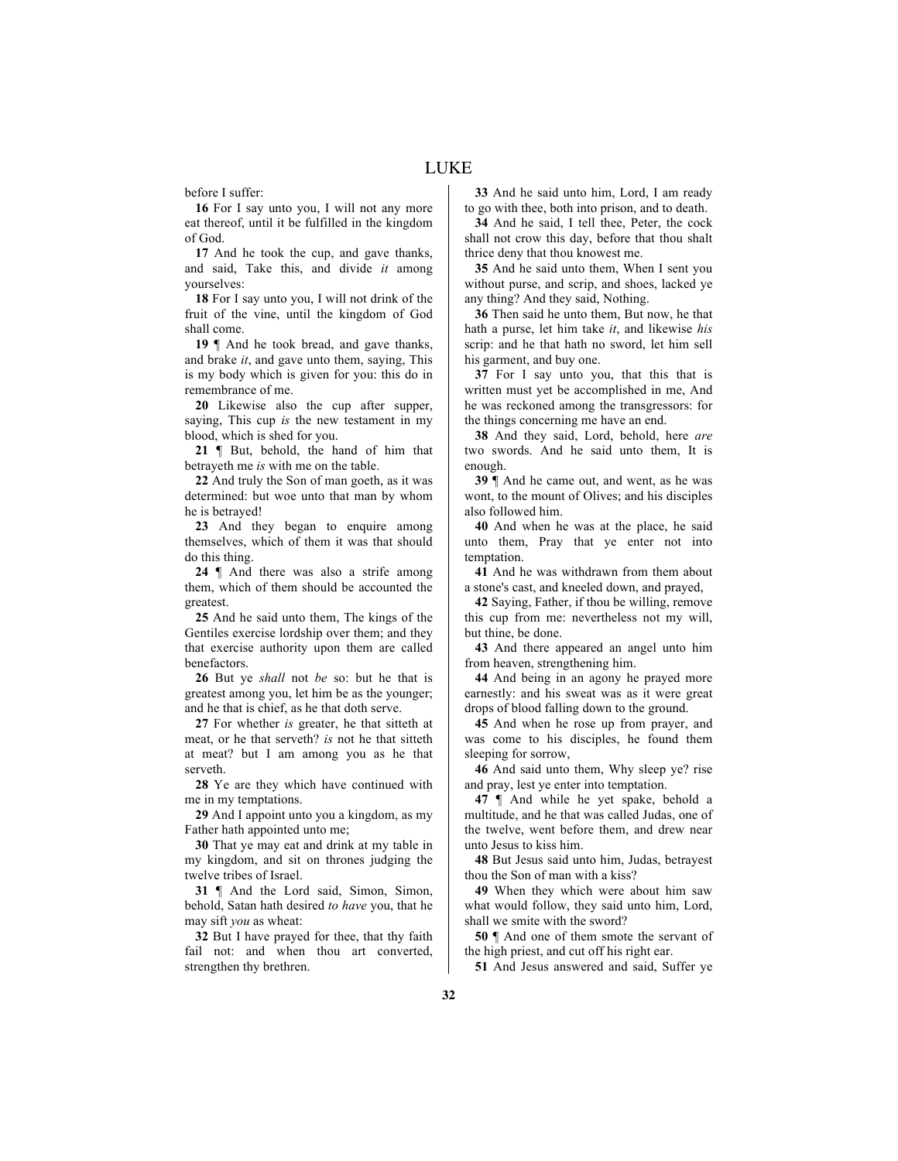before I suffer:

**16** For I say unto you, I will not any more eat thereof, until it be fulfilled in the kingdom of God.

**17** And he took the cup, and gave thanks, and said, Take this, and divide *it* among yourselves:

**18** For I say unto you, I will not drink of the fruit of the vine, until the kingdom of God shall come.

**19** ¶ And he took bread, and gave thanks, and brake *it*, and gave unto them, saying, This is my body which is given for you: this do in remembrance of me.

**20** Likewise also the cup after supper, saying, This cup *is* the new testament in my blood, which is shed for you.

**21** ¶ But, behold, the hand of him that betrayeth me *is* with me on the table.

**22** And truly the Son of man goeth, as it was determined: but woe unto that man by whom he is betrayed!

**23** And they began to enquire among themselves, which of them it was that should do this thing.

**24** ¶ And there was also a strife among them, which of them should be accounted the greatest.

**25** And he said unto them, The kings of the Gentiles exercise lordship over them; and they that exercise authority upon them are called benefactors.

**26** But ye *shall* not *be* so: but he that is greatest among you, let him be as the younger; and he that is chief, as he that doth serve.

**27** For whether *is* greater, he that sitteth at meat, or he that serveth? *is* not he that sitteth at meat? but I am among you as he that serveth.

**28** Ye are they which have continued with me in my temptations.

**29** And I appoint unto you a kingdom, as my Father hath appointed unto me;

**30** That ye may eat and drink at my table in my kingdom, and sit on thrones judging the twelve tribes of Israel.

**31** ¶ And the Lord said, Simon, Simon, behold, Satan hath desired *to have* you, that he may sift *you* as wheat:

**32** But I have prayed for thee, that thy faith fail not: and when thou art converted, strengthen thy brethren.

**33** And he said unto him, Lord, I am ready to go with thee, both into prison, and to death.

**34** And he said, I tell thee, Peter, the cock shall not crow this day, before that thou shalt thrice deny that thou knowest me.

**35** And he said unto them, When I sent you without purse, and scrip, and shoes, lacked ye any thing? And they said, Nothing.

**36** Then said he unto them, But now, he that hath a purse, let him take *it*, and likewise *his* scrip: and he that hath no sword, let him sell his garment, and buy one.

**37** For I say unto you, that this that is written must yet be accomplished in me, And he was reckoned among the transgressors: for the things concerning me have an end.

**38** And they said, Lord, behold, here *are* two swords. And he said unto them, It is enough.

**39** ¶ And he came out, and went, as he was wont, to the mount of Olives; and his disciples also followed him.

**40** And when he was at the place, he said unto them, Pray that ye enter not into temptation.

**41** And he was withdrawn from them about a stone's cast, and kneeled down, and prayed,

**42** Saying, Father, if thou be willing, remove this cup from me: nevertheless not my will, but thine, be done.

**43** And there appeared an angel unto him from heaven, strengthening him.

**44** And being in an agony he prayed more earnestly: and his sweat was as it were great drops of blood falling down to the ground.

**45** And when he rose up from prayer, and was come to his disciples, he found them sleeping for sorrow,

**46** And said unto them, Why sleep ye? rise and pray, lest ye enter into temptation.

**47** ¶ And while he yet spake, behold a multitude, and he that was called Judas, one of the twelve, went before them, and drew near unto Jesus to kiss him.

**48** But Jesus said unto him, Judas, betrayest thou the Son of man with a kiss?

**49** When they which were about him saw what would follow, they said unto him, Lord, shall we smite with the sword?

**50** ¶ And one of them smote the servant of the high priest, and cut off his right ear.

**51** And Jesus answered and said, Suffer ye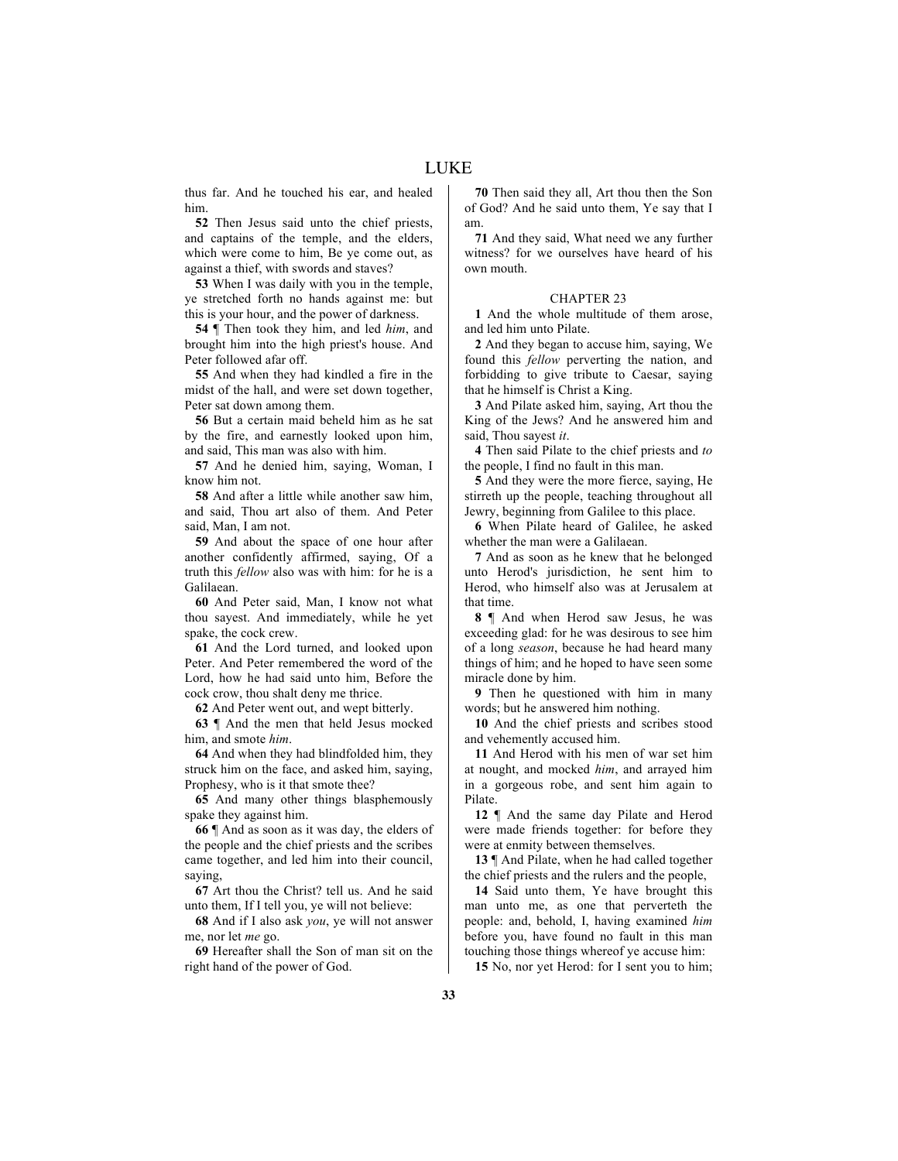thus far. And he touched his ear, and healed him.

**52** Then Jesus said unto the chief priests, and captains of the temple, and the elders, which were come to him, Be ye come out, as against a thief, with swords and staves?

**53** When I was daily with you in the temple, ye stretched forth no hands against me: but this is your hour, and the power of darkness.

**54** ¶ Then took they him, and led *him*, and brought him into the high priest's house. And Peter followed afar off.

**55** And when they had kindled a fire in the midst of the hall, and were set down together, Peter sat down among them.

**56** But a certain maid beheld him as he sat by the fire, and earnestly looked upon him, and said, This man was also with him.

**57** And he denied him, saying, Woman, I know him not.

**58** And after a little while another saw him, and said, Thou art also of them. And Peter said, Man, I am not.

**59** And about the space of one hour after another confidently affirmed, saying, Of a truth this *fellow* also was with him: for he is a Galilaean.

**60** And Peter said, Man, I know not what thou sayest. And immediately, while he yet spake, the cock crew.

**61** And the Lord turned, and looked upon Peter. And Peter remembered the word of the Lord, how he had said unto him, Before the cock crow, thou shalt deny me thrice.

**62** And Peter went out, and wept bitterly.

**63** ¶ And the men that held Jesus mocked him, and smote *him*.

**64** And when they had blindfolded him, they struck him on the face, and asked him, saying, Prophesy, who is it that smote thee?

**65** And many other things blasphemously spake they against him.

**66** ¶ And as soon as it was day, the elders of the people and the chief priests and the scribes came together, and led him into their council, saying,

**67** Art thou the Christ? tell us. And he said unto them, If I tell you, ye will not believe:

**68** And if I also ask *you*, ye will not answer me, nor let *me* go.

**69** Hereafter shall the Son of man sit on the right hand of the power of God.

**70** Then said they all, Art thou then the Son of God? And he said unto them, Ye say that I am.

**71** And they said, What need we any further witness? for we ourselves have heard of his own mouth.

# CHAPTER 23

**1** And the whole multitude of them arose, and led him unto Pilate.

**2** And they began to accuse him, saying, We found this *fellow* perverting the nation, and forbidding to give tribute to Caesar, saying that he himself is Christ a King.

**3** And Pilate asked him, saying, Art thou the King of the Jews? And he answered him and said, Thou sayest *it*.

**4** Then said Pilate to the chief priests and *to* the people, I find no fault in this man.

**5** And they were the more fierce, saying, He stirreth up the people, teaching throughout all Jewry, beginning from Galilee to this place.

**6** When Pilate heard of Galilee, he asked whether the man were a Galilaean.

**7** And as soon as he knew that he belonged unto Herod's jurisdiction, he sent him to Herod, who himself also was at Jerusalem at that time.

**8** ¶ And when Herod saw Jesus, he was exceeding glad: for he was desirous to see him of a long *season*, because he had heard many things of him; and he hoped to have seen some miracle done by him.

**9** Then he questioned with him in many words; but he answered him nothing.

**10** And the chief priests and scribes stood and vehemently accused him.

**11** And Herod with his men of war set him at nought, and mocked *him*, and arrayed him in a gorgeous robe, and sent him again to Pilate.

**12** ¶ And the same day Pilate and Herod were made friends together: for before they were at enmity between themselves.

**13** ¶ And Pilate, when he had called together the chief priests and the rulers and the people,

**14** Said unto them, Ye have brought this man unto me, as one that perverteth the people: and, behold, I, having examined *him* before you, have found no fault in this man touching those things whereof ye accuse him:

**15** No, nor yet Herod: for I sent you to him;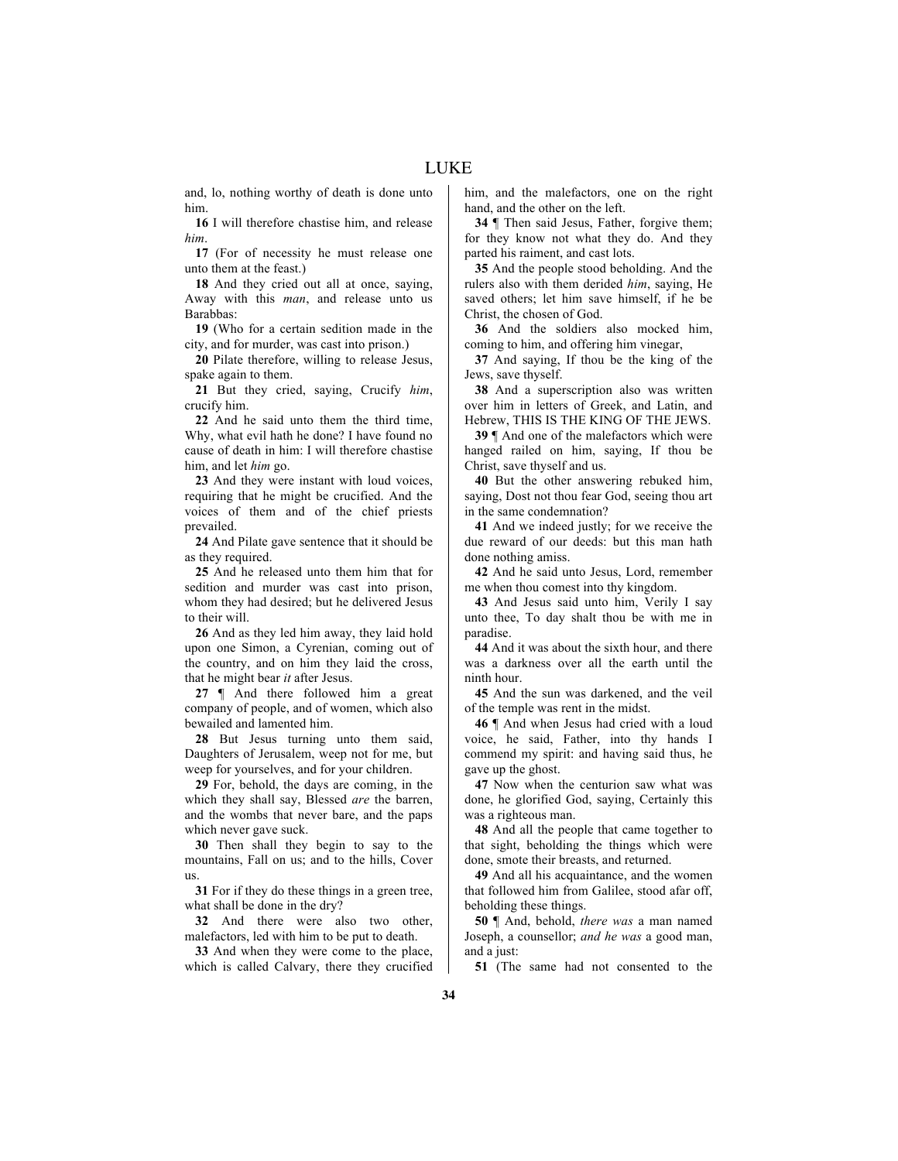and, lo, nothing worthy of death is done unto him.

**16** I will therefore chastise him, and release *him*.

**17** (For of necessity he must release one unto them at the feast.)

**18** And they cried out all at once, saying, Away with this *man*, and release unto us Barabbas:

**19** (Who for a certain sedition made in the city, and for murder, was cast into prison.)

**20** Pilate therefore, willing to release Jesus, spake again to them.

**21** But they cried, saying, Crucify *him*, crucify him.

**22** And he said unto them the third time, Why, what evil hath he done? I have found no cause of death in him: I will therefore chastise him, and let *him* go.

**23** And they were instant with loud voices, requiring that he might be crucified. And the voices of them and of the chief priests prevailed.

**24** And Pilate gave sentence that it should be as they required.

**25** And he released unto them him that for sedition and murder was cast into prison, whom they had desired; but he delivered Jesus to their will.

**26** And as they led him away, they laid hold upon one Simon, a Cyrenian, coming out of the country, and on him they laid the cross, that he might bear *it* after Jesus.

**27** ¶ And there followed him a great company of people, and of women, which also bewailed and lamented him.

**28** But Jesus turning unto them said, Daughters of Jerusalem, weep not for me, but weep for yourselves, and for your children.

**29** For, behold, the days are coming, in the which they shall say, Blessed *are* the barren, and the wombs that never bare, and the paps which never gave suck.

**30** Then shall they begin to say to the mountains, Fall on us; and to the hills, Cover us.

**31** For if they do these things in a green tree, what shall be done in the dry?

**32** And there were also two other, malefactors, led with him to be put to death.

**33** And when they were come to the place, which is called Calvary, there they crucified him, and the malefactors, one on the right hand, and the other on the left.

**34** ¶ Then said Jesus, Father, forgive them; for they know not what they do. And they parted his raiment, and cast lots.

**35** And the people stood beholding. And the rulers also with them derided *him*, saying, He saved others; let him save himself, if he be Christ, the chosen of God.

**36** And the soldiers also mocked him, coming to him, and offering him vinegar,

**37** And saying, If thou be the king of the Jews, save thyself.

**38** And a superscription also was written over him in letters of Greek, and Latin, and Hebrew, THIS IS THE KING OF THE JEWS.

**39** ¶ And one of the malefactors which were hanged railed on him, saying, If thou be Christ, save thyself and us.

**40** But the other answering rebuked him, saying, Dost not thou fear God, seeing thou art in the same condemnation?

**41** And we indeed justly; for we receive the due reward of our deeds: but this man hath done nothing amiss.

**42** And he said unto Jesus, Lord, remember me when thou comest into thy kingdom.

**43** And Jesus said unto him, Verily I say unto thee, To day shalt thou be with me in paradise.

**44** And it was about the sixth hour, and there was a darkness over all the earth until the ninth hour.

**45** And the sun was darkened, and the veil of the temple was rent in the midst.

**46** ¶ And when Jesus had cried with a loud voice, he said, Father, into thy hands I commend my spirit: and having said thus, he gave up the ghost.

**47** Now when the centurion saw what was done, he glorified God, saying, Certainly this was a righteous man.

**48** And all the people that came together to that sight, beholding the things which were done, smote their breasts, and returned.

**49** And all his acquaintance, and the women that followed him from Galilee, stood afar off, beholding these things.

**50** ¶ And, behold, *there was* a man named Joseph, a counsellor; *and he was* a good man, and a just:

**51** (The same had not consented to the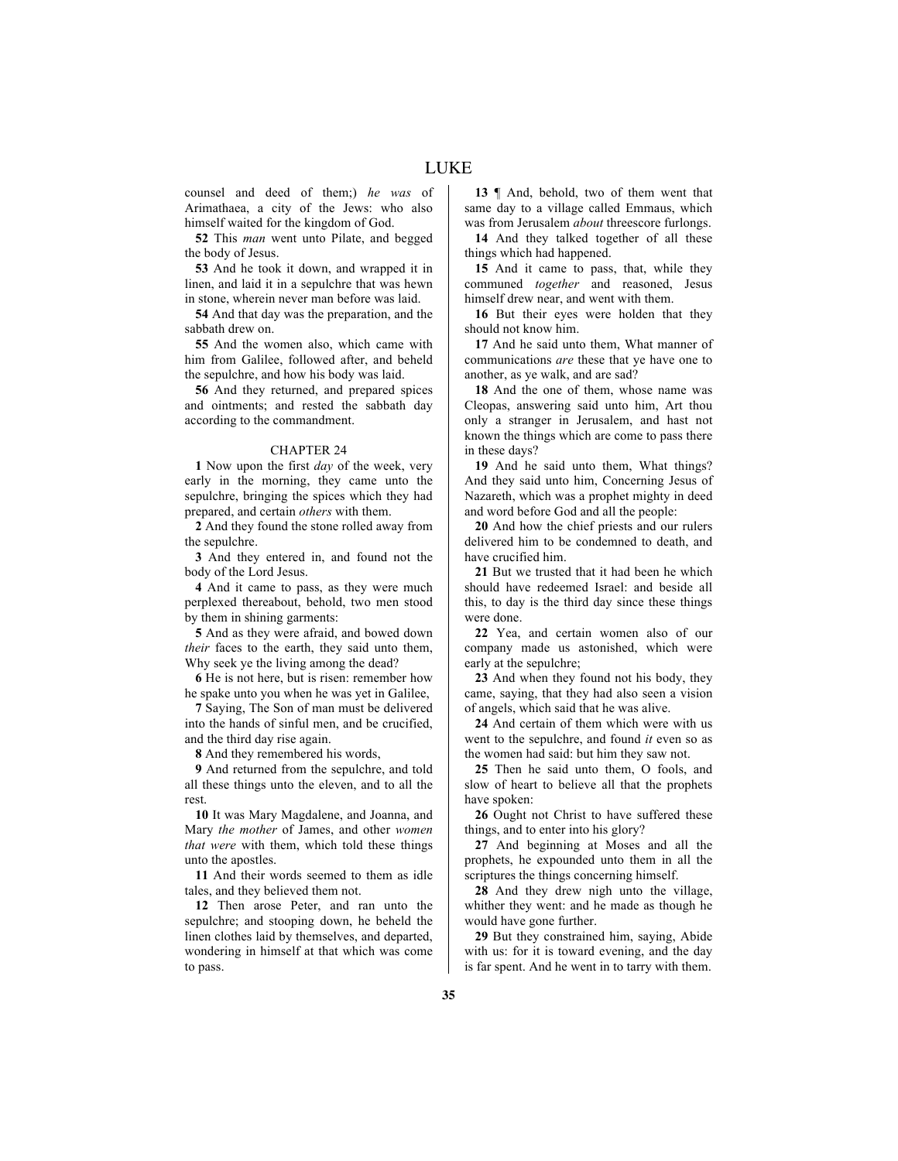counsel and deed of them;) *he was* of Arimathaea, a city of the Jews: who also himself waited for the kingdom of God.

**52** This *man* went unto Pilate, and begged the body of Jesus.

**53** And he took it down, and wrapped it in linen, and laid it in a sepulchre that was hewn in stone, wherein never man before was laid.

**54** And that day was the preparation, and the sabbath drew on.

**55** And the women also, which came with him from Galilee, followed after, and beheld the sepulchre, and how his body was laid.

**56** And they returned, and prepared spices and ointments; and rested the sabbath day according to the commandment.

# CHAPTER 24

**1** Now upon the first *day* of the week, very early in the morning, they came unto the sepulchre, bringing the spices which they had prepared, and certain *others* with them.

**2** And they found the stone rolled away from the sepulchre.

**3** And they entered in, and found not the body of the Lord Jesus.

**4** And it came to pass, as they were much perplexed thereabout, behold, two men stood by them in shining garments:

**5** And as they were afraid, and bowed down *their* faces to the earth, they said unto them, Why seek ye the living among the dead?

**6** He is not here, but is risen: remember how he spake unto you when he was yet in Galilee,

**7** Saying, The Son of man must be delivered into the hands of sinful men, and be crucified, and the third day rise again.

**8** And they remembered his words,

**9** And returned from the sepulchre, and told all these things unto the eleven, and to all the rest.

**10** It was Mary Magdalene, and Joanna, and Mary *the mother* of James, and other *women that were* with them, which told these things unto the apostles.

**11** And their words seemed to them as idle tales, and they believed them not.

**12** Then arose Peter, and ran unto the sepulchre; and stooping down, he beheld the linen clothes laid by themselves, and departed, wondering in himself at that which was come to pass.

**13** ¶ And, behold, two of them went that same day to a village called Emmaus, which was from Jerusalem *about* threescore furlongs.

**14** And they talked together of all these things which had happened.

**15** And it came to pass, that, while they communed *together* and reasoned, Jesus himself drew near, and went with them.

**16** But their eyes were holden that they should not know him.

**17** And he said unto them, What manner of communications *are* these that ye have one to another, as ye walk, and are sad?

**18** And the one of them, whose name was Cleopas, answering said unto him, Art thou only a stranger in Jerusalem, and hast not known the things which are come to pass there in these days?

**19** And he said unto them, What things? And they said unto him, Concerning Jesus of Nazareth, which was a prophet mighty in deed and word before God and all the people:

**20** And how the chief priests and our rulers delivered him to be condemned to death, and have crucified him.

**21** But we trusted that it had been he which should have redeemed Israel: and beside all this, to day is the third day since these things were done.

**22** Yea, and certain women also of our company made us astonished, which were early at the sepulchre;

**23** And when they found not his body, they came, saying, that they had also seen a vision of angels, which said that he was alive.

**24** And certain of them which were with us went to the sepulchre, and found *it* even so as the women had said: but him they saw not.

**25** Then he said unto them, O fools, and slow of heart to believe all that the prophets have spoken:

**26** Ought not Christ to have suffered these things, and to enter into his glory?

**27** And beginning at Moses and all the prophets, he expounded unto them in all the scriptures the things concerning himself.

**28** And they drew nigh unto the village, whither they went: and he made as though he would have gone further.

**29** But they constrained him, saying, Abide with us: for it is toward evening, and the day is far spent. And he went in to tarry with them.